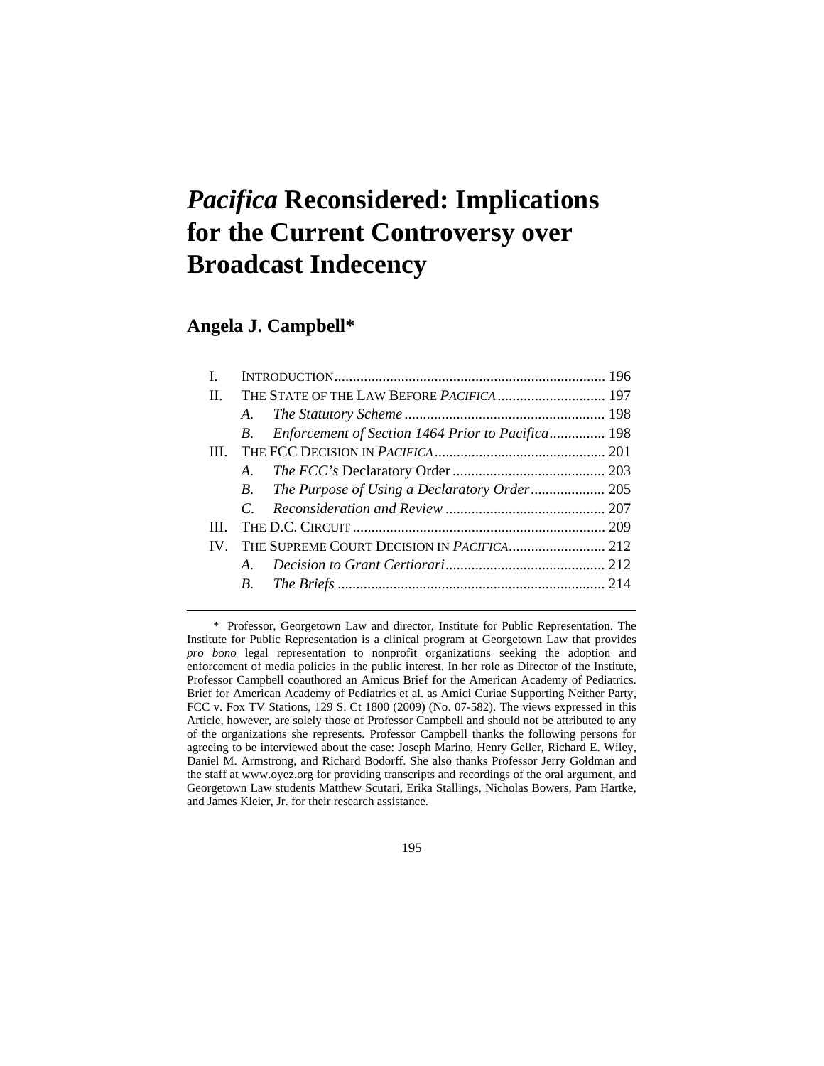# *Pacifica* **Reconsidered: Implications for the Current Controversy over Broadcast Indecency**

# **Angela J. Campbell\***

 $\overline{a}$ 

| H.         |                |                                                   |  |
|------------|----------------|---------------------------------------------------|--|
|            | A.             |                                                   |  |
|            | B.             | Enforcement of Section 1464 Prior to Pacifica 198 |  |
| <b>III</b> |                |                                                   |  |
|            | A.             |                                                   |  |
|            | <i>B</i> .     |                                                   |  |
|            | $\overline{C}$ |                                                   |  |
| Ш          |                |                                                   |  |
|            |                |                                                   |  |
|            | $\mathbf{A}$   |                                                   |  |
|            | B.             |                                                   |  |
|            |                |                                                   |  |

 \* Professor, Georgetown Law and director, Institute for Public Representation. The Institute for Public Representation is a clinical program at Georgetown Law that provides *pro bono* legal representation to nonprofit organizations seeking the adoption and enforcement of media policies in the public interest. In her role as Director of the Institute, Professor Campbell coauthored an Amicus Brief for the American Academy of Pediatrics. Brief for American Academy of Pediatrics et al. as Amici Curiae Supporting Neither Party, FCC v. Fox TV Stations, 129 S. Ct 1800 (2009) (No. 07-582). The views expressed in this Article, however, are solely those of Professor Campbell and should not be attributed to any of the organizations she represents. Professor Campbell thanks the following persons for agreeing to be interviewed about the case: Joseph Marino, Henry Geller, Richard E. Wiley, Daniel M. Armstrong, and Richard Bodorff. She also thanks Professor Jerry Goldman and the staff at www.oyez.org for providing transcripts and recordings of the oral argument, and Georgetown Law students Matthew Scutari, Erika Stallings, Nicholas Bowers, Pam Hartke, and James Kleier, Jr. for their research assistance.

195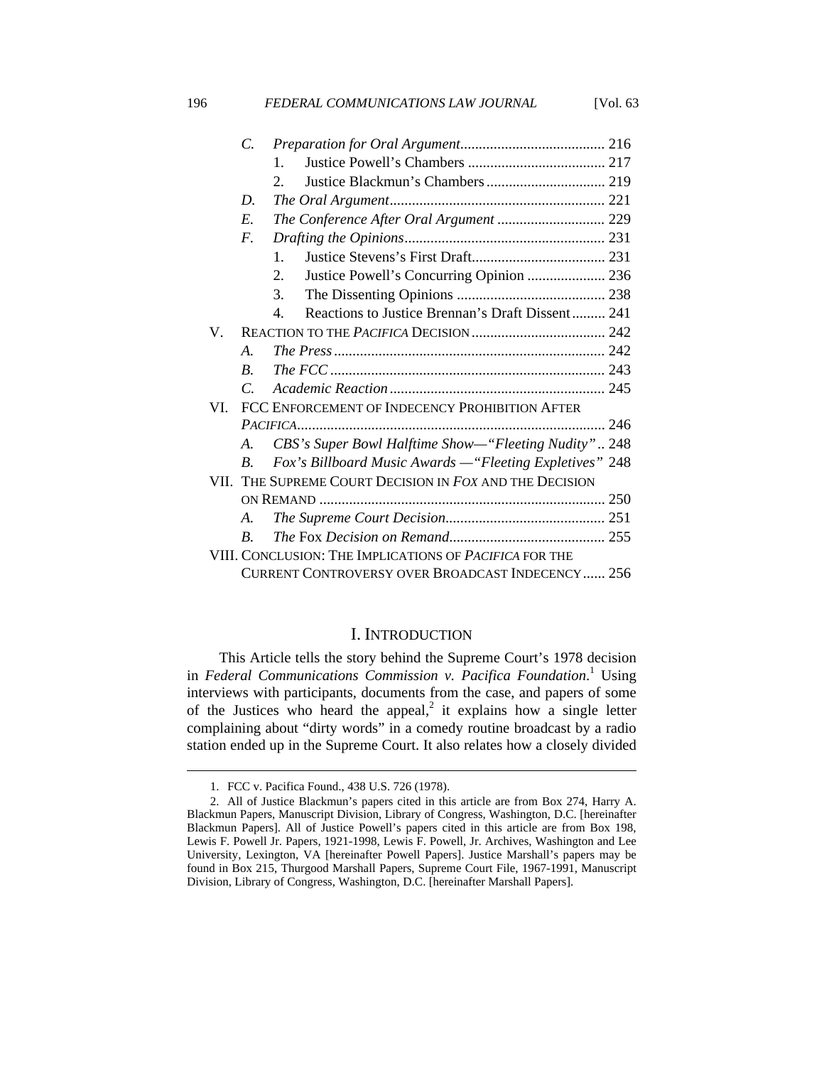|             | $\overline{C}$    |                                                                      |  |
|-------------|-------------------|----------------------------------------------------------------------|--|
|             |                   | $\mathbf{1}$                                                         |  |
|             |                   | $\mathcal{D}$                                                        |  |
|             | D.                |                                                                      |  |
|             | E.                | The Conference After Oral Argument  229                              |  |
|             | $F_{\cdot}$       |                                                                      |  |
|             |                   | $\mathbf{1}$ .                                                       |  |
|             |                   | Justice Powell's Concurring Opinion  236<br>$2_{1}$                  |  |
|             |                   | 3.                                                                   |  |
|             |                   | Reactions to Justice Brennan's Draft Dissent 241<br>$\mathbf{4}_{1}$ |  |
| $V_{\cdot}$ |                   |                                                                      |  |
|             | $\mathcal{A}_{-}$ |                                                                      |  |
|             | $B_{\cdot}$       |                                                                      |  |
|             | $\mathcal{C}$     |                                                                      |  |
| VI          |                   | FCC ENFORCEMENT OF INDECENCY PROHIBITION AFTER                       |  |
|             |                   |                                                                      |  |
|             | $A_{-}$           | CBS's Super Bowl Halftime Show-"Fleeting Nudity" 248                 |  |
|             | $\boldsymbol{B}$  | Fox's Billboard Music Awards - "Fleeting Expletives" 248             |  |
|             |                   | VII. THE SUPREME COURT DECISION IN FOX AND THE DECISION              |  |
|             |                   |                                                                      |  |
|             | $A_{\cdot}$       |                                                                      |  |
|             | $B_{\cdot}$       |                                                                      |  |
|             |                   | VIII. CONCLUSION: THE IMPLICATIONS OF <i>PACIFICA</i> FOR THE        |  |
|             |                   | CURRENT CONTROVERSY OVER BROADCAST INDECENCY 256                     |  |

196 **FEDERAL COMMUNICATIONS LAW JOURNAL** [Vol. 63

#### I. INTRODUCTION

This Article tells the story behind the Supreme Court's 1978 decision in *Federal Communications Commission v. Pacifica Foundation.*<sup>1</sup> Using interviews with participants, documents from the case, and papers of some of the Justices who heard the appeal,<sup>2</sup> it explains how a single letter complaining about "dirty words" in a comedy routine broadcast by a radio station ended up in the Supreme Court. It also relates how a closely divided

 <sup>1.</sup> FCC v. Pacifica Found., 438 U.S. 726 (1978).

 <sup>2.</sup> All of Justice Blackmun's papers cited in this article are from Box 274, Harry A. Blackmun Papers, Manuscript Division, Library of Congress, Washington, D.C. [hereinafter Blackmun Papers]. All of Justice Powell's papers cited in this article are from Box 198, Lewis F. Powell Jr. Papers, 1921-1998, Lewis F. Powell, Jr. Archives, Washington and Lee University, Lexington, VA [hereinafter Powell Papers]. Justice Marshall's papers may be found in Box 215, Thurgood Marshall Papers, Supreme Court File, 1967-1991, Manuscript Division, Library of Congress, Washington, D.C. [hereinafter Marshall Papers].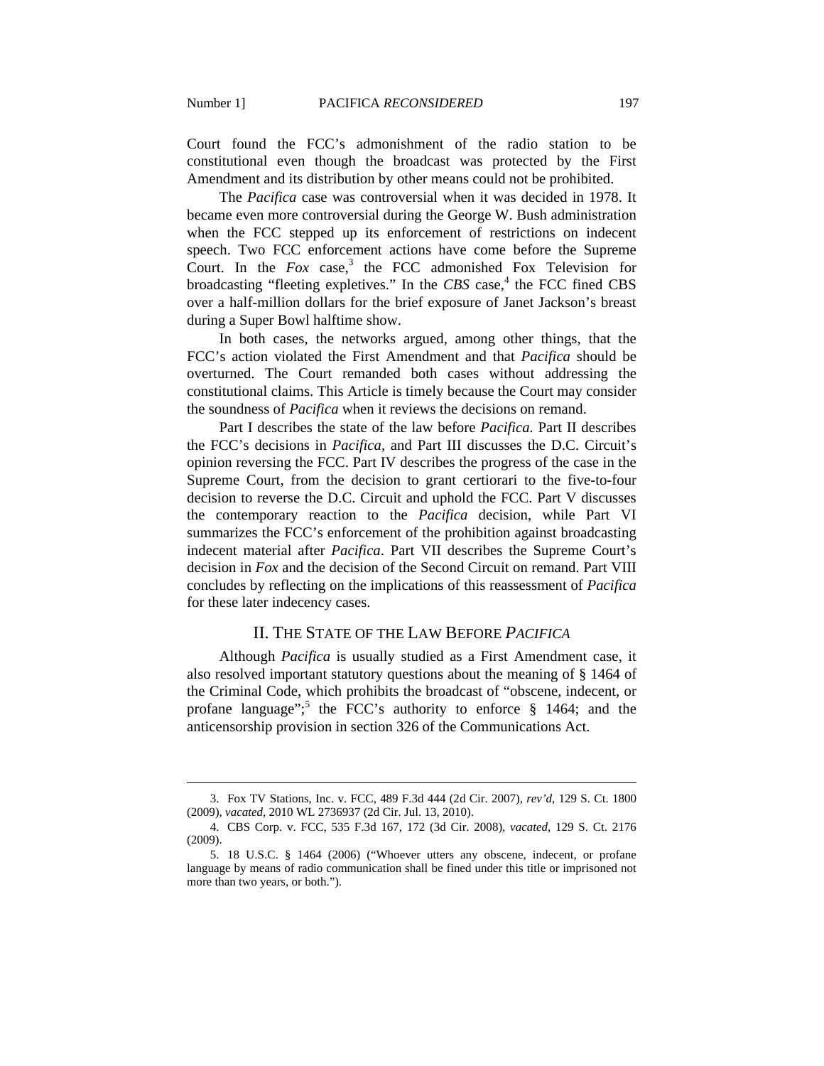$\overline{a}$ 

Court found the FCC's admonishment of the radio station to be constitutional even though the broadcast was protected by the First Amendment and its distribution by other means could not be prohibited.

The *Pacifica* case was controversial when it was decided in 1978. It became even more controversial during the George W. Bush administration when the FCC stepped up its enforcement of restrictions on indecent speech. Two FCC enforcement actions have come before the Supreme Court. In the  $Fox$  case,<sup>3</sup> the FCC admonished Fox Television for broadcasting "fleeting expletives." In the *CBS* case,<sup>4</sup> the FCC fined CBS over a half-million dollars for the brief exposure of Janet Jackson's breast during a Super Bowl halftime show.

In both cases, the networks argued, among other things, that the FCC's action violated the First Amendment and that *Pacifica* should be overturned. The Court remanded both cases without addressing the constitutional claims. This Article is timely because the Court may consider the soundness of *Pacifica* when it reviews the decisions on remand.

Part I describes the state of the law before *Pacifica.* Part II describes the FCC's decisions in *Pacifica*, and Part III discusses the D.C. Circuit's opinion reversing the FCC. Part IV describes the progress of the case in the Supreme Court, from the decision to grant certiorari to the five-to-four decision to reverse the D.C. Circuit and uphold the FCC. Part V discusses the contemporary reaction to the *Pacifica* decision, while Part VI summarizes the FCC's enforcement of the prohibition against broadcasting indecent material after *Pacifica*. Part VII describes the Supreme Court's decision in *Fox* and the decision of the Second Circuit on remand. Part VIII concludes by reflecting on the implications of this reassessment of *Pacifica* for these later indecency cases.

## II. THE STATE OF THE LAW BEFORE *PACIFICA*

Although *Pacifica* is usually studied as a First Amendment case, it also resolved important statutory questions about the meaning of § 1464 of the Criminal Code, which prohibits the broadcast of "obscene, indecent, or profane language";<sup>5</sup> the FCC's authority to enforce  $\S$  1464; and the anticensorship provision in section 326 of the Communications Act.

 <sup>3.</sup> Fox TV Stations, Inc. v. FCC, 489 F.3d 444 (2d Cir. 2007), *rev'd*, 129 S. Ct. 1800 (2009), *vacated*, 2010 WL 2736937 (2d Cir. Jul. 13, 2010).

 <sup>4.</sup> CBS Corp. v. FCC*,* 535 F.3d 167, 172 (3d Cir. 2008), *vacated*, 129 S. Ct. 2176 (2009).

 <sup>5. 18</sup> U.S.C. § 1464 (2006) ("Whoever utters any obscene, indecent, or profane language by means of radio communication shall be fined under this title or imprisoned not more than two years, or both.").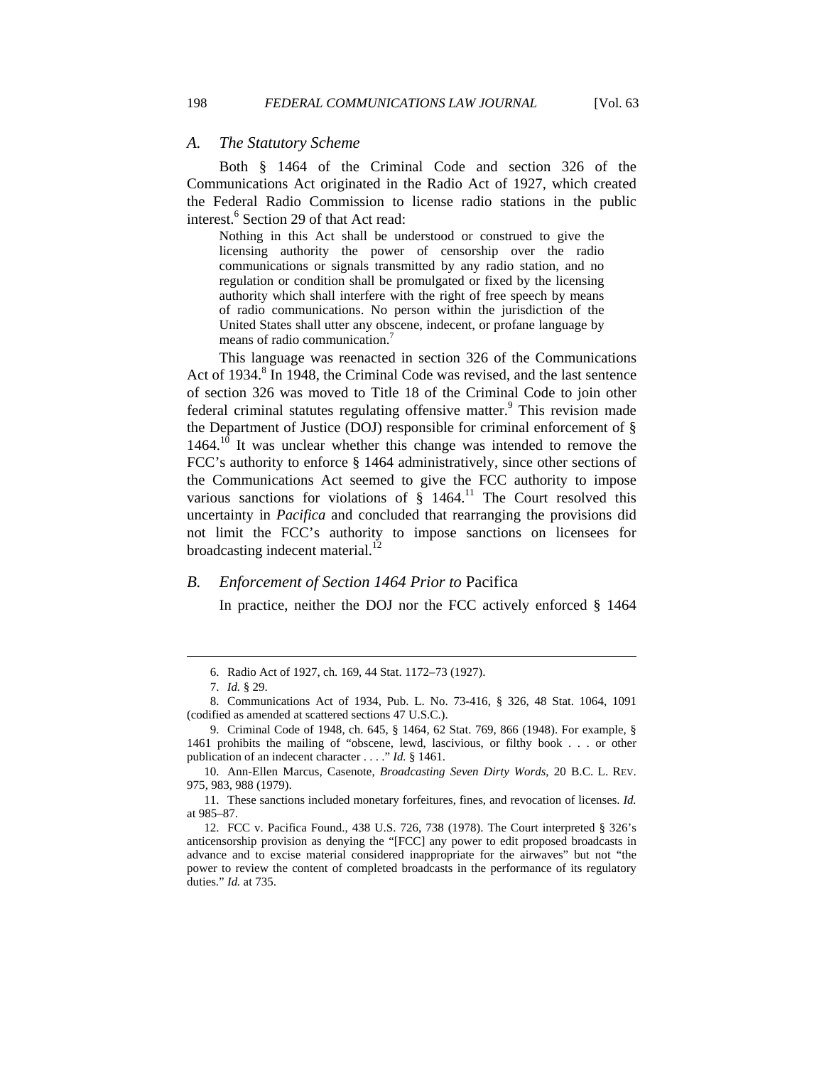#### *A. The Statutory Scheme*

Both § 1464 of the Criminal Code and section 326 of the Communications Act originated in the Radio Act of 1927, which created the Federal Radio Commission to license radio stations in the public interest.<sup>6</sup> Section 29 of that Act read:

Nothing in this Act shall be understood or construed to give the licensing authority the power of censorship over the radio communications or signals transmitted by any radio station, and no regulation or condition shall be promulgated or fixed by the licensing authority which shall interfere with the right of free speech by means of radio communications. No person within the jurisdiction of the United States shall utter any obscene, indecent, or profane language by means of radio communication.<sup>7</sup>

This language was reenacted in section 326 of the Communications Act of 1934.<sup>8</sup> In 1948, the Criminal Code was revised, and the last sentence of section 326 was moved to Title 18 of the Criminal Code to join other federal criminal statutes regulating offensive matter.<sup>9</sup> This revision made the Department of Justice (DOJ) responsible for criminal enforcement of § 1464.<sup>10</sup> It was unclear whether this change was intended to remove the FCC's authority to enforce § 1464 administratively, since other sections of the Communications Act seemed to give the FCC authority to impose various sanctions for violations of  $\tilde{\sigma}$  1464.<sup>11</sup> The Court resolved this uncertainty in *Pacifica* and concluded that rearranging the provisions did not limit the FCC's authority to impose sanctions on licensees for broadcasting indecent material. $^{12}$ 

#### *B. Enforcement of Section 1464 Prior to* Pacifica

In practice, neither the DOJ nor the FCC actively enforced § 1464

 <sup>6.</sup> Radio Act of 1927, ch. 169, 44 Stat. 1172–73 (1927).

 <sup>7.</sup> *Id.* § 29.

 <sup>8.</sup> Communications Act of 1934, Pub. L. No. 73-416, § 326, 48 Stat. 1064, 1091 (codified as amended at scattered sections 47 U.S.C.).

 <sup>9.</sup> Criminal Code of 1948, ch. 645, § 1464, 62 Stat. 769, 866 (1948). For example, § 1461 prohibits the mailing of "obscene, lewd, lascivious, or filthy book . . . or other publication of an indecent character . . . ." *Id.* § 1461.

 <sup>10.</sup> Ann-Ellen Marcus, Casenote, *Broadcasting Seven Dirty Words*, 20 B.C. L. REV. 975, 983, 988 (1979).

 <sup>11.</sup> These sanctions included monetary forfeitures, fines, and revocation of licenses. *Id.* at 985–87.

 <sup>12.</sup> FCC v. Pacifica Found., 438 U.S. 726, 738 (1978). The Court interpreted § 326's anticensorship provision as denying the "[FCC] any power to edit proposed broadcasts in advance and to excise material considered inappropriate for the airwaves" but not "the power to review the content of completed broadcasts in the performance of its regulatory duties." *Id.* at 735.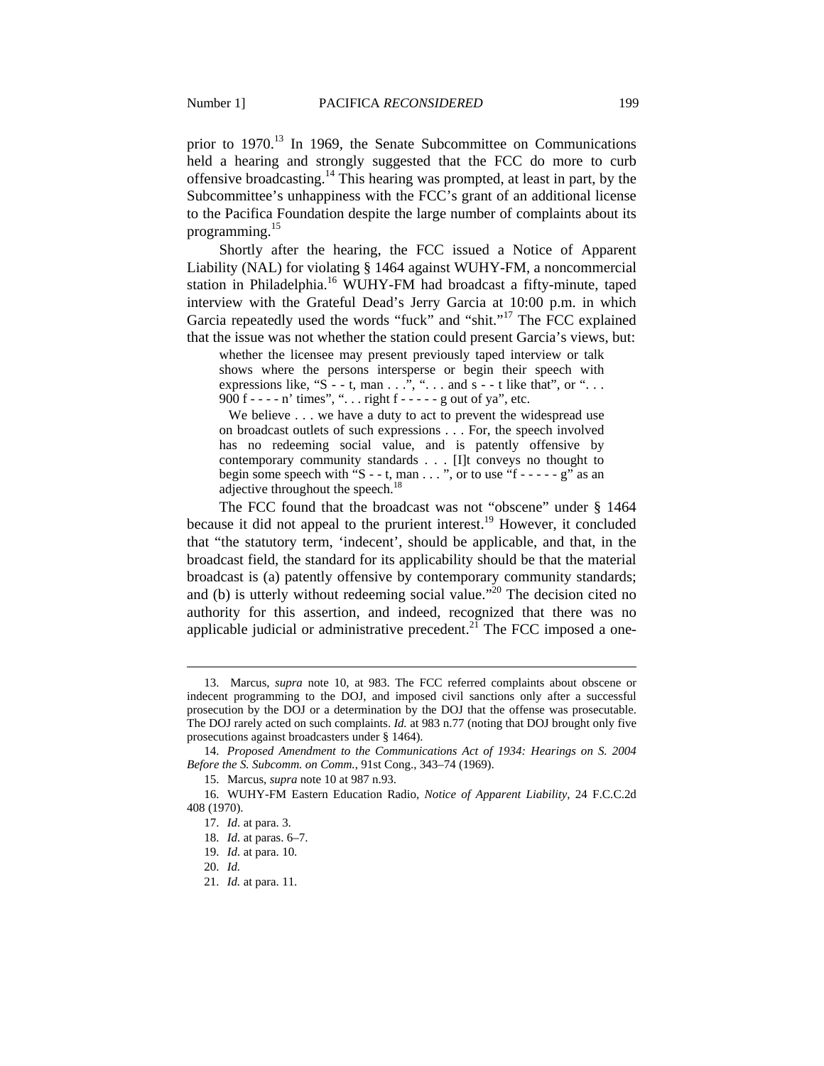prior to 1970.<sup>13</sup> In 1969, the Senate Subcommittee on Communications held a hearing and strongly suggested that the FCC do more to curb offensive broadcasting.14 This hearing was prompted, at least in part, by the Subcommittee's unhappiness with the FCC's grant of an additional license to the Pacifica Foundation despite the large number of complaints about its programming.15

Shortly after the hearing, the FCC issued a Notice of Apparent Liability (NAL) for violating § 1464 against WUHY-FM, a noncommercial station in Philadelphia.<sup>16</sup> WUHY-FM had broadcast a fifty-minute, taped interview with the Grateful Dead's Jerry Garcia at 10:00 p.m. in which Garcia repeatedly used the words "fuck" and "shit."<sup>17</sup> The FCC explained that the issue was not whether the station could present Garcia's views, but:

whether the licensee may present previously taped interview or talk shows where the persons intersperse or begin their speech with expressions like, "S - - t, man  $\ldots$ ", " $\ldots$  and s - - t like that", or "... 900 f - - - - n' times", ". . . right f - - - - - g out of ya", etc.

We believe . . . we have a duty to act to prevent the widespread use on broadcast outlets of such expressions . . . For, the speech involved has no redeeming social value, and is patently offensive by contemporary community standards . . . [I]t conveys no thought to begin some speech with "S - - t, man  $\dots$ ", or to use "f - - - - - g" as an adjective throughout the speech.<sup>18</sup>

The FCC found that the broadcast was not "obscene" under § 1464 because it did not appeal to the prurient interest.<sup>19</sup> However, it concluded that "the statutory term, 'indecent', should be applicable, and that, in the broadcast field, the standard for its applicability should be that the material broadcast is (a) patently offensive by contemporary community standards; and (b) is utterly without redeeming social value."<sup>20</sup> The decision cited no authority for this assertion, and indeed, recognized that there was no applicable judicial or administrative precedent.<sup>21</sup> The FCC imposed a one-

 <sup>13.</sup> Marcus, *supra* note 10, at 983. The FCC referred complaints about obscene or indecent programming to the DOJ, and imposed civil sanctions only after a successful prosecution by the DOJ or a determination by the DOJ that the offense was prosecutable. The DOJ rarely acted on such complaints. *Id.* at 983 n.77 (noting that DOJ brought only five prosecutions against broadcasters under § 1464).

 <sup>14.</sup> *Proposed Amendment to the Communications Act of 1934: Hearings on S. 2004 Before the S. Subcomm. on Comm.*, 91st Cong., 343–74 (1969).

 <sup>15.</sup> Marcus, *supra* note 10 at 987 n.93.

 <sup>16.</sup> WUHY-FM Eastern Education Radio, *Notice of Apparent Liability*, 24 F.C.C.2d 408 (1970).

 <sup>17.</sup> *Id.* at para. 3.

 <sup>18.</sup> *Id.* at paras. 6–7.

 <sup>19.</sup> *Id.* at para. 10.

 <sup>20.</sup> *Id.*

 <sup>21.</sup> *Id.* at para. 11.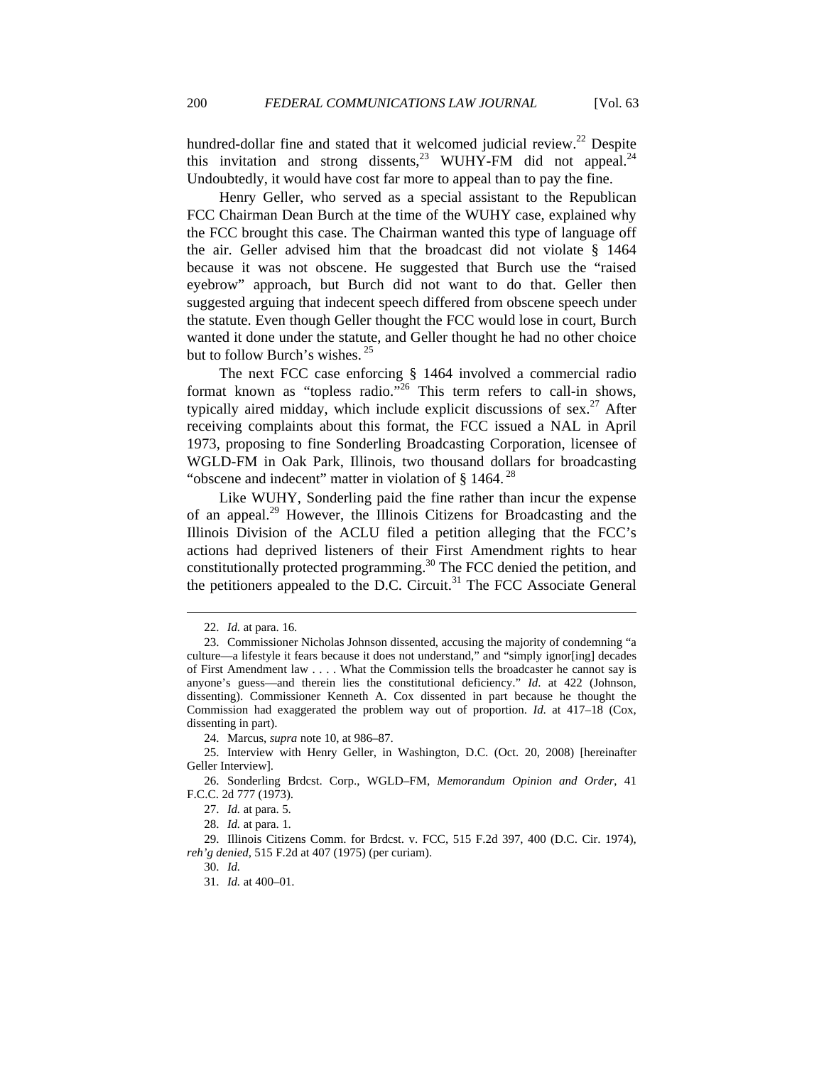hundred-dollar fine and stated that it welcomed judicial review.<sup>22</sup> Despite this invitation and strong dissents,  $23$  WUHY-FM did not appeal.  $24$ Undoubtedly, it would have cost far more to appeal than to pay the fine.

Henry Geller, who served as a special assistant to the Republican FCC Chairman Dean Burch at the time of the WUHY case, explained why the FCC brought this case. The Chairman wanted this type of language off the air. Geller advised him that the broadcast did not violate § 1464 because it was not obscene. He suggested that Burch use the "raised eyebrow" approach, but Burch did not want to do that. Geller then suggested arguing that indecent speech differed from obscene speech under the statute. Even though Geller thought the FCC would lose in court, Burch wanted it done under the statute, and Geller thought he had no other choice but to follow Burch's wishes.<sup>25</sup>

The next FCC case enforcing § 1464 involved a commercial radio format known as "topless radio."<sup>26</sup> This term refers to call-in shows, typically aired midday, which include explicit discussions of sex.<sup>27</sup> After receiving complaints about this format, the FCC issued a NAL in April 1973, proposing to fine Sonderling Broadcasting Corporation, licensee of WGLD-FM in Oak Park, Illinois, two thousand dollars for broadcasting "obscene and indecent" matter in violation of  $\S$  1464.<sup>28</sup>

Like WUHY, Sonderling paid the fine rather than incur the expense of an appeal.<sup>29</sup> However, the Illinois Citizens for Broadcasting and the Illinois Division of the ACLU filed a petition alleging that the FCC's actions had deprived listeners of their First Amendment rights to hear constitutionally protected programming.<sup>30</sup> The FCC denied the petition, and the petitioners appealed to the D.C. Circuit.<sup>31</sup> The FCC Associate General

 <sup>22.</sup> *Id.* at para. 16.

 <sup>23.</sup> Commissioner Nicholas Johnson dissented, accusing the majority of condemning "a culture—a lifestyle it fears because it does not understand," and "simply ignor[ing] decades of First Amendment law . . . . What the Commission tells the broadcaster he cannot say is anyone's guess—and therein lies the constitutional deficiency." *Id*. at 422 (Johnson, dissenting). Commissioner Kenneth A. Cox dissented in part because he thought the Commission had exaggerated the problem way out of proportion. *Id*. at 417–18 (Cox, dissenting in part).

 <sup>24.</sup> Marcus, *supra* note 10, at 986–87.

 <sup>25.</sup> Interview with Henry Geller, in Washington, D.C. (Oct. 20, 2008) [hereinafter Geller Interview].

 <sup>26.</sup> Sonderling Brdcst. Corp., WGLD–FM, *Memorandum Opinion and Order*, 41 F.C.C. 2d 777 (1973).

 <sup>27.</sup> *Id.* at para. 5.

 <sup>28.</sup> *Id.* at para. 1.

 <sup>29.</sup> Illinois Citizens Comm. for Brdcst. v. FCC, 515 F.2d 397, 400 (D.C. Cir. 1974), *reh'g denied*, 515 F.2d at 407 (1975) (per curiam).

 <sup>30.</sup> *Id.*

 <sup>31.</sup> *Id.* at 400–01.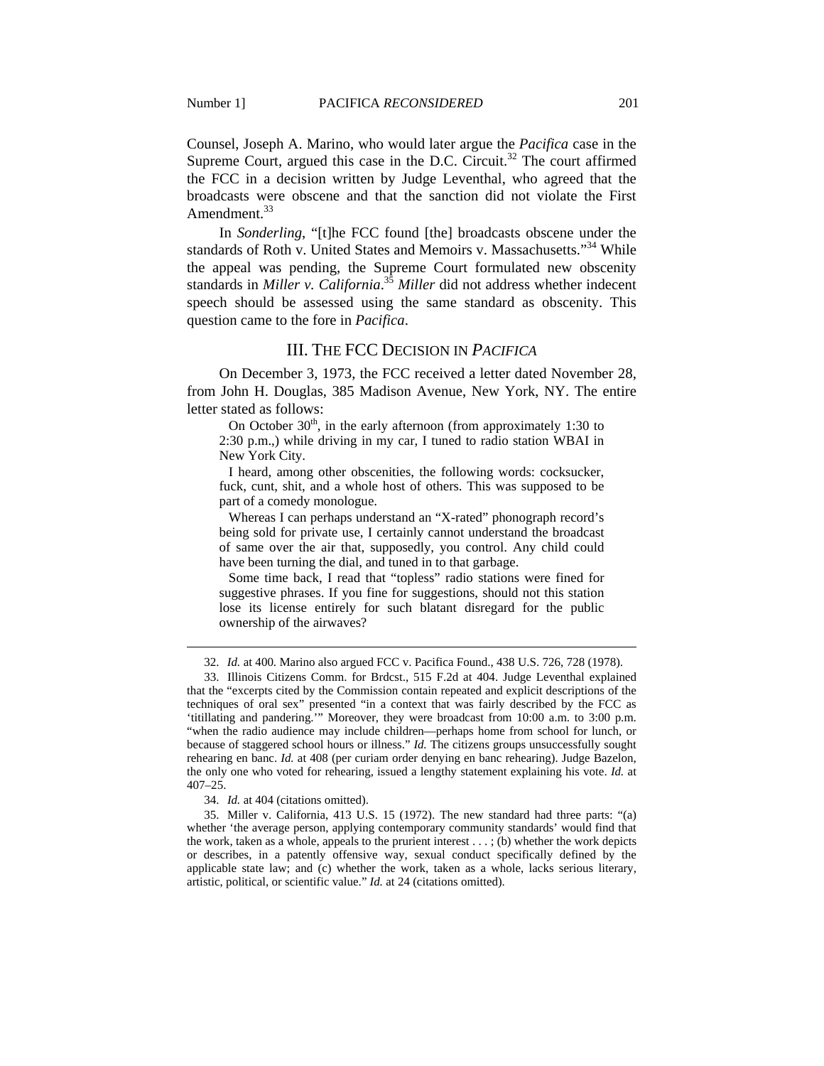Counsel, Joseph A. Marino, who would later argue the *Pacifica* case in the Supreme Court, argued this case in the D.C. Circuit.<sup>32</sup> The court affirmed the FCC in a decision written by Judge Leventhal, who agreed that the broadcasts were obscene and that the sanction did not violate the First Amendment.<sup>33</sup>

In *Sonderling*, "[t]he FCC found [the] broadcasts obscene under the standards of Roth v. United States and Memoirs v. Massachusetts."<sup>34</sup> While the appeal was pending, the Supreme Court formulated new obscenity standards in *Miller v. California*. <sup>35</sup> *Miller* did not address whether indecent speech should be assessed using the same standard as obscenity. This question came to the fore in *Pacifica*.

# III. THE FCC DECISION IN *PACIFICA*

On December 3, 1973, the FCC received a letter dated November 28, from John H. Douglas, 385 Madison Avenue, New York, NY. The entire letter stated as follows:

On October  $30<sup>th</sup>$ , in the early afternoon (from approximately 1:30 to 2:30 p.m.,) while driving in my car, I tuned to radio station WBAI in New York City.

 I heard, among other obscenities, the following words: cocksucker, fuck, cunt, shit, and a whole host of others. This was supposed to be part of a comedy monologue.

 Whereas I can perhaps understand an "X-rated" phonograph record's being sold for private use, I certainly cannot understand the broadcast of same over the air that, supposedly, you control. Any child could have been turning the dial, and tuned in to that garbage.

 Some time back, I read that "topless" radio stations were fined for suggestive phrases. If you fine for suggestions, should not this station lose its license entirely for such blatant disregard for the public ownership of the airwaves?

 <sup>32.</sup> *Id.* at 400. Marino also argued FCC v. Pacifica Found., 438 U.S. 726, 728 (1978).

 <sup>33.</sup> Illinois Citizens Comm. for Brdcst., 515 F.2d at 404. Judge Leventhal explained that the "excerpts cited by the Commission contain repeated and explicit descriptions of the techniques of oral sex" presented "in a context that was fairly described by the FCC as 'titillating and pandering.'" Moreover, they were broadcast from 10:00 a.m. to 3:00 p.m. "when the radio audience may include children—perhaps home from school for lunch, or because of staggered school hours or illness." *Id.* The citizens groups unsuccessfully sought rehearing en banc. *Id.* at 408 (per curiam order denying en banc rehearing). Judge Bazelon, the only one who voted for rehearing, issued a lengthy statement explaining his vote. *Id.* at 407–25.

 <sup>34.</sup> *Id.* at 404 (citations omitted).

 <sup>35.</sup> Miller v. California, 413 U.S. 15 (1972). The new standard had three parts: "(a) whether 'the average person, applying contemporary community standards' would find that the work, taken as a whole, appeals to the prurient interest . . . ; (b) whether the work depicts or describes, in a patently offensive way, sexual conduct specifically defined by the applicable state law; and (c) whether the work, taken as a whole, lacks serious literary, artistic, political, or scientific value." *Id.* at 24 (citations omitted).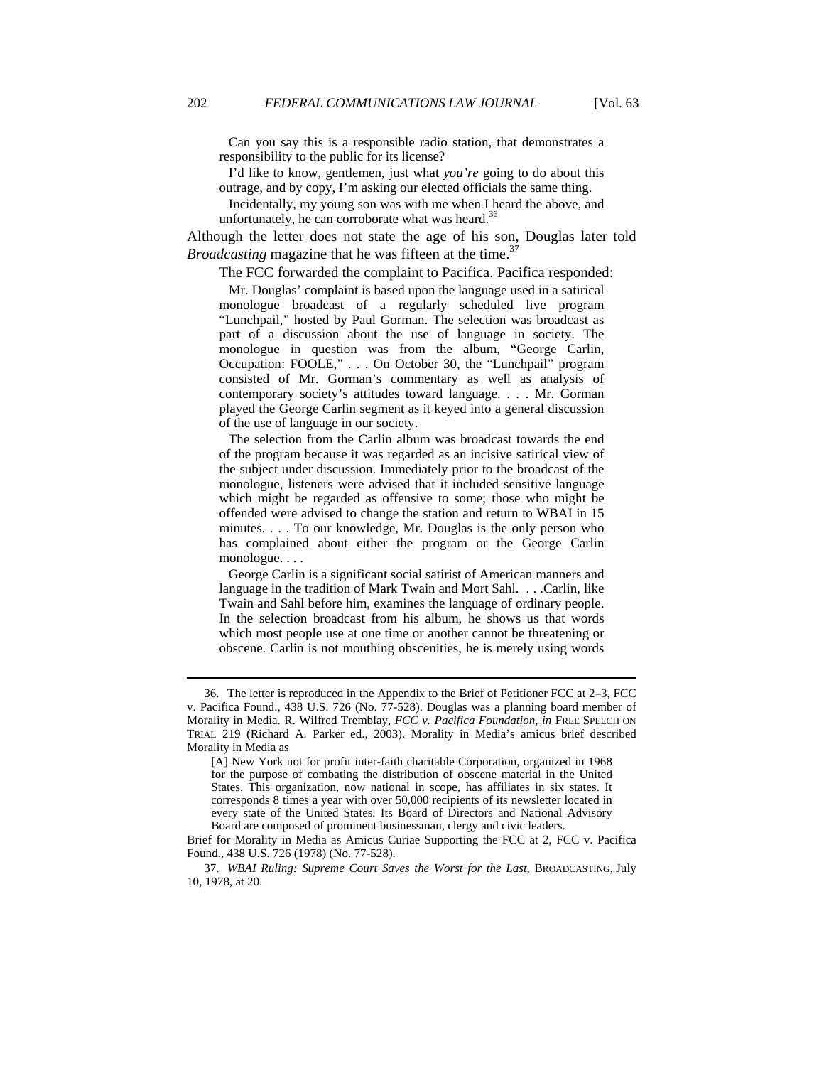Can you say this is a responsible radio station, that demonstrates a responsibility to the public for its license?

 I'd like to know, gentlemen, just what *you're* going to do about this outrage, and by copy, I'm asking our elected officials the same thing.

 Incidentally, my young son was with me when I heard the above, and unfortunately, he can corroborate what was heard. $36$ 

Although the letter does not state the age of his son, Douglas later told *Broadcasting* magazine that he was fifteen at the time.<sup>37</sup>

The FCC forwarded the complaint to Pacifica. Pacifica responded:

 Mr. Douglas' complaint is based upon the language used in a satirical monologue broadcast of a regularly scheduled live program "Lunchpail," hosted by Paul Gorman. The selection was broadcast as part of a discussion about the use of language in society. The monologue in question was from the album, "George Carlin, Occupation: FOOLE," . . . On October 30, the "Lunchpail" program consisted of Mr. Gorman's commentary as well as analysis of contemporary society's attitudes toward language. . . . Mr. Gorman played the George Carlin segment as it keyed into a general discussion of the use of language in our society.

 The selection from the Carlin album was broadcast towards the end of the program because it was regarded as an incisive satirical view of the subject under discussion. Immediately prior to the broadcast of the monologue, listeners were advised that it included sensitive language which might be regarded as offensive to some; those who might be offended were advised to change the station and return to WBAI in 15 minutes. . . . To our knowledge, Mr. Douglas is the only person who has complained about either the program or the George Carlin monologue. . . .

 George Carlin is a significant social satirist of American manners and language in the tradition of Mark Twain and Mort Sahl. . . .Carlin, like Twain and Sahl before him, examines the language of ordinary people. In the selection broadcast from his album, he shows us that words which most people use at one time or another cannot be threatening or obscene. Carlin is not mouthing obscenities, he is merely using words

 37. *WBAI Ruling: Supreme Court Saves the Worst for the Last*, BROADCASTING, July 10, 1978, at 20.

 <sup>36.</sup> The letter is reproduced in the Appendix to the Brief of Petitioner FCC at 2–3, FCC v. Pacifica Found., 438 U.S. 726 (No. 77-528). Douglas was a planning board member of Morality in Media. R. Wilfred Tremblay, *FCC v. Pacifica Foundation*, *in* FREE SPEECH ON TRIAL 219 (Richard A. Parker ed., 2003). Morality in Media's amicus brief described Morality in Media as

<sup>[</sup>A] New York not for profit inter-faith charitable Corporation, organized in 1968 for the purpose of combating the distribution of obscene material in the United States. This organization, now national in scope, has affiliates in six states. It corresponds 8 times a year with over 50,000 recipients of its newsletter located in every state of the United States. Its Board of Directors and National Advisory Board are composed of prominent businessman, clergy and civic leaders.

Brief for Morality in Media as Amicus Curiae Supporting the FCC at 2, FCC v. Pacifica Found., 438 U.S. 726 (1978) (No. 77-528).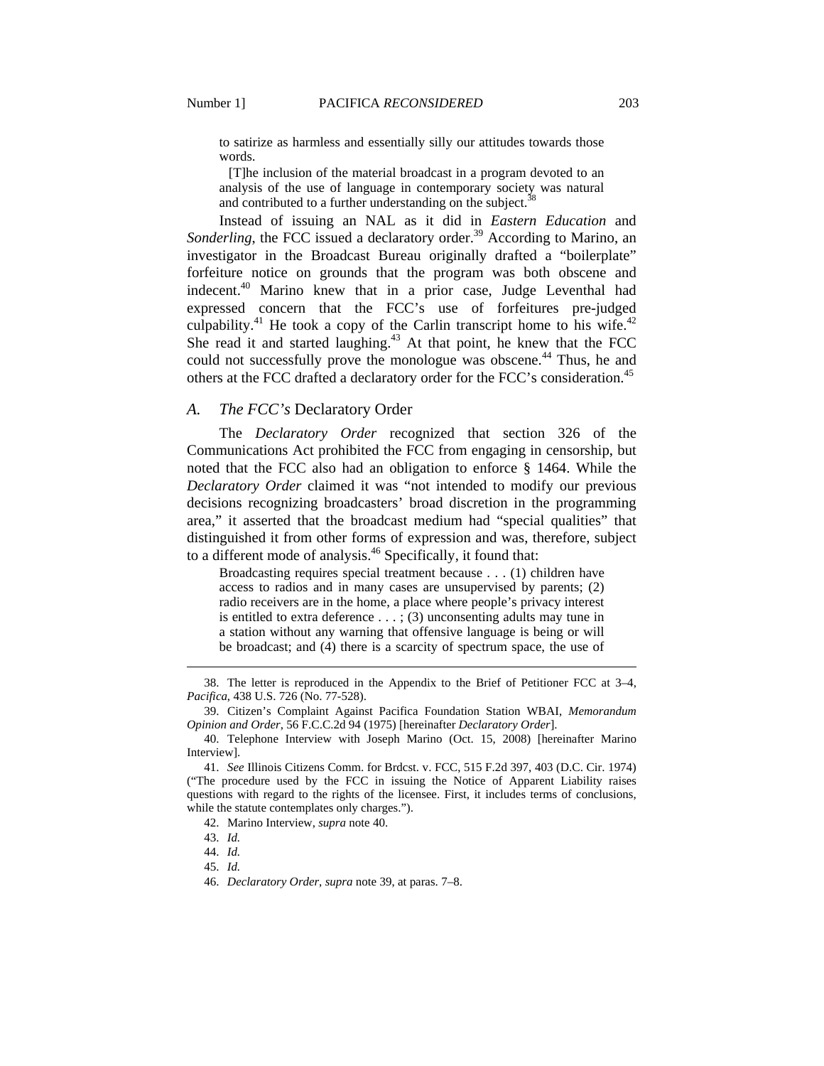to satirize as harmless and essentially silly our attitudes towards those words.

 [T]he inclusion of the material broadcast in a program devoted to an analysis of the use of language in contemporary society was natural and contributed to a further understanding on the subject.<sup>38</sup>

Instead of issuing an NAL as it did in *Eastern Education* and *Sonderling*, the FCC issued a declaratory order.<sup>39</sup> According to Marino, an investigator in the Broadcast Bureau originally drafted a "boilerplate" forfeiture notice on grounds that the program was both obscene and indecent.40 Marino knew that in a prior case, Judge Leventhal had expressed concern that the FCC's use of forfeitures pre-judged culpability.<sup>41</sup> He took a copy of the Carlin transcript home to his wife.<sup>42</sup> She read it and started laughing.<sup>43</sup> At that point, he knew that the FCC could not successfully prove the monologue was obscene.<sup>44</sup> Thus, he and others at the FCC drafted a declaratory order for the FCC's consideration.<sup>45</sup>

## *A. The FCC's* Declaratory Order

The *Declaratory Order* recognized that section 326 of the Communications Act prohibited the FCC from engaging in censorship, but noted that the FCC also had an obligation to enforce § 1464. While the *Declaratory Order* claimed it was "not intended to modify our previous decisions recognizing broadcasters' broad discretion in the programming area," it asserted that the broadcast medium had "special qualities" that distinguished it from other forms of expression and was, therefore, subject to a different mode of analysis.<sup>46</sup> Specifically, it found that:

Broadcasting requires special treatment because . . . (1) children have access to radios and in many cases are unsupervised by parents; (2) radio receivers are in the home, a place where people's privacy interest is entitled to extra deference  $\dots$ ; (3) unconsenting adults may tune in a station without any warning that offensive language is being or will be broadcast; and (4) there is a scarcity of spectrum space, the use of

 <sup>38.</sup> The letter is reproduced in the Appendix to the Brief of Petitioner FCC at 3–4, *Pacifica*, 438 U.S. 726 (No. 77-528).

 <sup>39.</sup> Citizen's Complaint Against Pacifica Foundation Station WBAI, *Memorandum Opinion and Order*, 56 F.C.C.2d 94 (1975) [hereinafter *Declaratory Order*].

 <sup>40.</sup> Telephone Interview with Joseph Marino (Oct. 15, 2008) [hereinafter Marino Interview].

 <sup>41.</sup> *See* Illinois Citizens Comm. for Brdcst. v. FCC, 515 F.2d 397, 403 (D.C. Cir. 1974) ("The procedure used by the FCC in issuing the Notice of Apparent Liability raises questions with regard to the rights of the licensee. First, it includes terms of conclusions, while the statute contemplates only charges.").

 <sup>42.</sup> Marino Interview, *supra* note 40.

 <sup>43.</sup> *Id.*

 <sup>44.</sup> *Id.*

 <sup>45.</sup> *Id.*

 <sup>46.</sup> *Declaratory Order*, *supra* note 39, at paras. 7–8.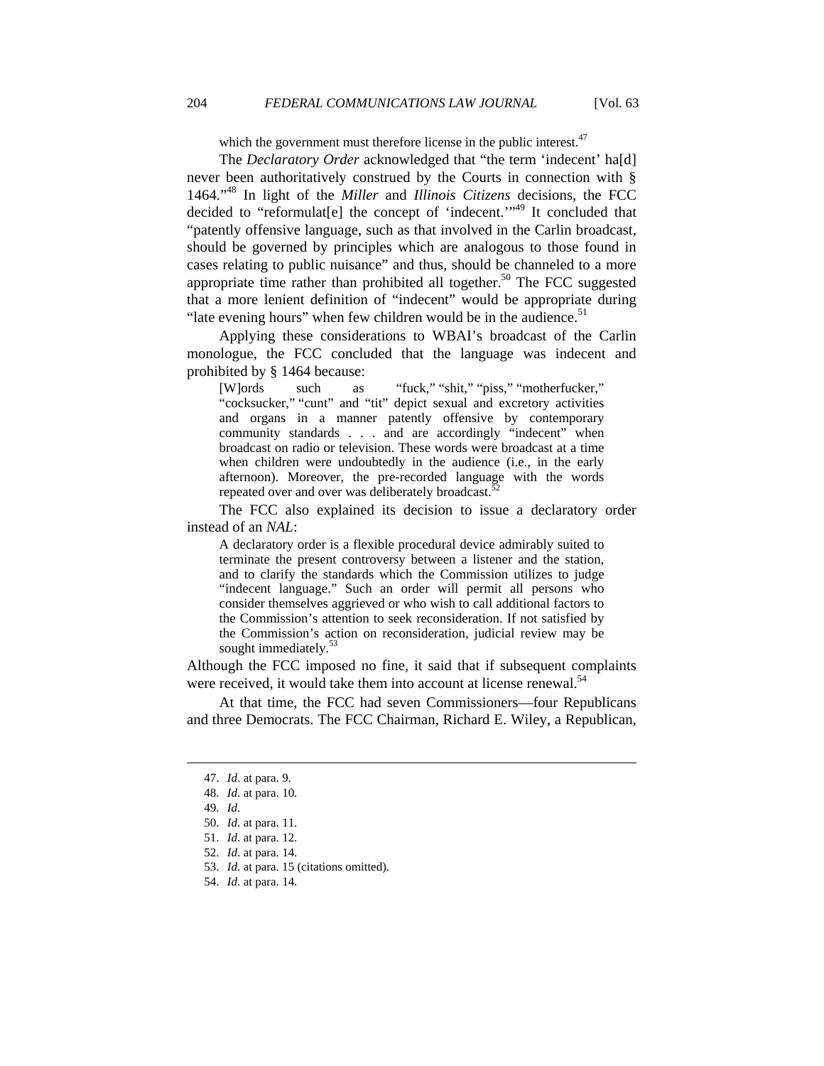which the government must therefore license in the public interest.<sup>47</sup>

The *Declaratory Order* acknowledged that "the term 'indecent' hald never been authoritatively construed by the Courts in connection with § 1464."48 In light of the *Miller* and *Illinois Citizens* decisions, the FCC decided to "reformulat<sup>[e]</sup> the concept of 'indecent.'<sup>149</sup> It concluded that "patently offensive language, such as that involved in the Carlin broadcast, should be governed by principles which are analogous to those found in cases relating to public nuisance" and thus, should be channeled to a more appropriate time rather than prohibited all together.<sup>50</sup> The FCC suggested that a more lenient definition of "indecent" would be appropriate during "late evening hours" when few children would be in the audience. $51$ 

Applying these considerations to WBAI's broadcast of the Carlin monologue, the FCC concluded that the language was indecent and prohibited by § 1464 because:

[W]ords such as "fuck," "shit," "piss," "motherfucker," "cocksucker," "cunt" and "tit" depict sexual and excretory activities and organs in a manner patently offensive by contemporary community standards . . . and are accordingly "indecent" when broadcast on radio or television. These words were broadcast at a time when children were undoubtedly in the audience (i.e., in the early afternoon). Moreover, the pre-recorded language with the words repeated over and over was deliberately broadcast.<sup>5</sup>

The FCC also explained its decision to issue a declaratory order instead of an *NAL*:

A declaratory order is a flexible procedural device admirably suited to terminate the present controversy between a listener and the station, and to clarify the standards which the Commission utilizes to judge "indecent language." Such an order will permit all persons who consider themselves aggrieved or who wish to call additional factors to the Commission's attention to seek reconsideration. If not satisfied by the Commission's action on reconsideration, judicial review may be sought immediately. $5$ 

Although the FCC imposed no fine, it said that if subsequent complaints were received, it would take them into account at license renewal.<sup>54</sup>

At that time, the FCC had seven Commissioners—four Republicans and three Democrats. The FCC Chairman, Richard E. Wiley, a Republican,

 <sup>47.</sup> *Id*. at para. 9.

 <sup>48.</sup> *Id*. at para. 10.

 <sup>49.</sup> *Id*.

 <sup>50.</sup> *Id*. at para. 11.

 <sup>51.</sup> *Id*. at para. 12.

 <sup>52.</sup> *Id*. at para. 14.

 <sup>53.</sup> *Id*. at para. 15 (citations omitted).

 <sup>54.</sup> *Id*. at para. 14.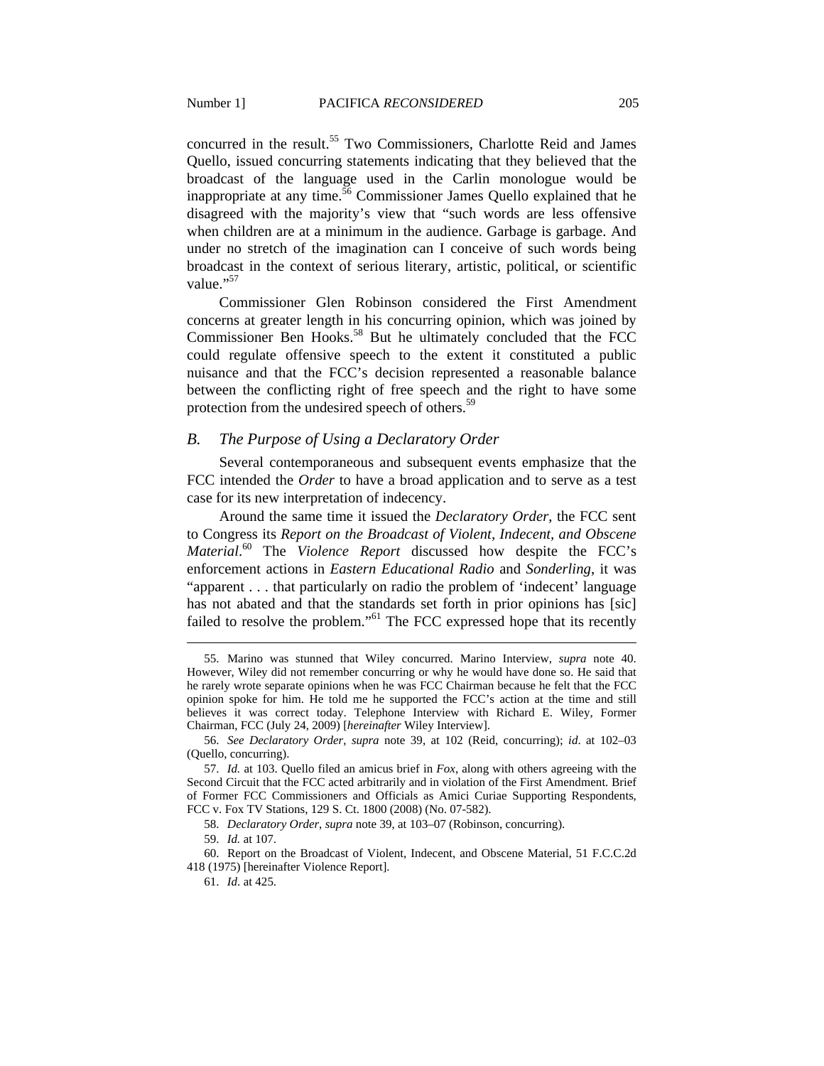concurred in the result.<sup>55</sup> Two Commissioners, Charlotte Reid and James Quello, issued concurring statements indicating that they believed that the broadcast of the language used in the Carlin monologue would be inappropriate at any time.<sup>56</sup> Commissioner James Quello explained that he disagreed with the majority's view that "such words are less offensive when children are at a minimum in the audience. Garbage is garbage. And under no stretch of the imagination can I conceive of such words being broadcast in the context of serious literary, artistic, political, or scientific value."<sup>57</sup>

Commissioner Glen Robinson considered the First Amendment concerns at greater length in his concurring opinion, which was joined by Commissioner Ben Hooks.<sup>58</sup> But he ultimately concluded that the FCC could regulate offensive speech to the extent it constituted a public nuisance and that the FCC's decision represented a reasonable balance between the conflicting right of free speech and the right to have some protection from the undesired speech of others.<sup>59</sup>

## *B. The Purpose of Using a Declaratory Order*

Several contemporaneous and subsequent events emphasize that the FCC intended the *Order* to have a broad application and to serve as a test case for its new interpretation of indecency.

Around the same time it issued the *Declaratory Order*, the FCC sent to Congress its *Report on the Broadcast of Violent, Indecent, and Obscene Material*. 60 The *Violence Report* discussed how despite the FCC's enforcement actions in *Eastern Educational Radio* and *Sonderling*, it was "apparent . . . that particularly on radio the problem of 'indecent' language has not abated and that the standards set forth in prior opinions has [sic] failed to resolve the problem."<sup>61</sup> The FCC expressed hope that its recently

 <sup>55.</sup> Marino was stunned that Wiley concurred. Marino Interview, *supra* note 40. However, Wiley did not remember concurring or why he would have done so. He said that he rarely wrote separate opinions when he was FCC Chairman because he felt that the FCC opinion spoke for him. He told me he supported the FCC's action at the time and still believes it was correct today. Telephone Interview with Richard E. Wiley, Former Chairman, FCC (July 24, 2009) [*hereinafter* Wiley Interview].

 <sup>56.</sup> *See Declaratory Order*, *supra* note 39, at 102 (Reid, concurring); *id*. at 102–03 (Quello, concurring).

 <sup>57.</sup> *Id.* at 103. Quello filed an amicus brief in *Fox*, along with others agreeing with the Second Circuit that the FCC acted arbitrarily and in violation of the First Amendment. Brief of Former FCC Commissioners and Officials as Amici Curiae Supporting Respondents, FCC v. Fox TV Stations, 129 S. Ct. 1800 (2008) (No. 07-582).

 <sup>58.</sup> *Declaratory Order*, *supra* note 39, at 103–07 (Robinson, concurring).

 <sup>59.</sup> *Id.* at 107.

 <sup>60.</sup> Report on the Broadcast of Violent, Indecent, and Obscene Material, 51 F.C.C.2d 418 (1975) [hereinafter Violence Report].

 <sup>61.</sup> *Id*. at 425.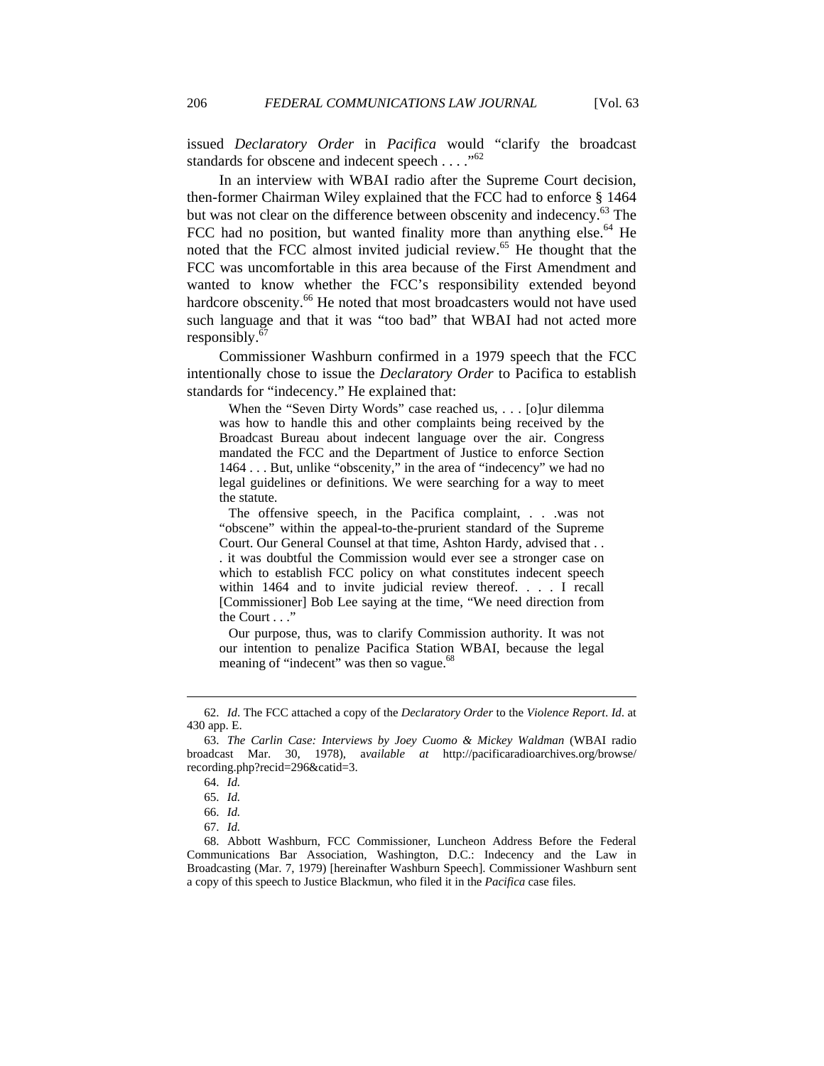issued *Declaratory Order* in *Pacifica* would "clarify the broadcast standards for obscene and indecent speech  $\dots$ ."<sup>62</sup>

In an interview with WBAI radio after the Supreme Court decision, then-former Chairman Wiley explained that the FCC had to enforce § 1464 but was not clear on the difference between obscenity and indecency.<sup>63</sup> The FCC had no position, but wanted finality more than anything else.<sup>64</sup> He noted that the FCC almost invited judicial review.<sup>65</sup> He thought that the FCC was uncomfortable in this area because of the First Amendment and wanted to know whether the FCC's responsibility extended beyond hardcore obscenity.<sup>66</sup> He noted that most broadcasters would not have used such language and that it was "too bad" that WBAI had not acted more responsibly. $67$ 

Commissioner Washburn confirmed in a 1979 speech that the FCC intentionally chose to issue the *Declaratory Order* to Pacifica to establish standards for "indecency." He explained that:

 When the "Seven Dirty Words" case reached us, . . . [o]ur dilemma was how to handle this and other complaints being received by the Broadcast Bureau about indecent language over the air. Congress mandated the FCC and the Department of Justice to enforce Section 1464 . . . But, unlike "obscenity," in the area of "indecency" we had no legal guidelines or definitions. We were searching for a way to meet the statute.

 The offensive speech, in the Pacifica complaint, . . .was not "obscene" within the appeal-to-the-prurient standard of the Supreme Court. Our General Counsel at that time, Ashton Hardy, advised that . . . it was doubtful the Commission would ever see a stronger case on which to establish FCC policy on what constitutes indecent speech within 1464 and to invite judicial review thereof. . . . I recall [Commissioner] Bob Lee saying at the time, "We need direction from the Court . . ."

 Our purpose, thus, was to clarify Commission authority. It was not our intention to penalize Pacifica Station WBAI, because the legal meaning of "indecent" was then so vague.<sup>68</sup>

 <sup>62.</sup> *Id*. The FCC attached a copy of the *Declaratory Order* to the *Violence Report*. *Id*. at 430 app. E.

<sup>63.</sup> *The Carlin Case: Interviews by Joey Cuomo & Mickey Waldman* (WBAI radio broadcast Mar. 30, 1978), a*vailable at* http://pacificaradioarchives.org/browse/ recording.php?recid=296&catid=3.

 <sup>64.</sup> *Id.*

 <sup>65.</sup> *Id.* 

 <sup>66.</sup> *Id.*

 <sup>67.</sup> *Id.*

 <sup>68.</sup> Abbott Washburn, FCC Commissioner, Luncheon Address Before the Federal Communications Bar Association, Washington, D.C.: Indecency and the Law in Broadcasting (Mar. 7, 1979) [hereinafter Washburn Speech]. Commissioner Washburn sent a copy of this speech to Justice Blackmun, who filed it in the *Pacifica* case files.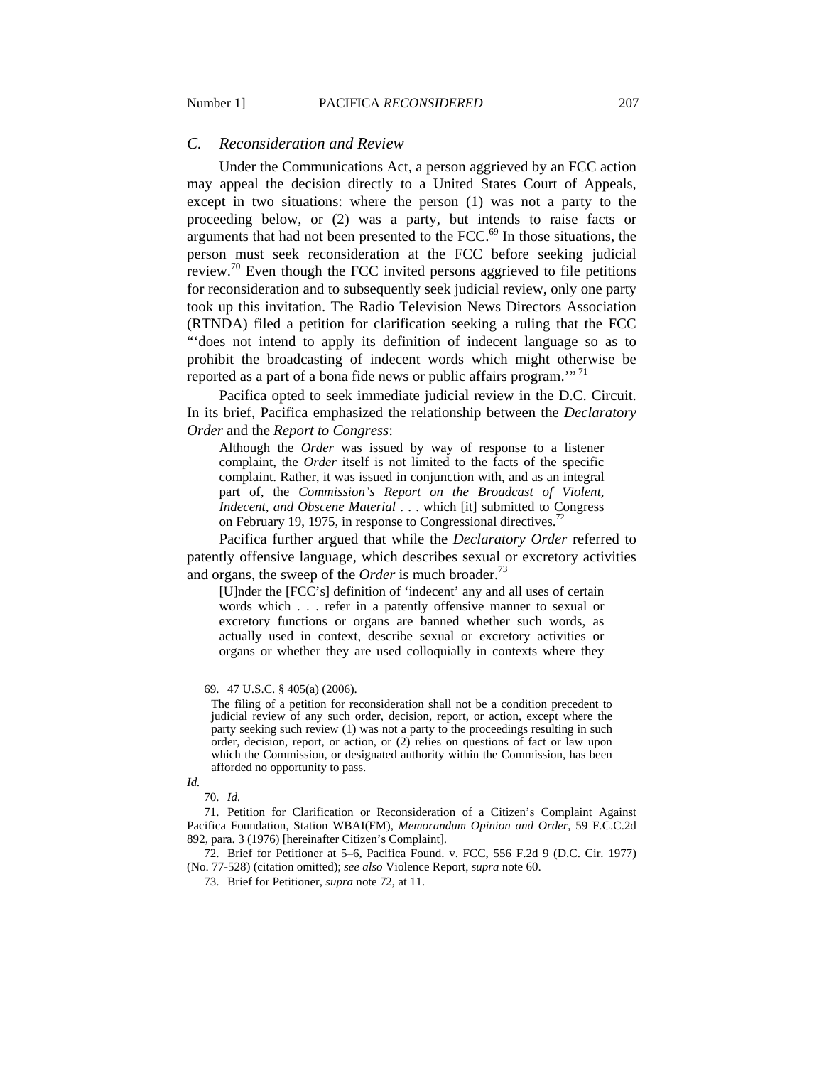#### *C. Reconsideration and Review*

Under the Communications Act, a person aggrieved by an FCC action may appeal the decision directly to a United States Court of Appeals, except in two situations: where the person (1) was not a party to the proceeding below, or (2) was a party, but intends to raise facts or arguments that had not been presented to the FCC.<sup>69</sup> In those situations, the person must seek reconsideration at the FCC before seeking judicial review.<sup>70</sup> Even though the FCC invited persons aggrieved to file petitions for reconsideration and to subsequently seek judicial review, only one party took up this invitation. The Radio Television News Directors Association (RTNDA) filed a petition for clarification seeking a ruling that the FCC "'does not intend to apply its definition of indecent language so as to prohibit the broadcasting of indecent words which might otherwise be reported as a part of a bona fide news or public affairs program."<sup>71</sup>

Pacifica opted to seek immediate judicial review in the D.C. Circuit. In its brief, Pacifica emphasized the relationship between the *Declaratory Order* and the *Report to Congress*:

Although the *Order* was issued by way of response to a listener complaint, the *Order* itself is not limited to the facts of the specific complaint. Rather, it was issued in conjunction with, and as an integral part of, the *Commission's Report on the Broadcast of Violent, Indecent, and Obscene Material* . . . which [it] submitted to Congress on February 19, 1975, in response to Congressional directives.<sup>72</sup>

Pacifica further argued that while the *Declaratory Order* referred to patently offensive language, which describes sexual or excretory activities and organs, the sweep of the *Order* is much broader.<sup>73</sup>

[U]nder the [FCC's] definition of 'indecent' any and all uses of certain words which . . . refer in a patently offensive manner to sexual or excretory functions or organs are banned whether such words, as actually used in context, describe sexual or excretory activities or organs or whether they are used colloquially in contexts where they

*Id.* 

 $\overline{a}$ 

 72. Brief for Petitioner at 5–6, Pacifica Found. v. FCC, 556 F.2d 9 (D.C. Cir. 1977) (No. 77-528) (citation omitted); *see also* Violence Report, *supra* note 60.

 <sup>69. 47</sup> U.S.C. § 405(a) (2006).

The filing of a petition for reconsideration shall not be a condition precedent to judicial review of any such order, decision, report, or action, except where the party seeking such review (1) was not a party to the proceedings resulting in such order, decision, report, or action, or (2) relies on questions of fact or law upon which the Commission, or designated authority within the Commission, has been afforded no opportunity to pass.

 <sup>70.</sup> *Id.* 

 <sup>71.</sup> Petition for Clarification or Reconsideration of a Citizen's Complaint Against Pacifica Foundation, Station WBAI(FM), *Memorandum Opinion and Order*, 59 F.C.C.2d 892, para. 3 (1976) [hereinafter Citizen's Complaint].

 <sup>73.</sup> Brief for Petitioner, *supra* note 72, at 11.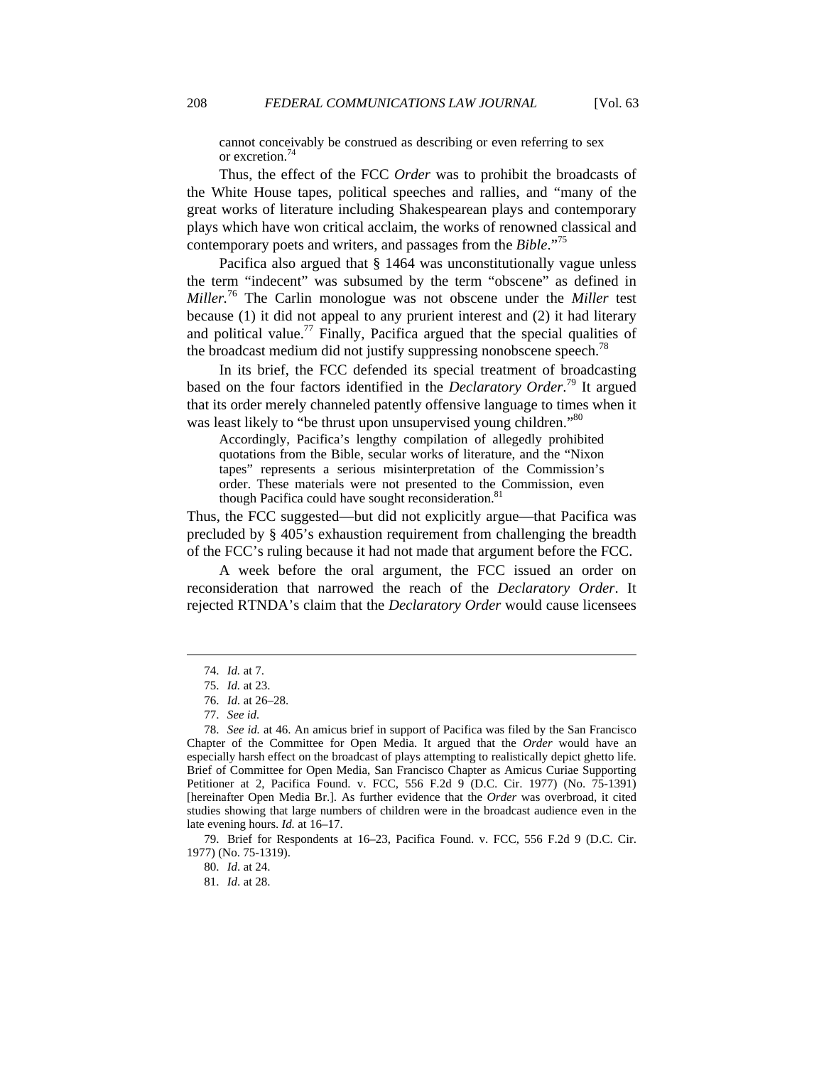cannot conceivably be construed as describing or even referring to sex or excretion. $^7$ 

Thus, the effect of the FCC *Order* was to prohibit the broadcasts of the White House tapes, political speeches and rallies, and "many of the great works of literature including Shakespearean plays and contemporary plays which have won critical acclaim, the works of renowned classical and contemporary poets and writers, and passages from the *Bible*."75

Pacifica also argued that § 1464 was unconstitutionally vague unless the term "indecent" was subsumed by the term "obscene" as defined in *Miller.*<sup>76</sup> The Carlin monologue was not obscene under the *Miller* test because (1) it did not appeal to any prurient interest and (2) it had literary and political value.<sup>77</sup> Finally, Pacifica argued that the special qualities of the broadcast medium did not justify suppressing nonobscene speech.<sup>78</sup>

In its brief, the FCC defended its special treatment of broadcasting based on the four factors identified in the *Declaratory Order*. 79 It argued that its order merely channeled patently offensive language to times when it was least likely to "be thrust upon unsupervised young children."<sup>80</sup>

Accordingly, Pacifica's lengthy compilation of allegedly prohibited quotations from the Bible, secular works of literature, and the "Nixon tapes" represents a serious misinterpretation of the Commission's order. These materials were not presented to the Commission, even though Pacifica could have sought reconsideration.<sup>8</sup>

Thus, the FCC suggested—but did not explicitly argue—that Pacifica was precluded by § 405's exhaustion requirement from challenging the breadth of the FCC's ruling because it had not made that argument before the FCC.

A week before the oral argument, the FCC issued an order on reconsideration that narrowed the reach of the *Declaratory Order*. It rejected RTNDA's claim that the *Declaratory Order* would cause licensees

 $\overline{a}$ 

 79. Brief for Respondents at 16–23, Pacifica Found. v. FCC, 556 F.2d 9 (D.C. Cir. 1977) (No. 75-1319).

 <sup>74.</sup> *Id.* at 7.

 <sup>75.</sup> *Id.* at 23.

 <sup>76.</sup> *Id.* at 26–28.

 <sup>77.</sup> *See id.* 

 <sup>78.</sup> *See id.* at 46. An amicus brief in support of Pacifica was filed by the San Francisco Chapter of the Committee for Open Media. It argued that the *Order* would have an especially harsh effect on the broadcast of plays attempting to realistically depict ghetto life. Brief of Committee for Open Media, San Francisco Chapter as Amicus Curiae Supporting Petitioner at 2, Pacifica Found. v. FCC, 556 F.2d 9 (D.C. Cir. 1977) (No. 75-1391) [hereinafter Open Media Br.]. As further evidence that the *Order* was overbroad, it cited studies showing that large numbers of children were in the broadcast audience even in the late evening hours. *Id.* at 16–17.

 <sup>80.</sup> *Id*. at 24.

 <sup>81.</sup> *Id*. at 28.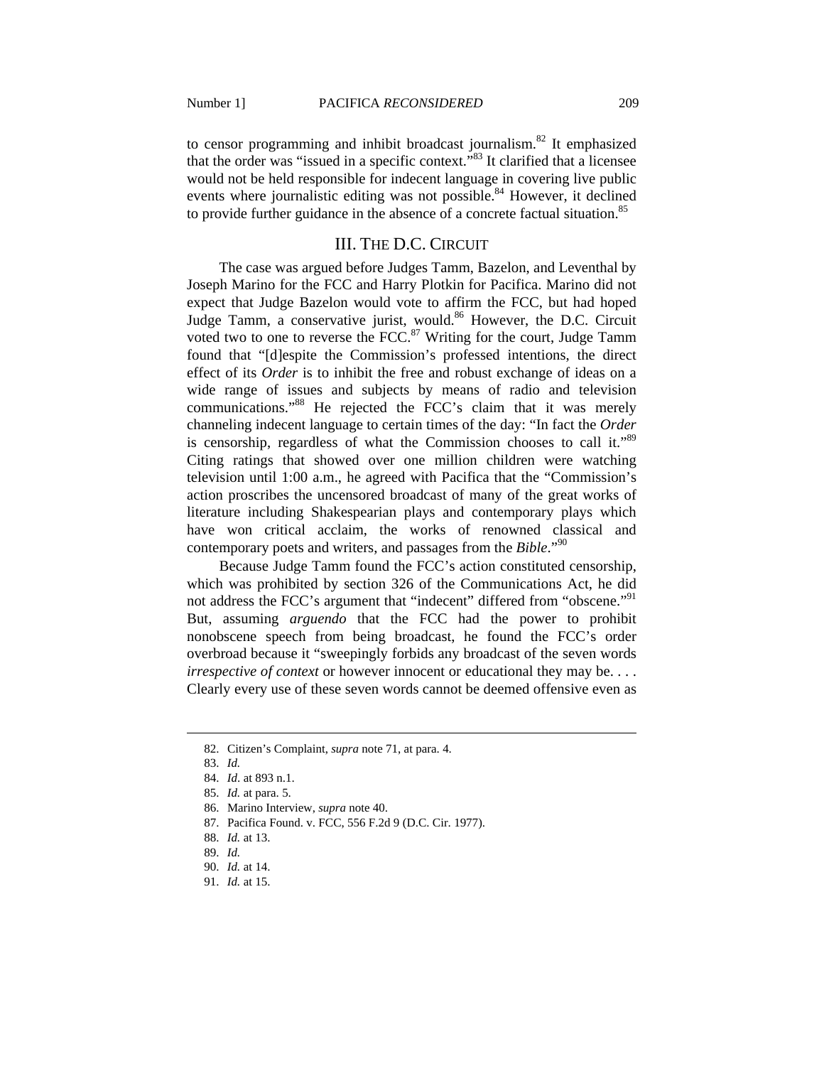to censor programming and inhibit broadcast journalism.<sup>82</sup> It emphasized that the order was "issued in a specific context."<sup>83</sup> It clarified that a licensee would not be held responsible for indecent language in covering live public events where journalistic editing was not possible.<sup>84</sup> However, it declined to provide further guidance in the absence of a concrete factual situation.<sup>85</sup>

#### III. THE D.C. CIRCUIT

The case was argued before Judges Tamm, Bazelon, and Leventhal by Joseph Marino for the FCC and Harry Plotkin for Pacifica. Marino did not expect that Judge Bazelon would vote to affirm the FCC, but had hoped Judge Tamm, a conservative jurist, would.<sup>86</sup> However, the D.C. Circuit voted two to one to reverse the FCC.<sup>87</sup> Writing for the court, Judge Tamm found that "[d]espite the Commission's professed intentions, the direct effect of its *Order* is to inhibit the free and robust exchange of ideas on a wide range of issues and subjects by means of radio and television communications."88 He rejected the FCC's claim that it was merely channeling indecent language to certain times of the day: "In fact the *Order*  is censorship, regardless of what the Commission chooses to call it."<sup>89</sup> Citing ratings that showed over one million children were watching television until 1:00 a.m., he agreed with Pacifica that the "Commission's action proscribes the uncensored broadcast of many of the great works of literature including Shakespearian plays and contemporary plays which have won critical acclaim, the works of renowned classical and contemporary poets and writers, and passages from the *Bible*."90

Because Judge Tamm found the FCC's action constituted censorship, which was prohibited by section 326 of the Communications Act, he did not address the FCC's argument that "indecent" differed from "obscene."<sup>91</sup> But, assuming *arguendo* that the FCC had the power to prohibit nonobscene speech from being broadcast, he found the FCC's order overbroad because it "sweepingly forbids any broadcast of the seven words *irrespective of context* or however innocent or educational they may be. . . . Clearly every use of these seven words cannot be deemed offensive even as

 <sup>82.</sup> Citizen's Complaint, *supra* note 71, at para. 4.

 <sup>83.</sup> *Id.*

 <sup>84.</sup> *Id*. at 893 n.1.

 <sup>85.</sup> *Id.* at para. 5.

 <sup>86.</sup> Marino Interview, *supra* note 40.

 <sup>87.</sup> Pacifica Found. v. FCC, 556 F.2d 9 (D.C. Cir. 1977).

 <sup>88.</sup> *Id.* at 13.

 <sup>89.</sup> *Id.*

 <sup>90.</sup> *Id.* at 14.

 <sup>91.</sup> *Id.* at 15.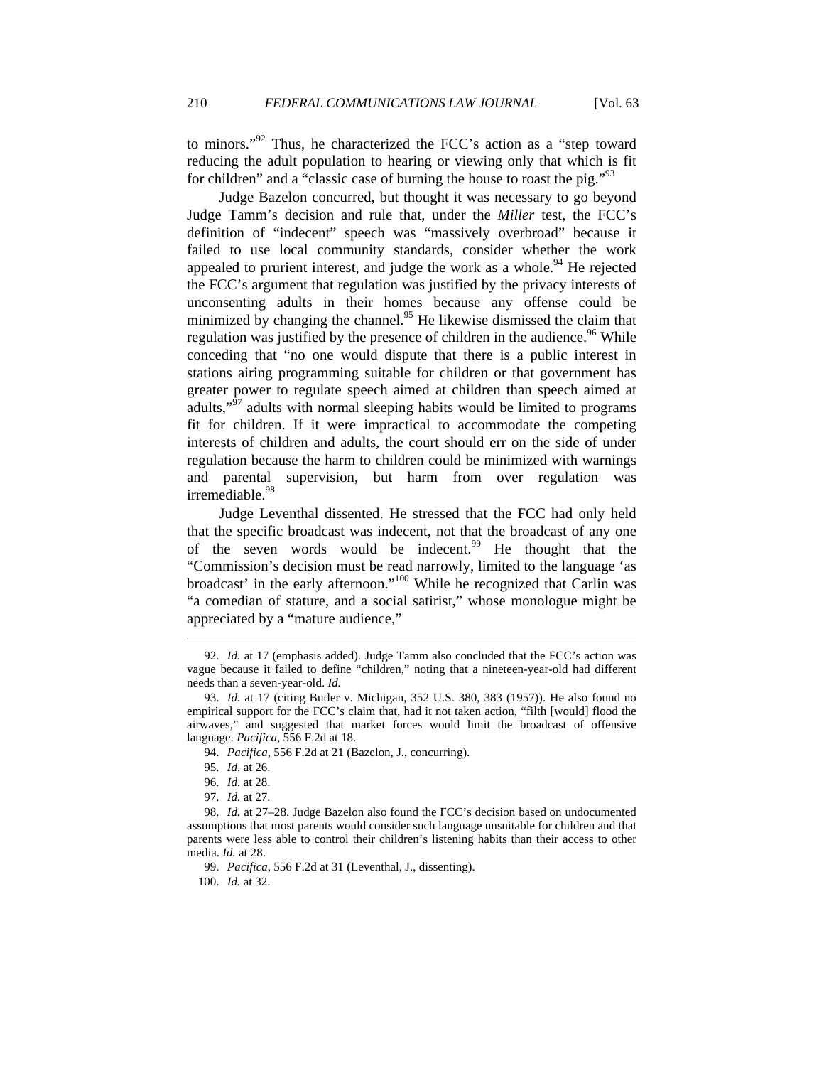to minors."92 Thus, he characterized the FCC's action as a "step toward reducing the adult population to hearing or viewing only that which is fit for children" and a "classic case of burning the house to roast the pig."<sup>93</sup>

Judge Bazelon concurred, but thought it was necessary to go beyond Judge Tamm's decision and rule that, under the *Miller* test, the FCC's definition of "indecent" speech was "massively overbroad" because it failed to use local community standards, consider whether the work appealed to prurient interest, and judge the work as a whole.<sup>94</sup> He rejected the FCC's argument that regulation was justified by the privacy interests of unconsenting adults in their homes because any offense could be minimized by changing the channel.<sup>95</sup> He likewise dismissed the claim that regulation was justified by the presence of children in the audience.<sup>96</sup> While conceding that "no one would dispute that there is a public interest in stations airing programming suitable for children or that government has greater power to regulate speech aimed at children than speech aimed at adults,"<sup>97</sup> adults with normal sleeping habits would be limited to programs fit for children. If it were impractical to accommodate the competing interests of children and adults, the court should err on the side of under regulation because the harm to children could be minimized with warnings and parental supervision, but harm from over regulation was irremediable.<sup>98</sup>

Judge Leventhal dissented. He stressed that the FCC had only held that the specific broadcast was indecent, not that the broadcast of any one of the seven words would be indecent.<sup>99</sup> He thought that the "Commission's decision must be read narrowly, limited to the language 'as broadcast' in the early afternoon."<sup>100</sup> While he recognized that Carlin was "a comedian of stature, and a social satirist," whose monologue might be appreciated by a "mature audience,"

 <sup>92.</sup> *Id.* at 17 (emphasis added). Judge Tamm also concluded that the FCC's action was vague because it failed to define "children," noting that a nineteen-year-old had different needs than a seven-year-old. *Id.*

 <sup>93.</sup> *Id.* at 17 (citing Butler v. Michigan, 352 U.S. 380, 383 (1957)). He also found no empirical support for the FCC's claim that, had it not taken action, "filth [would] flood the airwaves," and suggested that market forces would limit the broadcast of offensive language. *Pacifica*, 556 F.2d at 18.

 <sup>94.</sup> *Pacifica*, 556 F.2d at 21 (Bazelon, J., concurring).

 <sup>95.</sup> *Id*. at 26.

 <sup>96.</sup> *Id.* at 28.

 <sup>97.</sup> *Id.* at 27.

 <sup>98.</sup> *Id.* at 27–28. Judge Bazelon also found the FCC's decision based on undocumented assumptions that most parents would consider such language unsuitable for children and that parents were less able to control their children's listening habits than their access to other media. *Id.* at 28.

 <sup>99.</sup> *Pacifica*, 556 F.2d at 31 (Leventhal, J., dissenting).

 <sup>100.</sup> *Id.* at 32.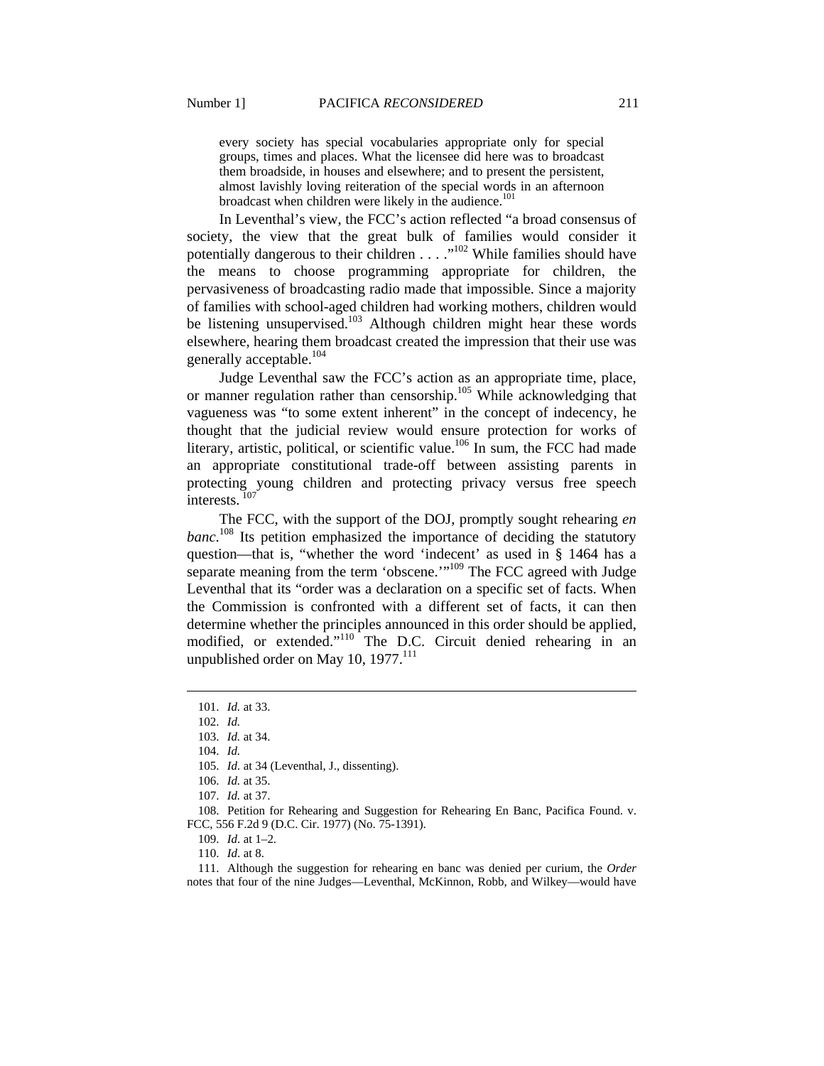every society has special vocabularies appropriate only for special groups, times and places. What the licensee did here was to broadcast them broadside, in houses and elsewhere; and to present the persistent, almost lavishly loving reiteration of the special words in an afternoon broadcast when children were likely in the audience.<sup>101</sup>

In Leventhal's view, the FCC's action reflected "a broad consensus of society, the view that the great bulk of families would consider it potentially dangerous to their children  $\dots$ ."<sup>102</sup> While families should have the means to choose programming appropriate for children, the pervasiveness of broadcasting radio made that impossible. Since a majority of families with school-aged children had working mothers, children would be listening unsupervised.<sup>103</sup> Although children might hear these words elsewhere, hearing them broadcast created the impression that their use was generally acceptable.<sup>104</sup>

Judge Leventhal saw the FCC's action as an appropriate time, place, or manner regulation rather than censorship.<sup>105</sup> While acknowledging that vagueness was "to some extent inherent" in the concept of indecency, he thought that the judicial review would ensure protection for works of literary, artistic, political, or scientific value.<sup>106</sup> In sum, the FCC had made an appropriate constitutional trade-off between assisting parents in protecting young children and protecting privacy versus free speech interests<sup>107</sup>

The FCC, with the support of the DOJ, promptly sought rehearing *en banc*. 108 Its petition emphasized the importance of deciding the statutory question—that is, "whether the word 'indecent' as used in § 1464 has a separate meaning from the term 'obscene.'"<sup>109</sup> The FCC agreed with Judge Leventhal that its "order was a declaration on a specific set of facts. When the Commission is confronted with a different set of facts, it can then determine whether the principles announced in this order should be applied, modified, or extended."<sup>110</sup> The D.C. Circuit denied rehearing in an unpublished order on May 10,  $1977$ <sup>111</sup>

 <sup>101.</sup> *Id.* at 33.

 <sup>102.</sup> *Id.*

 <sup>103.</sup> *Id.* at 34.

 <sup>104.</sup> *Id.*

 <sup>105.</sup> *Id.* at 34 (Leventhal, J., dissenting).

 <sup>106.</sup> *Id.* at 35.

 <sup>107.</sup> *Id.* at 37.

 <sup>108.</sup> Petition for Rehearing and Suggestion for Rehearing En Banc, Pacifica Found. v. FCC, 556 F.2d 9 (D.C. Cir. 1977) (No. 75-1391).

 <sup>109.</sup> *Id*. at 1–2.

 <sup>110.</sup> *Id*. at 8.

 <sup>111.</sup> Although the suggestion for rehearing en banc was denied per curium, the *Order* notes that four of the nine Judges—Leventhal, McKinnon, Robb, and Wilkey—would have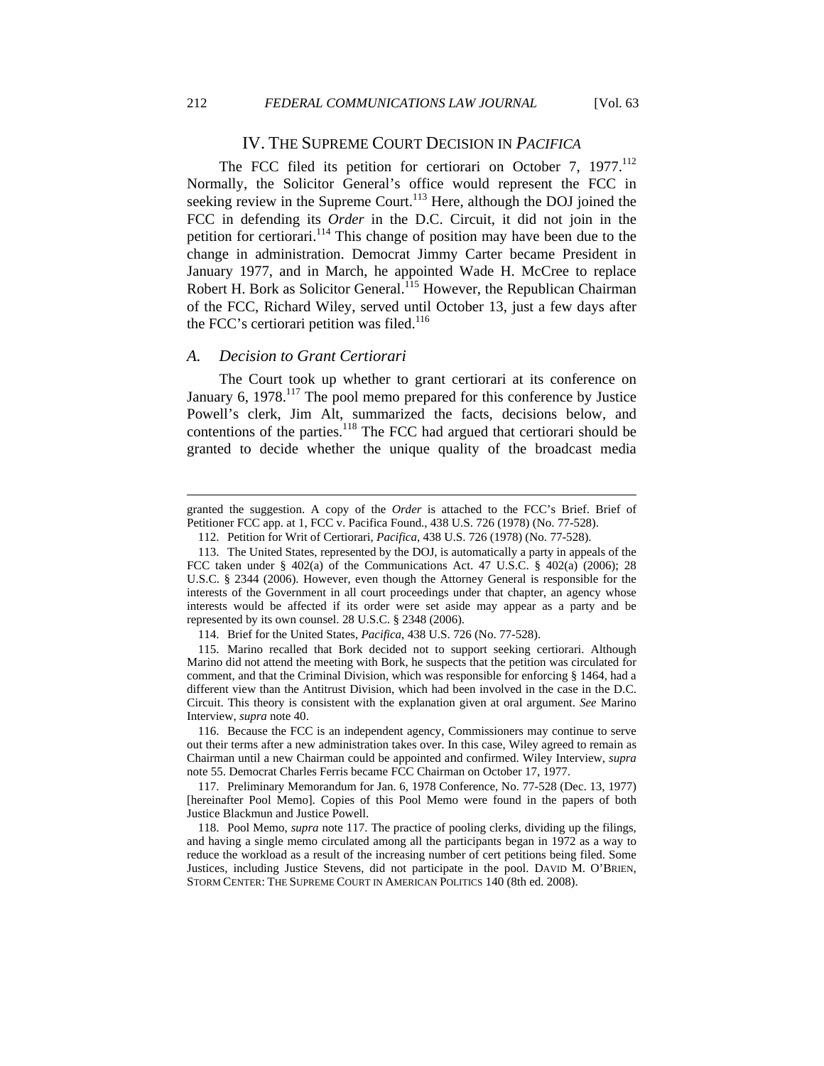$\overline{a}$ 

## IV. THE SUPREME COURT DECISION IN *PACIFICA*

The FCC filed its petition for certiorari on October 7, 1977.<sup>112</sup> Normally, the Solicitor General's office would represent the FCC in seeking review in the Supreme Court.<sup>113</sup> Here, although the DOJ joined the FCC in defending its *Order* in the D.C. Circuit, it did not join in the petition for certiorari.<sup>114</sup> This change of position may have been due to the change in administration. Democrat Jimmy Carter became President in January 1977, and in March, he appointed Wade H. McCree to replace Robert H. Bork as Solicitor General.<sup>115</sup> However, the Republican Chairman of the FCC, Richard Wiley, served until October 13, just a few days after the FCC's certiorari petition was filed.<sup>116</sup>

#### *A. Decision to Grant Certiorari*

The Court took up whether to grant certiorari at its conference on January 6,  $1978$ .<sup>117</sup> The pool memo prepared for this conference by Justice Powell's clerk, Jim Alt, summarized the facts, decisions below, and contentions of the parties.<sup>118</sup> The FCC had argued that certiorari should be granted to decide whether the unique quality of the broadcast media

granted the suggestion. A copy of the *Order* is attached to the FCC's Brief. Brief of Petitioner FCC app. at 1, FCC v. Pacifica Found., 438 U.S. 726 (1978) (No. 77-528).

 <sup>112.</sup> Petition for Writ of Certiorari, *Pacifica*, 438 U.S. 726 (1978) (No. 77-528).

 <sup>113.</sup> The United States, represented by the DOJ, is automatically a party in appeals of the FCC taken under § 402(a) of the Communications Act. 47 U.S.C. § 402(a) (2006); 28 U.S.C. § 2344 (2006). However, even though the Attorney General is responsible for the interests of the Government in all court proceedings under that chapter, an agency whose interests would be affected if its order were set aside may appear as a party and be represented by its own counsel. 28 U.S.C. § 2348 (2006).

 <sup>114.</sup> Brief for the United States, *Pacifica*, 438 U.S. 726 (No. 77-528).

 <sup>115.</sup> Marino recalled that Bork decided not to support seeking certiorari. Although Marino did not attend the meeting with Bork, he suspects that the petition was circulated for comment, and that the Criminal Division, which was responsible for enforcing § 1464, had a different view than the Antitrust Division, which had been involved in the case in the D.C. Circuit. This theory is consistent with the explanation given at oral argument. *See* Marino Interview, *supra* note 40.

 <sup>116.</sup> Because the FCC is an independent agency, Commissioners may continue to serve out their terms after a new administration takes over. In this case, Wiley agreed to remain as Chairman until a new Chairman could be appointed and confirmed. Wiley Interview, *supra* note 55. Democrat Charles Ferris became FCC Chairman on October 17, 1977.

 <sup>117.</sup> Preliminary Memorandum for Jan. 6, 1978 Conference, No. 77-528 (Dec. 13, 1977) [hereinafter Pool Memo]. Copies of this Pool Memo were found in the papers of both Justice Blackmun and Justice Powell.

 <sup>118.</sup> Pool Memo, *supra* note 117. The practice of pooling clerks, dividing up the filings, and having a single memo circulated among all the participants began in 1972 as a way to reduce the workload as a result of the increasing number of cert petitions being filed. Some Justices, including Justice Stevens, did not participate in the pool. DAVID M. O'BRIEN, STORM CENTER: THE SUPREME COURT IN AMERICAN POLITICS 140 (8th ed. 2008).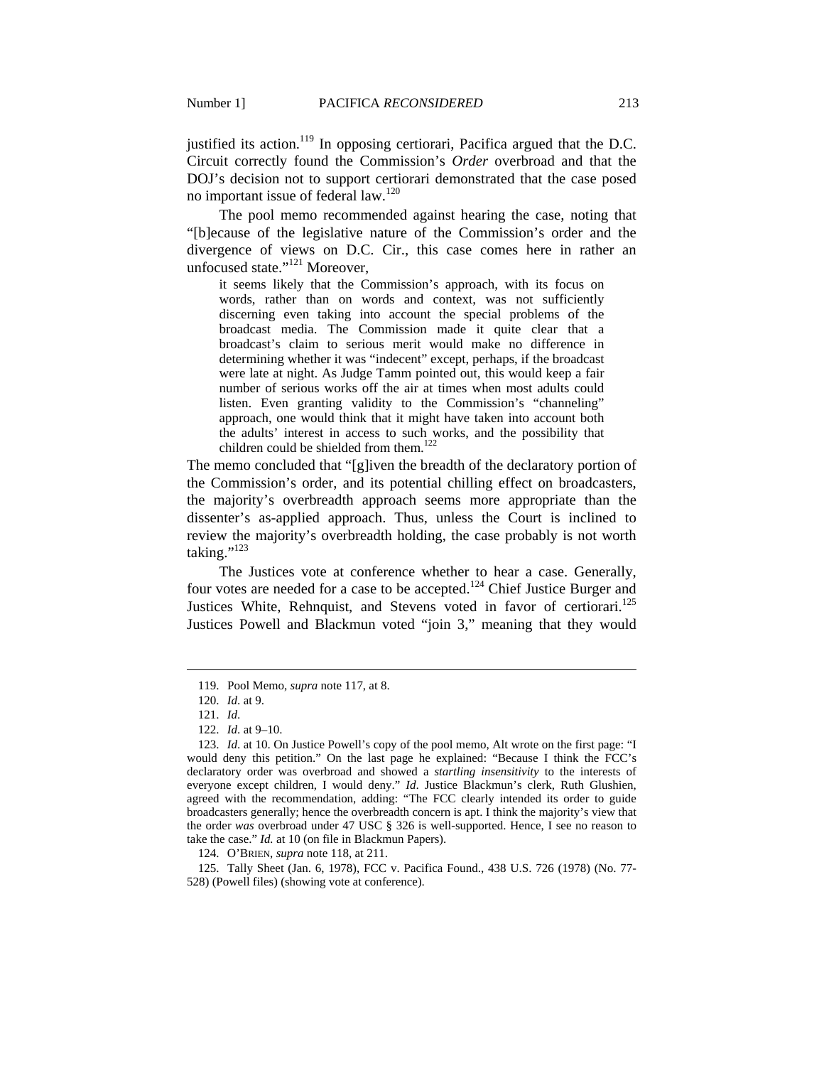justified its action.<sup>119</sup> In opposing certiorari, Pacifica argued that the D.C. Circuit correctly found the Commission's *Order* overbroad and that the DOJ's decision not to support certiorari demonstrated that the case posed no important issue of federal law.<sup>120</sup>

The pool memo recommended against hearing the case, noting that "[b]ecause of the legislative nature of the Commission's order and the divergence of views on D.C. Cir., this case comes here in rather an unfocused state."<sup>121</sup> Moreover,

it seems likely that the Commission's approach, with its focus on words, rather than on words and context, was not sufficiently discerning even taking into account the special problems of the broadcast media. The Commission made it quite clear that a broadcast's claim to serious merit would make no difference in determining whether it was "indecent" except, perhaps, if the broadcast were late at night. As Judge Tamm pointed out, this would keep a fair number of serious works off the air at times when most adults could listen. Even granting validity to the Commission's "channeling" approach, one would think that it might have taken into account both the adults' interest in access to such works, and the possibility that children could be shielded from them.<sup>122</sup>

The memo concluded that "[g]iven the breadth of the declaratory portion of the Commission's order, and its potential chilling effect on broadcasters, the majority's overbreadth approach seems more appropriate than the dissenter's as-applied approach. Thus, unless the Court is inclined to review the majority's overbreadth holding, the case probably is not worth taking."<sup>123</sup>

The Justices vote at conference whether to hear a case. Generally, four votes are needed for a case to be accepted.<sup>124</sup> Chief Justice Burger and Justices White, Rehnquist, and Stevens voted in favor of certiorari.<sup>125</sup> Justices Powell and Blackmun voted "join 3," meaning that they would

 $\overline{a}$ 

124. O'BRIEN, *supra* note 118, at 211.

 125. Tally Sheet (Jan. 6, 1978), FCC v. Pacifica Found., 438 U.S. 726 (1978) (No. 77- 528) (Powell files) (showing vote at conference).

 <sup>119.</sup> Pool Memo, *supra* note 117, at 8.

 <sup>120.</sup> *Id*. at 9.

 <sup>121.</sup> *Id*.

 <sup>122.</sup> *Id*. at 9–10.

 <sup>123.</sup> *Id*. at 10. On Justice Powell's copy of the pool memo, Alt wrote on the first page: "I would deny this petition." On the last page he explained: "Because I think the FCC's declaratory order was overbroad and showed a *startling insensitivity* to the interests of everyone except children, I would deny." *Id*. Justice Blackmun's clerk, Ruth Glushien, agreed with the recommendation, adding: "The FCC clearly intended its order to guide broadcasters generally; hence the overbreadth concern is apt. I think the majority's view that the order *was* overbroad under 47 USC § 326 is well-supported. Hence, I see no reason to take the case." *Id.* at 10 (on file in Blackmun Papers).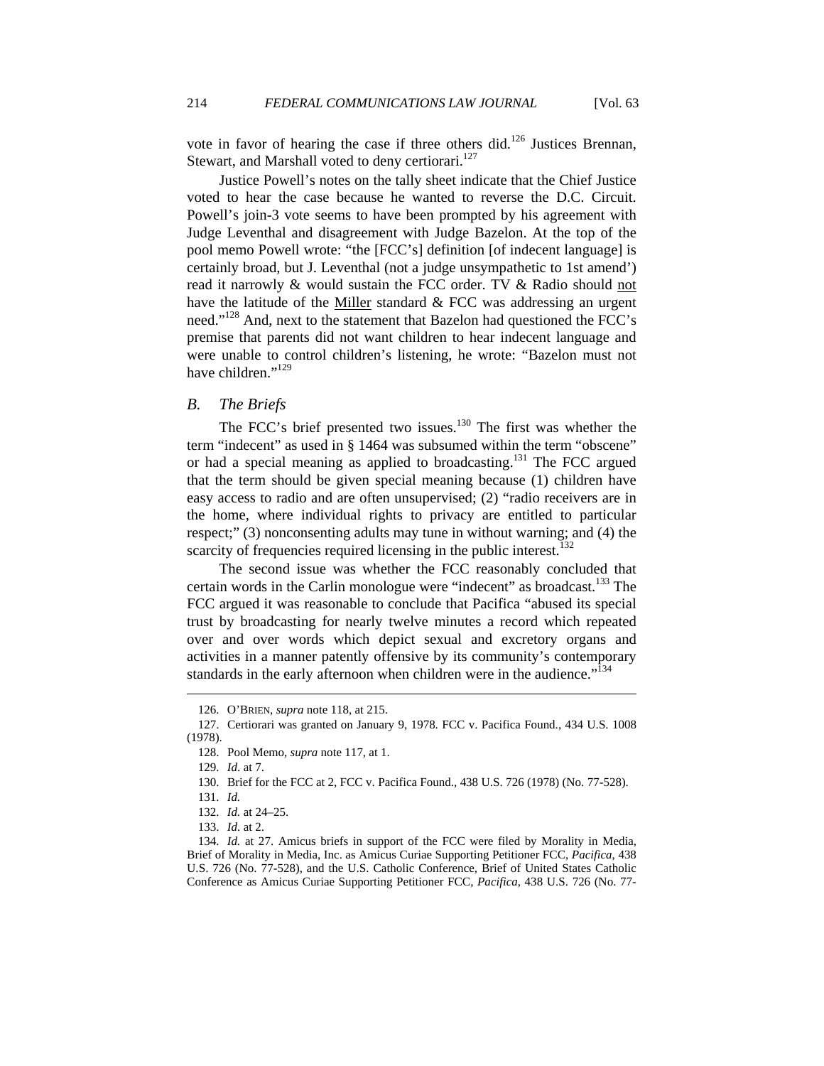vote in favor of hearing the case if three others did.<sup>126</sup> Justices Brennan, Stewart, and Marshall voted to deny certiorari.<sup>127</sup>

Justice Powell's notes on the tally sheet indicate that the Chief Justice voted to hear the case because he wanted to reverse the D.C. Circuit. Powell's join-3 vote seems to have been prompted by his agreement with Judge Leventhal and disagreement with Judge Bazelon. At the top of the pool memo Powell wrote: "the [FCC's] definition [of indecent language] is certainly broad, but J. Leventhal (not a judge unsympathetic to 1st amend') read it narrowly & would sustain the FCC order. TV & Radio should not have the latitude of the Miller standard & FCC was addressing an urgent need."<sup>128</sup> And, next to the statement that Bazelon had questioned the FCC's premise that parents did not want children to hear indecent language and were unable to control children's listening, he wrote: "Bazelon must not have children."<sup>129</sup>

#### *B. The Briefs*

The FCC's brief presented two issues.<sup>130</sup> The first was whether the term "indecent" as used in § 1464 was subsumed within the term "obscene" or had a special meaning as applied to broadcasting.<sup>131</sup> The FCC argued that the term should be given special meaning because (1) children have easy access to radio and are often unsupervised; (2) "radio receivers are in the home, where individual rights to privacy are entitled to particular respect;" (3) nonconsenting adults may tune in without warning; and (4) the scarcity of frequencies required licensing in the public interest.<sup>132</sup>

The second issue was whether the FCC reasonably concluded that certain words in the Carlin monologue were "indecent" as broadcast. $133$  The FCC argued it was reasonable to conclude that Pacifica "abused its special trust by broadcasting for nearly twelve minutes a record which repeated over and over words which depict sexual and excretory organs and activities in a manner patently offensive by its community's contemporary standards in the early afternoon when children were in the audience."<sup>134</sup>

 <sup>126.</sup> O'BRIEN, *supra* note 118, at 215.

 <sup>127.</sup> Certiorari was granted on January 9, 1978. FCC v. Pacifica Found., 434 U.S. 1008 (1978).

 <sup>128.</sup> Pool Memo, *supra* note 117, at 1.

 <sup>129.</sup> *Id*. at 7.

 <sup>130.</sup> Brief for the FCC at 2, FCC v. Pacifica Found., 438 U.S. 726 (1978) (No. 77-528).

 <sup>131.</sup> *Id.*

 <sup>132.</sup> *Id.* at 24–25.

 <sup>133.</sup> *Id.* at 2.

 <sup>134.</sup> *Id.* at 27. Amicus briefs in support of the FCC were filed by Morality in Media, Brief of Morality in Media, Inc. as Amicus Curiae Supporting Petitioner FCC, *Pacifica*, 438 U.S. 726 (No. 77-528), and the U.S. Catholic Conference, Brief of United States Catholic Conference as Amicus Curiae Supporting Petitioner FCC, *Pacifica*, 438 U.S. 726 (No. 77-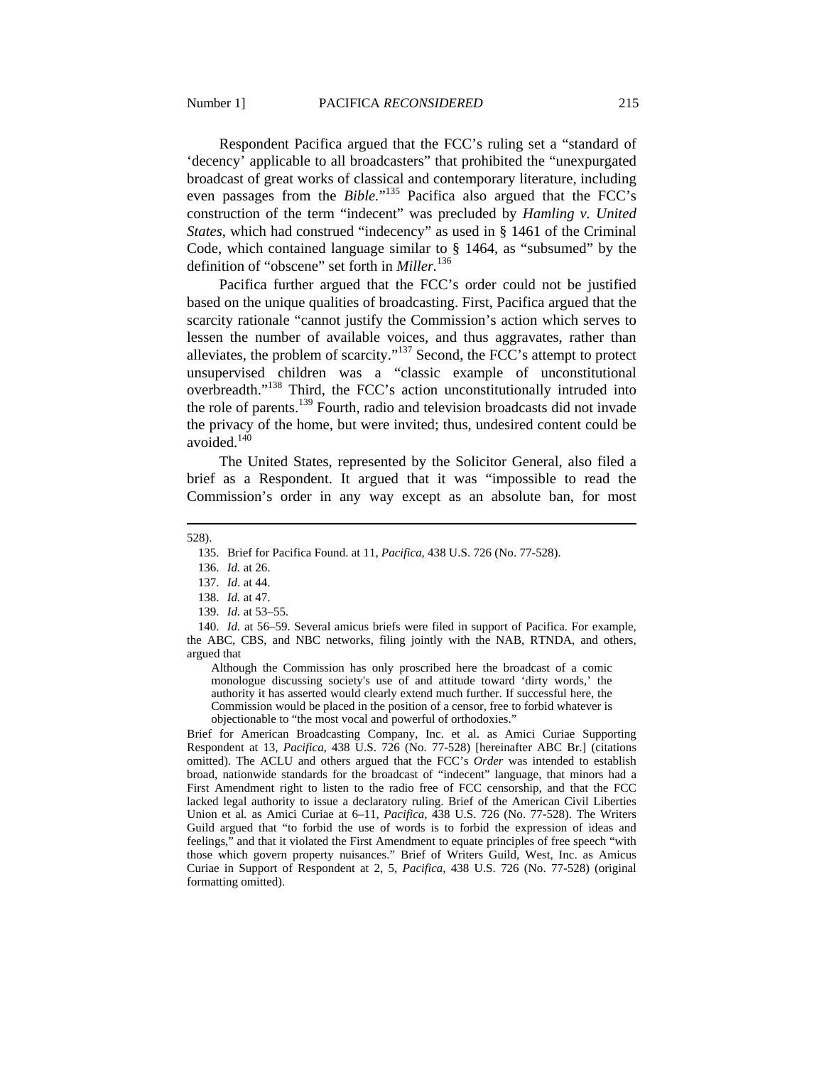Respondent Pacifica argued that the FCC's ruling set a "standard of 'decency' applicable to all broadcasters" that prohibited the "unexpurgated broadcast of great works of classical and contemporary literature, including even passages from the *Bible.*" 135 Pacifica also argued that the FCC's construction of the term "indecent" was precluded by *Hamling v. United States*, which had construed "indecency" as used in § 1461 of the Criminal Code, which contained language similar to § 1464, as "subsumed" by the definition of "obscene" set forth in *Miller.*136

Pacifica further argued that the FCC's order could not be justified based on the unique qualities of broadcasting. First, Pacifica argued that the scarcity rationale "cannot justify the Commission's action which serves to lessen the number of available voices, and thus aggravates, rather than alleviates, the problem of scarcity."137 Second, the FCC's attempt to protect unsupervised children was a "classic example of unconstitutional overbreadth."138 Third, the FCC's action unconstitutionally intruded into the role of parents.<sup>139</sup> Fourth, radio and television broadcasts did not invade the privacy of the home, but were invited; thus, undesired content could be avoided. $140$ 

The United States, represented by the Solicitor General, also filed a brief as a Respondent. It argued that it was "impossible to read the Commission's order in any way except as an absolute ban, for most

528).

 $\overline{a}$ 

136. *Id.* at 26.

Although the Commission has only proscribed here the broadcast of a comic monologue discussing society's use of and attitude toward 'dirty words,' the authority it has asserted would clearly extend much further. If successful here, the Commission would be placed in the position of a censor, free to forbid whatever is objectionable to "the most vocal and powerful of orthodoxies."

Brief for American Broadcasting Company, Inc. et al. as Amici Curiae Supporting Respondent at 13, *Pacifica*, 438 U.S. 726 (No. 77-528) [hereinafter ABC Br.] (citations omitted). The ACLU and others argued that the FCC's *Order* was intended to establish broad, nationwide standards for the broadcast of "indecent" language, that minors had a First Amendment right to listen to the radio free of FCC censorship, and that the FCC lacked legal authority to issue a declaratory ruling. Brief of the American Civil Liberties Union et al*.* as Amici Curiae at 6–11, *Pacifica*, 438 U.S. 726 (No. 77-528). The Writers Guild argued that "to forbid the use of words is to forbid the expression of ideas and feelings," and that it violated the First Amendment to equate principles of free speech "with those which govern property nuisances." Brief of Writers Guild, West, Inc. as Amicus Curiae in Support of Respondent at 2, 5, *Pacifica*, 438 U.S. 726 (No. 77-528) (original formatting omitted).

 <sup>135.</sup> Brief for Pacifica Found. at 11, *Pacifica*, 438 U.S. 726 (No. 77-528).

 <sup>137.</sup> *Id.* at 44.

 <sup>138.</sup> *Id.* at 47.

 <sup>139.</sup> *Id.* at 53–55.

 <sup>140.</sup> *Id.* at 56–59. Several amicus briefs were filed in support of Pacifica. For example, the ABC, CBS, and NBC networks, filing jointly with the NAB, RTNDA, and others, argued that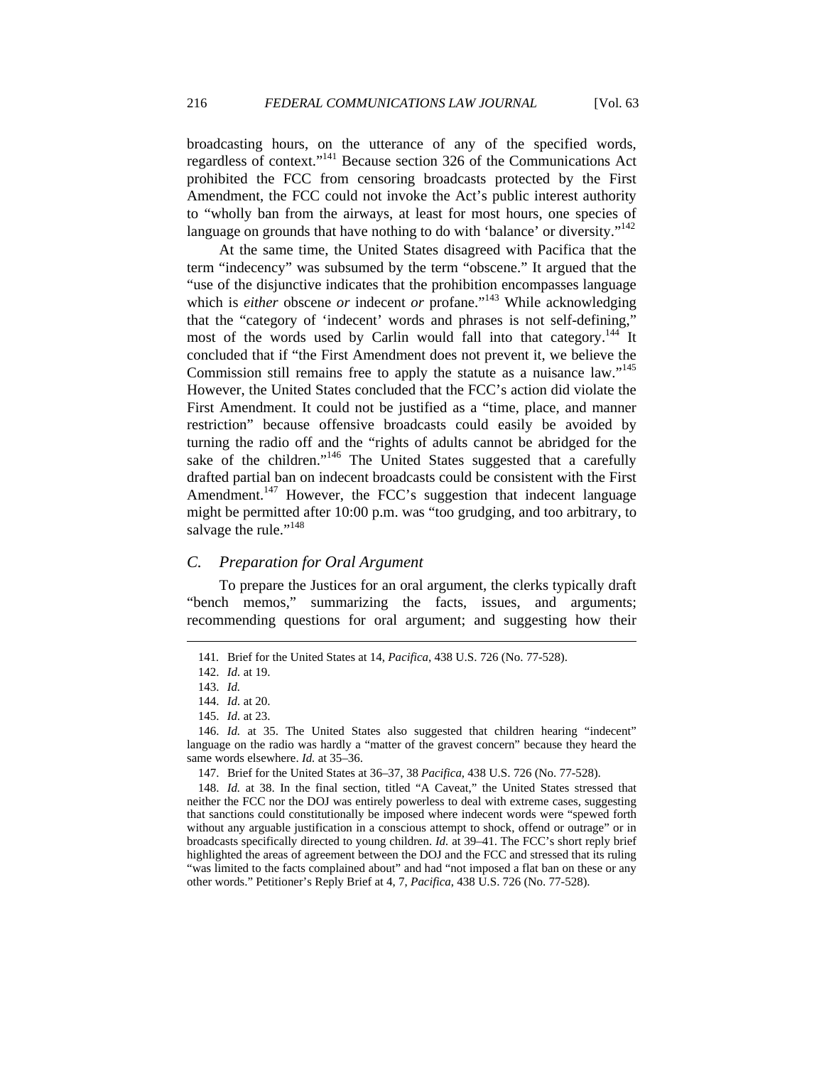broadcasting hours, on the utterance of any of the specified words, regardless of context."141 Because section 326 of the Communications Act prohibited the FCC from censoring broadcasts protected by the First Amendment, the FCC could not invoke the Act's public interest authority to "wholly ban from the airways, at least for most hours, one species of language on grounds that have nothing to do with 'balance' or diversity."<sup>142</sup>

At the same time, the United States disagreed with Pacifica that the term "indecency" was subsumed by the term "obscene." It argued that the "use of the disjunctive indicates that the prohibition encompasses language which is *either* obscene *or* indecent *or* profane."<sup>143</sup> While acknowledging that the "category of 'indecent' words and phrases is not self-defining," most of the words used by Carlin would fall into that category.<sup>144</sup> It concluded that if "the First Amendment does not prevent it, we believe the Commission still remains free to apply the statute as a nuisance law."<sup>145</sup> However, the United States concluded that the FCC's action did violate the First Amendment. It could not be justified as a "time, place, and manner restriction" because offensive broadcasts could easily be avoided by turning the radio off and the "rights of adults cannot be abridged for the sake of the children."<sup>146</sup> The United States suggested that a carefully drafted partial ban on indecent broadcasts could be consistent with the First Amendment.<sup>147</sup> However, the FCC's suggestion that indecent language might be permitted after 10:00 p.m. was "too grudging, and too arbitrary, to salvage the rule."<sup>148</sup>

## *C. Preparation for Oral Argument*

To prepare the Justices for an oral argument, the clerks typically draft "bench memos," summarizing the facts, issues, and arguments; recommending questions for oral argument; and suggesting how their

 <sup>141</sup>*.* Brief for the United States at 14, *Pacifica*, 438 U.S. 726 (No. 77-528).

 <sup>142.</sup> *Id.* at 19.

 <sup>143.</sup> *Id.*

 <sup>144.</sup> *Id.* at 20.

 <sup>145.</sup> *Id.* at 23.

 <sup>146.</sup> *Id.* at 35. The United States also suggested that children hearing "indecent" language on the radio was hardly a "matter of the gravest concern" because they heard the same words elsewhere. *Id.* at 35–36.

 <sup>147.</sup> Brief for the United States at 36–37, 38 *Pacifica*, 438 U.S. 726 (No. 77-528).

 <sup>148.</sup> *Id.* at 38. In the final section, titled "A Caveat," the United States stressed that neither the FCC nor the DOJ was entirely powerless to deal with extreme cases, suggesting that sanctions could constitutionally be imposed where indecent words were "spewed forth without any arguable justification in a conscious attempt to shock, offend or outrage" or in broadcasts specifically directed to young children. *Id.* at 39–41. The FCC's short reply brief highlighted the areas of agreement between the DOJ and the FCC and stressed that its ruling "was limited to the facts complained about" and had "not imposed a flat ban on these or any other words." Petitioner's Reply Brief at 4, 7, *Pacifica*, 438 U.S. 726 (No. 77-528).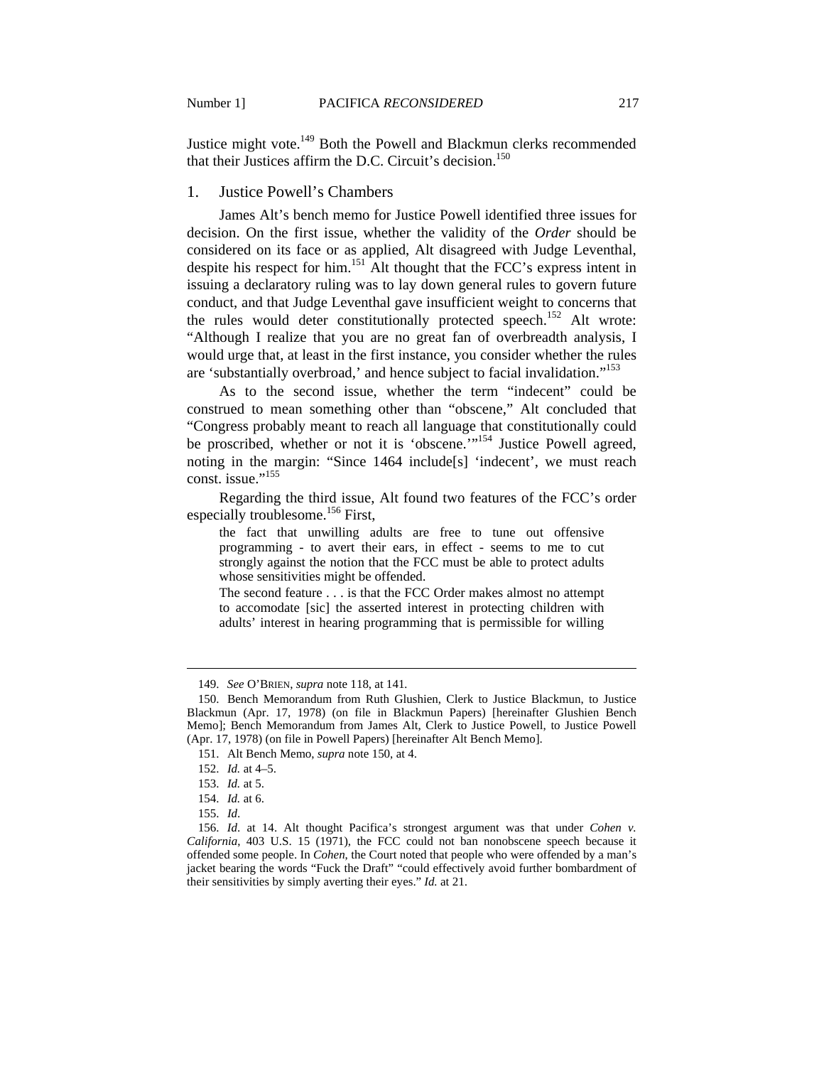Justice might vote.<sup>149</sup> Both the Powell and Blackmun clerks recommended that their Justices affirm the D.C. Circuit's decision.<sup>150</sup>

## 1. Justice Powell's Chambers

James Alt's bench memo for Justice Powell identified three issues for decision. On the first issue, whether the validity of the *Order* should be considered on its face or as applied, Alt disagreed with Judge Leventhal, despite his respect for him.<sup>151</sup> Alt thought that the FCC's express intent in issuing a declaratory ruling was to lay down general rules to govern future conduct, and that Judge Leventhal gave insufficient weight to concerns that the rules would deter constitutionally protected speech.<sup>152</sup> Alt wrote: "Although I realize that you are no great fan of overbreadth analysis, I would urge that, at least in the first instance, you consider whether the rules are 'substantially overbroad,' and hence subject to facial invalidation."<sup>153</sup>

As to the second issue, whether the term "indecent" could be construed to mean something other than "obscene," Alt concluded that "Congress probably meant to reach all language that constitutionally could be proscribed, whether or not it is 'obscene.'"<sup>154</sup> Justice Powell agreed, noting in the margin: "Since 1464 include[s] 'indecent', we must reach const. issue."<sup>155</sup>

Regarding the third issue, Alt found two features of the FCC's order especially troublesome.<sup>156</sup> First,

the fact that unwilling adults are free to tune out offensive programming - to avert their ears, in effect - seems to me to cut strongly against the notion that the FCC must be able to protect adults whose sensitivities might be offended.

The second feature . . . is that the FCC Order makes almost no attempt to accomodate [sic] the asserted interest in protecting children with adults' interest in hearing programming that is permissible for willing

 <sup>149.</sup> *See* O'BRIEN, *supra* note 118, at 141*.*

 <sup>150.</sup> Bench Memorandum from Ruth Glushien, Clerk to Justice Blackmun, to Justice Blackmun (Apr. 17, 1978) (on file in Blackmun Papers) [hereinafter Glushien Bench Memo]; Bench Memorandum from James Alt, Clerk to Justice Powell, to Justice Powell (Apr. 17, 1978) (on file in Powell Papers) [hereinafter Alt Bench Memo].

 <sup>151.</sup> Alt Bench Memo, *supra* note 150, at 4.

 <sup>152.</sup> *Id.* at 4–5.

 <sup>153.</sup> *Id.* at 5.

 <sup>154.</sup> *Id.* at 6.

 <sup>155.</sup> *Id*.

 <sup>156.</sup> *Id*. at 14. Alt thought Pacifica's strongest argument was that under *Cohen v. California*, 403 U.S. 15 (1971), the FCC could not ban nonobscene speech because it offended some people. In *Cohen*, the Court noted that people who were offended by a man's jacket bearing the words "Fuck the Draft" "could effectively avoid further bombardment of their sensitivities by simply averting their eyes." *Id.* at 21.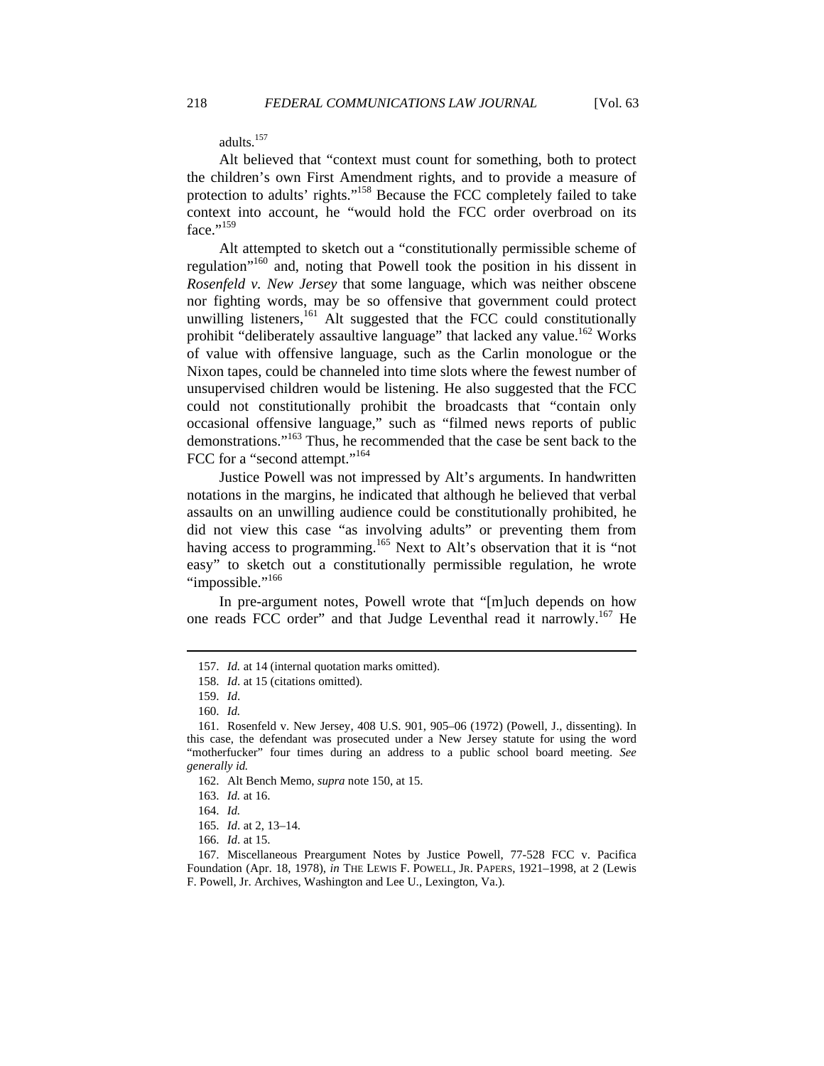adults.157

Alt believed that "context must count for something, both to protect the children's own First Amendment rights, and to provide a measure of protection to adults' rights."158 Because the FCC completely failed to take context into account, he "would hold the FCC order overbroad on its  $face.$ "<sup>159</sup>

Alt attempted to sketch out a "constitutionally permissible scheme of regulation"160 and, noting that Powell took the position in his dissent in *Rosenfeld v. New Jersey* that some language, which was neither obscene nor fighting words, may be so offensive that government could protect unwilling listeners,<sup>161</sup> Alt suggested that the FCC could constitutionally prohibit "deliberately assaultive language" that lacked any value.<sup>162</sup> Works of value with offensive language, such as the Carlin monologue or the Nixon tapes, could be channeled into time slots where the fewest number of unsupervised children would be listening. He also suggested that the FCC could not constitutionally prohibit the broadcasts that "contain only occasional offensive language," such as "filmed news reports of public demonstrations."163 Thus, he recommended that the case be sent back to the FCC for a "second attempt."<sup>164</sup>

Justice Powell was not impressed by Alt's arguments. In handwritten notations in the margins, he indicated that although he believed that verbal assaults on an unwilling audience could be constitutionally prohibited, he did not view this case "as involving adults" or preventing them from having access to programming.<sup>165</sup> Next to Alt's observation that it is "not easy" to sketch out a constitutionally permissible regulation, he wrote "impossible."<sup>166</sup>

In pre-argument notes, Powell wrote that "[m]uch depends on how one reads FCC order" and that Judge Leventhal read it narrowly.<sup>167</sup> He

 <sup>157.</sup> *Id.* at 14 (internal quotation marks omitted).

 <sup>158.</sup> *Id*. at 15 (citations omitted).

 <sup>159.</sup> *Id*.

 <sup>160.</sup> *Id.*

 <sup>161.</sup> Rosenfeld v. New Jersey, 408 U.S. 901, 905–06 (1972) (Powell, J., dissenting). In this case, the defendant was prosecuted under a New Jersey statute for using the word "motherfucker" four times during an address to a public school board meeting. *See generally id.* 

 <sup>162.</sup> Alt Bench Memo, *supra* note 150, at 15.

 <sup>163.</sup> *Id.* at 16.

 <sup>164.</sup> *Id.*

 <sup>165.</sup> *Id*. at 2, 13–14.

 <sup>166.</sup> *Id*. at 15.

 <sup>167.</sup> Miscellaneous Preargument Notes by Justice Powell, 77-528 FCC v. Pacifica Foundation (Apr. 18, 1978), *in* THE LEWIS F. POWELL, JR. PAPERS, 1921–1998, at 2 (Lewis F. Powell, Jr. Archives, Washington and Lee U., Lexington, Va.).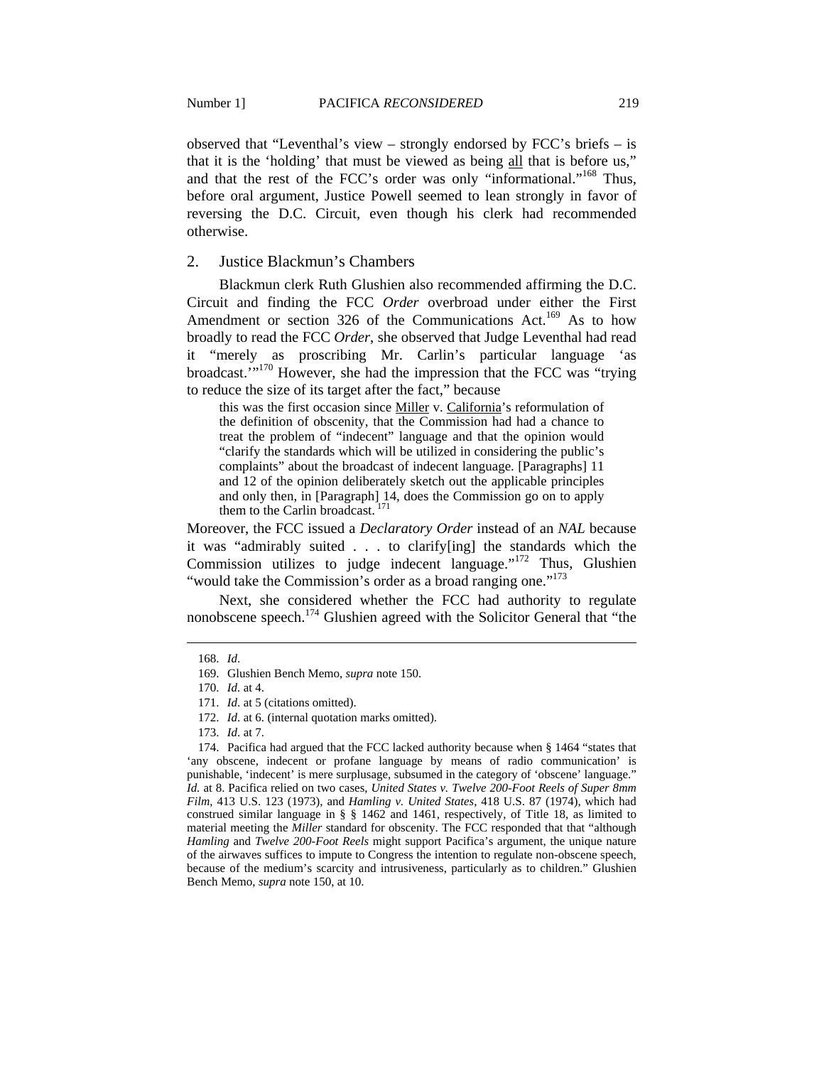observed that "Leventhal's view – strongly endorsed by FCC's briefs – is that it is the 'holding' that must be viewed as being all that is before us," and that the rest of the FCC's order was only "informational."168 Thus, before oral argument, Justice Powell seemed to lean strongly in favor of reversing the D.C. Circuit, even though his clerk had recommended otherwise.

2. Justice Blackmun's Chambers

Blackmun clerk Ruth Glushien also recommended affirming the D.C. Circuit and finding the FCC *Order* overbroad under either the First Amendment or section 326 of the Communications Act.<sup>169</sup> As to how broadly to read the FCC *Order*, she observed that Judge Leventhal had read it "merely as proscribing Mr. Carlin's particular language 'as broadcast.'"170 However, she had the impression that the FCC was "trying to reduce the size of its target after the fact," because

this was the first occasion since Miller v. California's reformulation of the definition of obscenity, that the Commission had had a chance to treat the problem of "indecent" language and that the opinion would "clarify the standards which will be utilized in considering the public's complaints" about the broadcast of indecent language. [Paragraphs] 11 and 12 of the opinion deliberately sketch out the applicable principles and only then, in [Paragraph] 14, does the Commission go on to apply them to the Carlin broadcast.

Moreover, the FCC issued a *Declaratory Order* instead of an *NAL* because it was "admirably suited . . . to clarify[ing] the standards which the Commission utilizes to judge indecent language." $172$  Thus, Glushien "would take the Commission's order as a broad ranging one."<sup>173</sup>

Next, she considered whether the FCC had authority to regulate nonobscene speech.<sup>174</sup> Glushien agreed with the Solicitor General that "the

 <sup>168.</sup> *Id*.

 <sup>169.</sup> Glushien Bench Memo, *supra* note 150.

 <sup>170.</sup> *Id.* at 4.

 <sup>171.</sup> *Id*. at 5 (citations omitted).

 <sup>172.</sup> *Id*. at 6. (internal quotation marks omitted).

 <sup>173.</sup> *Id*. at 7.

 <sup>174.</sup> Pacifica had argued that the FCC lacked authority because when § 1464 "states that 'any obscene, indecent or profane language by means of radio communication' is punishable, 'indecent' is mere surplusage, subsumed in the category of 'obscene' language." *Id.* at 8. Pacifica relied on two cases, *United States v. Twelve 200-Foot Reels of Super 8mm Film*, 413 U.S. 123 (1973), and *Hamling v. United States*, 418 U.S. 87 (1974), which had construed similar language in § § 1462 and 1461, respectively, of Title 18, as limited to material meeting the *Miller* standard for obscenity. The FCC responded that that "although *Hamling* and *Twelve 200-Foot Reels* might support Pacifica's argument, the unique nature of the airwaves suffices to impute to Congress the intention to regulate non-obscene speech, because of the medium's scarcity and intrusiveness, particularly as to children." Glushien Bench Memo, *supra* note 150, at 10.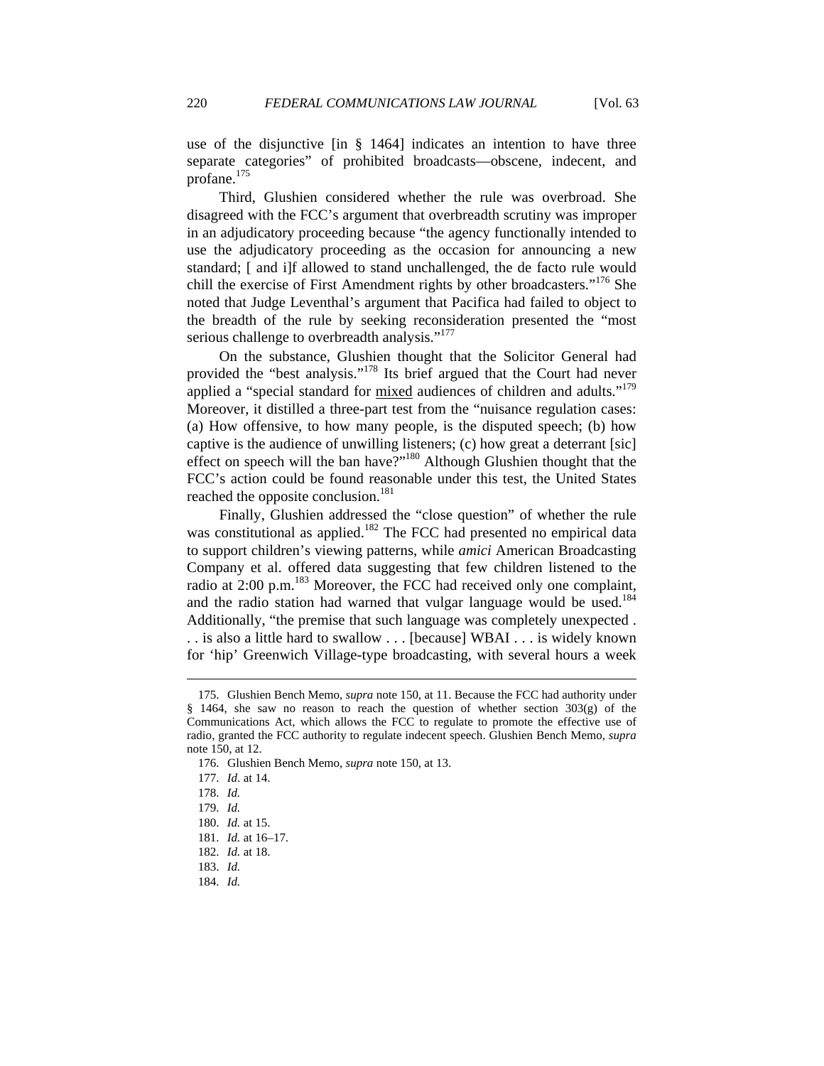use of the disjunctive [in § 1464] indicates an intention to have three separate categories" of prohibited broadcasts—obscene, indecent, and profane.175

Third, Glushien considered whether the rule was overbroad. She disagreed with the FCC's argument that overbreadth scrutiny was improper in an adjudicatory proceeding because "the agency functionally intended to use the adjudicatory proceeding as the occasion for announcing a new standard; [ and i]f allowed to stand unchallenged, the de facto rule would chill the exercise of First Amendment rights by other broadcasters."<sup>176</sup> She noted that Judge Leventhal's argument that Pacifica had failed to object to the breadth of the rule by seeking reconsideration presented the "most serious challenge to overbreadth analysis."<sup>177</sup>

On the substance, Glushien thought that the Solicitor General had provided the "best analysis."<sup>178</sup> Its brief argued that the Court had never applied a "special standard for mixed audiences of children and adults."<sup>179</sup> Moreover, it distilled a three-part test from the "nuisance regulation cases: (a) How offensive, to how many people, is the disputed speech; (b) how captive is the audience of unwilling listeners; (c) how great a deterrant [sic] effect on speech will the ban have?"<sup>180</sup> Although Glushien thought that the FCC's action could be found reasonable under this test, the United States reached the opposite conclusion.<sup>181</sup>

Finally, Glushien addressed the "close question" of whether the rule was constitutional as applied.<sup>182</sup> The FCC had presented no empirical data to support children's viewing patterns, while *amici* American Broadcasting Company et al. offered data suggesting that few children listened to the radio at 2:00 p.m.<sup>183</sup> Moreover, the FCC had received only one complaint, and the radio station had warned that vulgar language would be used.<sup>184</sup> Additionally, "the premise that such language was completely unexpected . . . is also a little hard to swallow . . . [because] WBAI . . . is widely known for 'hip' Greenwich Village-type broadcasting, with several hours a week

 <sup>175.</sup> Glushien Bench Memo, *supra* note 150, at 11. Because the FCC had authority under § 1464, she saw no reason to reach the question of whether section 303(g) of the Communications Act, which allows the FCC to regulate to promote the effective use of radio, granted the FCC authority to regulate indecent speech. Glushien Bench Memo, *supra*  note 150, at 12.

 <sup>176.</sup> Glushien Bench Memo, *supra* note 150, at 13.

 <sup>177.</sup> *Id*. at 14.

 <sup>178.</sup> *Id.*

 <sup>179.</sup> *Id.*

 <sup>180.</sup> *Id.* at 15.

 <sup>181.</sup> *Id.* at 16–17.

 <sup>182.</sup> *Id.* at 18.

 <sup>183.</sup> *Id.*

 <sup>184.</sup> *Id.*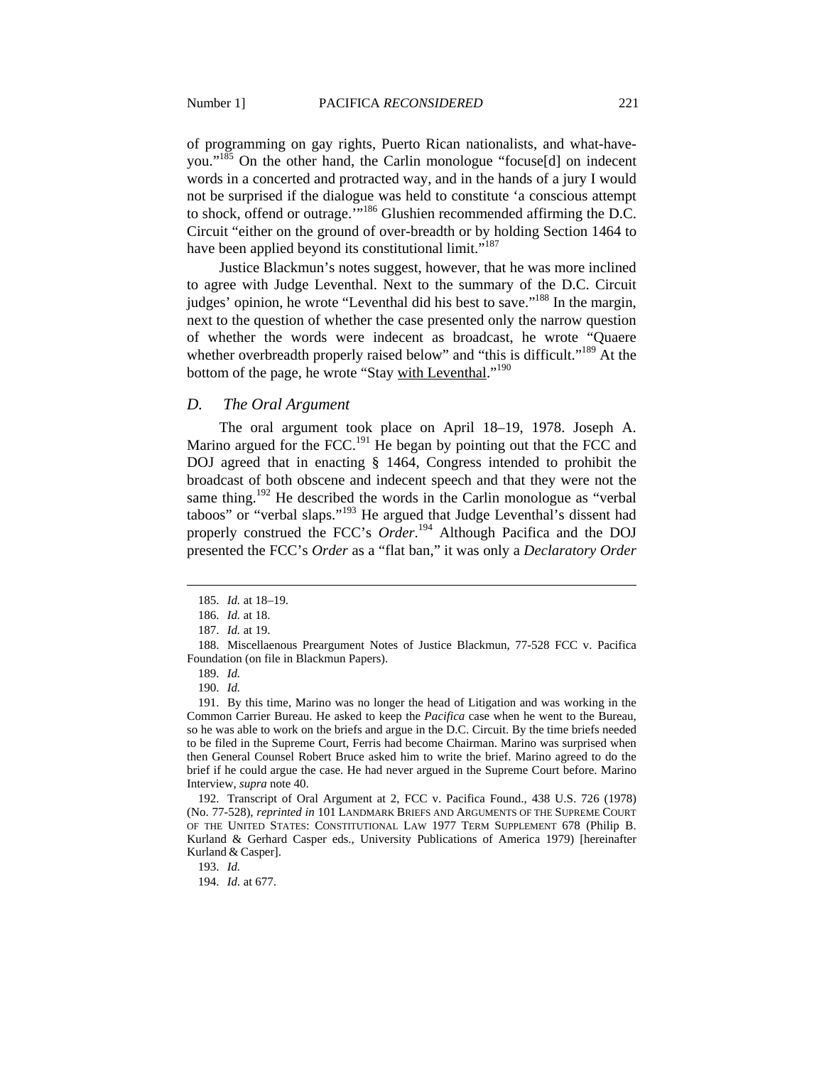of programming on gay rights, Puerto Rican nationalists, and what-haveyou."<sup>185</sup> On the other hand, the Carlin monologue "focuse[d] on indecent words in a concerted and protracted way, and in the hands of a jury I would not be surprised if the dialogue was held to constitute 'a conscious attempt to shock, offend or outrage.<sup>'"186</sup> Glushien recommended affirming the D.C. Circuit "either on the ground of over-breadth or by holding Section 1464 to have been applied beyond its constitutional limit."<sup>187</sup>

Justice Blackmun's notes suggest, however, that he was more inclined to agree with Judge Leventhal. Next to the summary of the D.C. Circuit judges' opinion, he wrote "Leventhal did his best to save."<sup>188</sup> In the margin, next to the question of whether the case presented only the narrow question of whether the words were indecent as broadcast, he wrote "Quaere whether overbreadth properly raised below" and "this is difficult."<sup>189</sup> At the bottom of the page, he wrote "Stay with Leventhal."<sup>190</sup>

#### *D. The Oral Argument*

The oral argument took place on April 18–19, 1978. Joseph A. Marino argued for the FCC.<sup>191</sup> He began by pointing out that the FCC and DOJ agreed that in enacting § 1464, Congress intended to prohibit the broadcast of both obscene and indecent speech and that they were not the same thing.<sup>192</sup> He described the words in the Carlin monologue as "verbal" taboos" or "verbal slaps."193 He argued that Judge Leventhal's dissent had properly construed the FCC's *Order*. 194 Although Pacifica and the DOJ presented the FCC's *Order* as a "flat ban," it was only a *Declaratory Order*

 $\overline{a}$ 

190. *Id.*

193. *Id.*

194. *Id.* at 677.

 <sup>185.</sup> *Id.* at 18–19.

 <sup>186.</sup> *Id.* at 18.

 <sup>187.</sup> *Id.* at 19.

 <sup>188.</sup> Miscellaenous Preargument Notes of Justice Blackmun, 77-528 FCC v. Pacifica Foundation (on file in Blackmun Papers).

 <sup>189.</sup> *Id.*

 <sup>191.</sup> By this time, Marino was no longer the head of Litigation and was working in the Common Carrier Bureau. He asked to keep the *Pacifica* case when he went to the Bureau, so he was able to work on the briefs and argue in the D.C. Circuit. By the time briefs needed to be filed in the Supreme Court, Ferris had become Chairman. Marino was surprised when then General Counsel Robert Bruce asked him to write the brief. Marino agreed to do the brief if he could argue the case. He had never argued in the Supreme Court before. Marino Interview, *supra* note 40.

 <sup>192.</sup> Transcript of Oral Argument at 2, FCC v. Pacifica Found., 438 U.S. 726 (1978) (No. 77-528), *reprinted in* 101 LANDMARK BRIEFS AND ARGUMENTS OF THE SUPREME COURT OF THE UNITED STATES: CONSTITUTIONAL LAW 1977 TERM SUPPLEMENT 678 (Philip B. Kurland & Gerhard Casper eds., University Publications of America 1979) [hereinafter Kurland & Casper].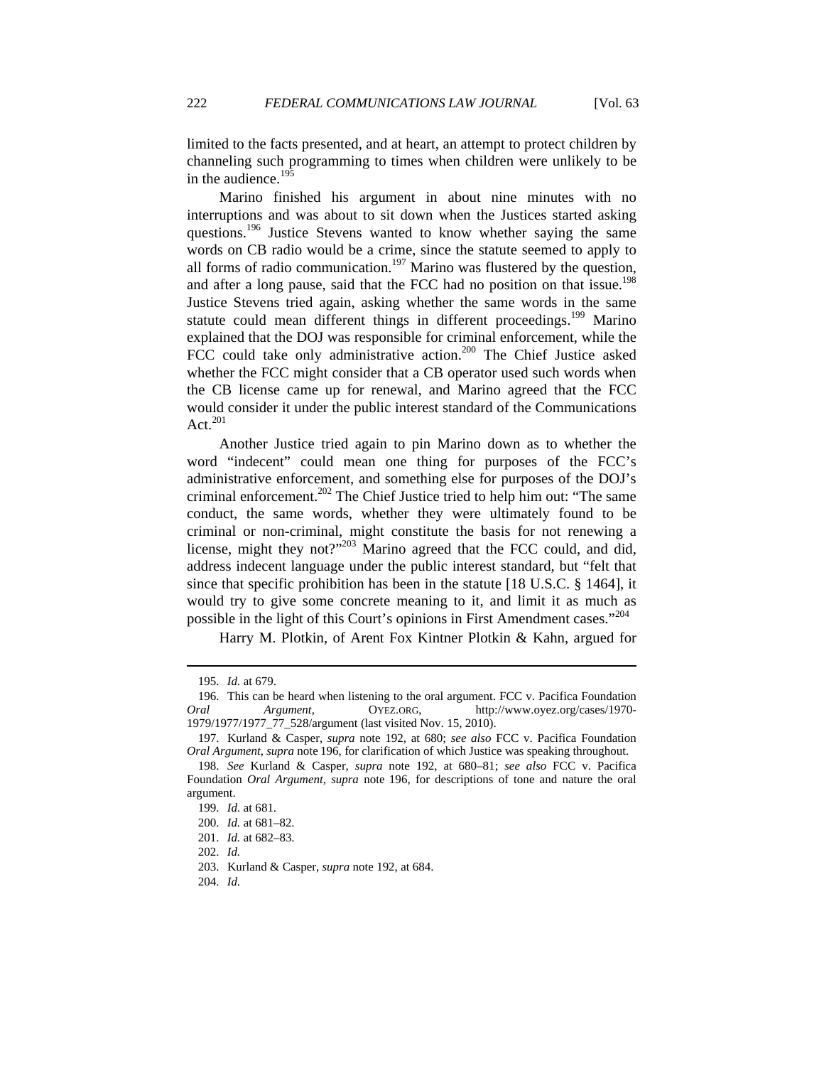limited to the facts presented, and at heart, an attempt to protect children by channeling such programming to times when children were unlikely to be in the audience. $19\overline{5}$ 

Marino finished his argument in about nine minutes with no interruptions and was about to sit down when the Justices started asking questions.<sup>196</sup> Justice Stevens wanted to know whether saying the same words on CB radio would be a crime, since the statute seemed to apply to all forms of radio communication.<sup>197</sup> Marino was flustered by the question, and after a long pause, said that the FCC had no position on that issue.<sup>198</sup> Justice Stevens tried again, asking whether the same words in the same statute could mean different things in different proceedings.<sup>199</sup> Marino explained that the DOJ was responsible for criminal enforcement, while the FCC could take only administrative action.<sup>200</sup> The Chief Justice asked whether the FCC might consider that a CB operator used such words when the CB license came up for renewal, and Marino agreed that the FCC would consider it under the public interest standard of the Communications Act. $201$ 

Another Justice tried again to pin Marino down as to whether the word "indecent" could mean one thing for purposes of the FCC's administrative enforcement, and something else for purposes of the DOJ's criminal enforcement.<sup>202</sup> The Chief Justice tried to help him out: "The same conduct, the same words, whether they were ultimately found to be criminal or non-criminal, might constitute the basis for not renewing a license, might they not?"203 Marino agreed that the FCC could, and did, address indecent language under the public interest standard, but "felt that since that specific prohibition has been in the statute [18 U.S.C. § 1464], it would try to give some concrete meaning to it, and limit it as much as possible in the light of this Court's opinions in First Amendment cases."<sup>204</sup>

Harry M. Plotkin, of Arent Fox Kintner Plotkin & Kahn, argued for

 <sup>195.</sup> *Id.* at 679.

 <sup>196.</sup> This can be heard when listening to the oral argument. FCC v. Pacifica Foundation *Oral Argument*, OYEZ.ORG, http://www.oyez.org/cases/1970- 1979/1977/1977\_77\_528/argument (last visited Nov. 15, 2010).

 <sup>197.</sup> Kurland & Casper, *supra* note 192, at 680; *see also* FCC v. Pacifica Foundation *Oral Argument*, *supra* note 196, for clarification of which Justice was speaking throughout.

 <sup>198.</sup> *See* Kurland & Casper, *supra* note 192, at 680–81; *see also* FCC v. Pacifica Foundation *Oral Argument*, *supra* note 196, for descriptions of tone and nature the oral argument.

 <sup>199.</sup> *Id.* at 681.

 <sup>200.</sup> *Id.* at 681–82.

 <sup>201.</sup> *Id.* at 682–83.

 <sup>202.</sup> *Id.*

 <sup>203.</sup> Kurland & Casper, *supra* note 192*,* at 684.

 <sup>204.</sup> *Id.*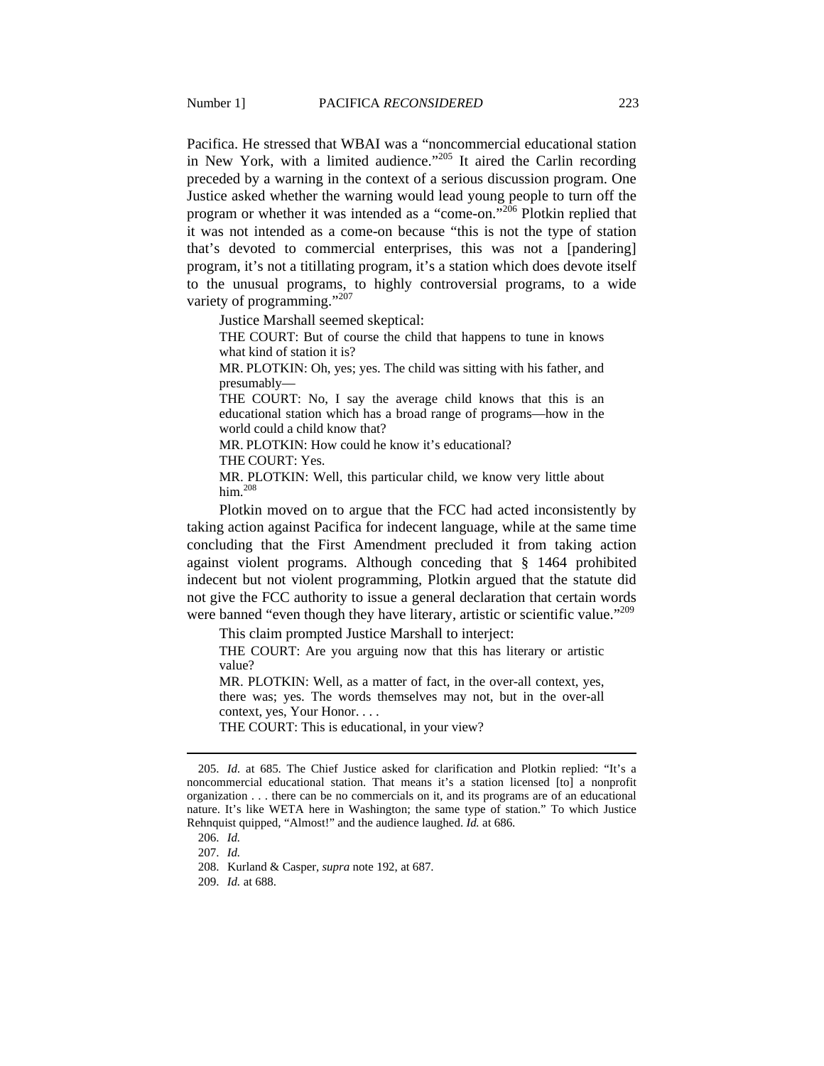Pacifica. He stressed that WBAI was a "noncommercial educational station in New York, with a limited audience."<sup>205</sup> It aired the Carlin recording preceded by a warning in the context of a serious discussion program. One Justice asked whether the warning would lead young people to turn off the program or whether it was intended as a "come-on."<sup>206</sup> Plotkin replied that it was not intended as a come-on because "this is not the type of station that's devoted to commercial enterprises, this was not a [pandering] program, it's not a titillating program, it's a station which does devote itself to the unusual programs, to highly controversial programs, to a wide variety of programming."<sup>207</sup>

Justice Marshall seemed skeptical:

THE COURT: But of course the child that happens to tune in knows what kind of station it is?

MR. PLOTKIN: Oh, yes; yes. The child was sitting with his father, and presumably—

THE COURT: No, I say the average child knows that this is an educational station which has a broad range of programs—how in the world could a child know that?

MR. PLOTKIN: How could he know it's educational?

THE COURT: Yes.

MR. PLOTKIN: Well, this particular child, we know very little about him. $208$ 

Plotkin moved on to argue that the FCC had acted inconsistently by taking action against Pacifica for indecent language, while at the same time concluding that the First Amendment precluded it from taking action against violent programs. Although conceding that § 1464 prohibited indecent but not violent programming, Plotkin argued that the statute did not give the FCC authority to issue a general declaration that certain words were banned "even though they have literary, artistic or scientific value."<sup>209</sup>

This claim prompted Justice Marshall to interject:

THE COURT: Are you arguing now that this has literary or artistic value?

MR. PLOTKIN: Well, as a matter of fact, in the over-all context, yes, there was; yes. The words themselves may not, but in the over-all context, yes, Your Honor. . . .

THE COURT: This is educational, in your view?

 <sup>205.</sup> *Id.* at 685. The Chief Justice asked for clarification and Plotkin replied: "It's a noncommercial educational station. That means it's a station licensed [to] a nonprofit organization . . . there can be no commercials on it, and its programs are of an educational nature. It's like WETA here in Washington; the same type of station." To which Justice Rehnquist quipped, "Almost!" and the audience laughed. *Id.* at 686.

 <sup>206.</sup> *Id.*

 <sup>207.</sup> *Id.*

 <sup>208.</sup> Kurland & Casper, *supra* note 192, at 687.

 <sup>209.</sup> *Id.* at 688.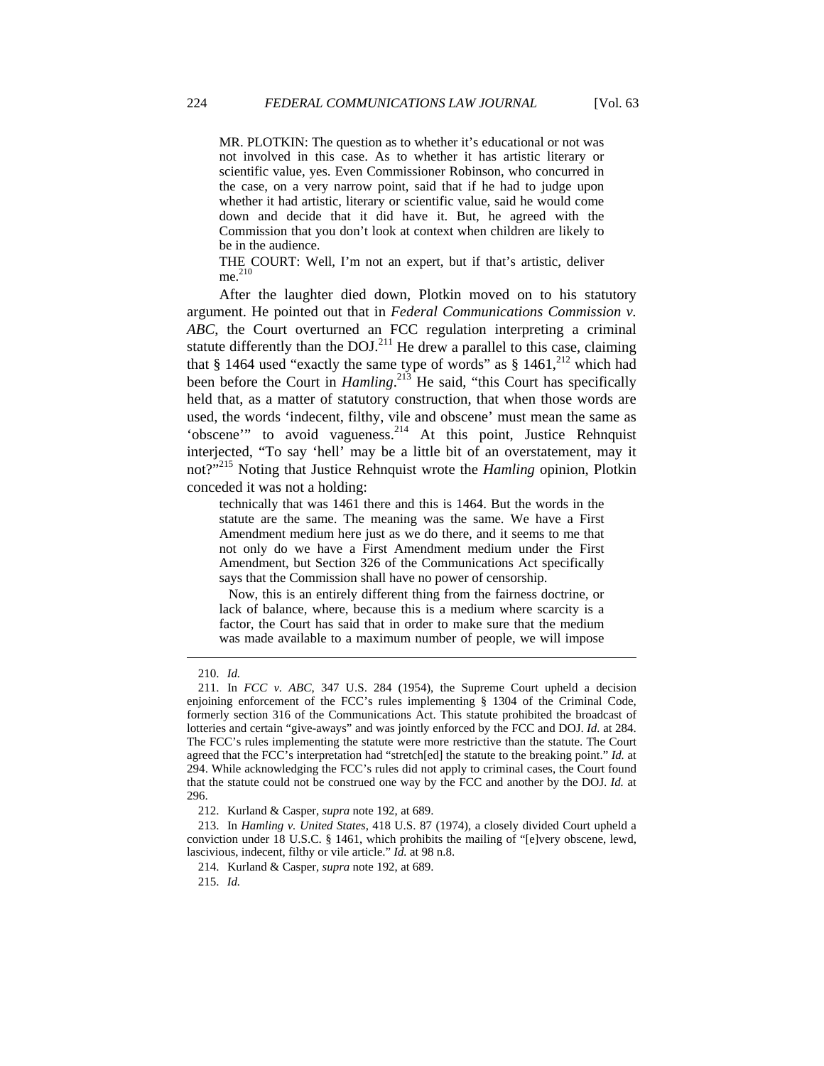MR. PLOTKIN: The question as to whether it's educational or not was not involved in this case. As to whether it has artistic literary or scientific value, yes. Even Commissioner Robinson, who concurred in the case, on a very narrow point, said that if he had to judge upon whether it had artistic, literary or scientific value, said he would come down and decide that it did have it. But, he agreed with the Commission that you don't look at context when children are likely to be in the audience.

THE COURT: Well, I'm not an expert, but if that's artistic, deliver  $me.$ <sup>210</sup>

After the laughter died down, Plotkin moved on to his statutory argument. He pointed out that in *Federal Communications Commission v. ABC*, the Court overturned an FCC regulation interpreting a criminal statute differently than the DOJ.<sup>211</sup> He drew a parallel to this case, claiming that § 1464 used "exactly the same type of words" as § 1461, $^{212}$  which had been before the Court in *Hamling*.<sup>213</sup> He said, "this Court has specifically held that, as a matter of statutory construction, that when those words are used, the words 'indecent, filthy, vile and obscene' must mean the same as 'obscene'" to avoid vagueness.214 At this point, Justice Rehnquist interjected, "To say 'hell' may be a little bit of an overstatement, may it not?"<sup>215</sup> Noting that Justice Rehnquist wrote the *Hamling* opinion, Plotkin conceded it was not a holding:

technically that was 1461 there and this is 1464. But the words in the statute are the same. The meaning was the same. We have a First Amendment medium here just as we do there, and it seems to me that not only do we have a First Amendment medium under the First Amendment, but Section 326 of the Communications Act specifically says that the Commission shall have no power of censorship.

 Now, this is an entirely different thing from the fairness doctrine, or lack of balance, where, because this is a medium where scarcity is a factor, the Court has said that in order to make sure that the medium was made available to a maximum number of people, we will impose

 <sup>210.</sup> *Id.*

 <sup>211.</sup> In *FCC v. ABC*, 347 U.S. 284 (1954), the Supreme Court upheld a decision enjoining enforcement of the FCC's rules implementing § 1304 of the Criminal Code, formerly section 316 of the Communications Act. This statute prohibited the broadcast of lotteries and certain "give-aways" and was jointly enforced by the FCC and DOJ. *Id.* at 284. The FCC's rules implementing the statute were more restrictive than the statute. The Court agreed that the FCC's interpretation had "stretch[ed] the statute to the breaking point." *Id.* at 294. While acknowledging the FCC's rules did not apply to criminal cases, the Court found that the statute could not be construed one way by the FCC and another by the DOJ. *Id.* at 296.

 <sup>212.</sup> Kurland & Casper, *supra* note 192, at 689.

 <sup>213.</sup> In *Hamling v. United States*, 418 U.S. 87 (1974), a closely divided Court upheld a conviction under 18 U.S.C. § 1461, which prohibits the mailing of "[e]very obscene, lewd, lascivious, indecent, filthy or vile article." *Id.* at 98 n.8.

 <sup>214.</sup> Kurland & Casper, *supra* note 192, at 689.

 <sup>215.</sup> *Id.*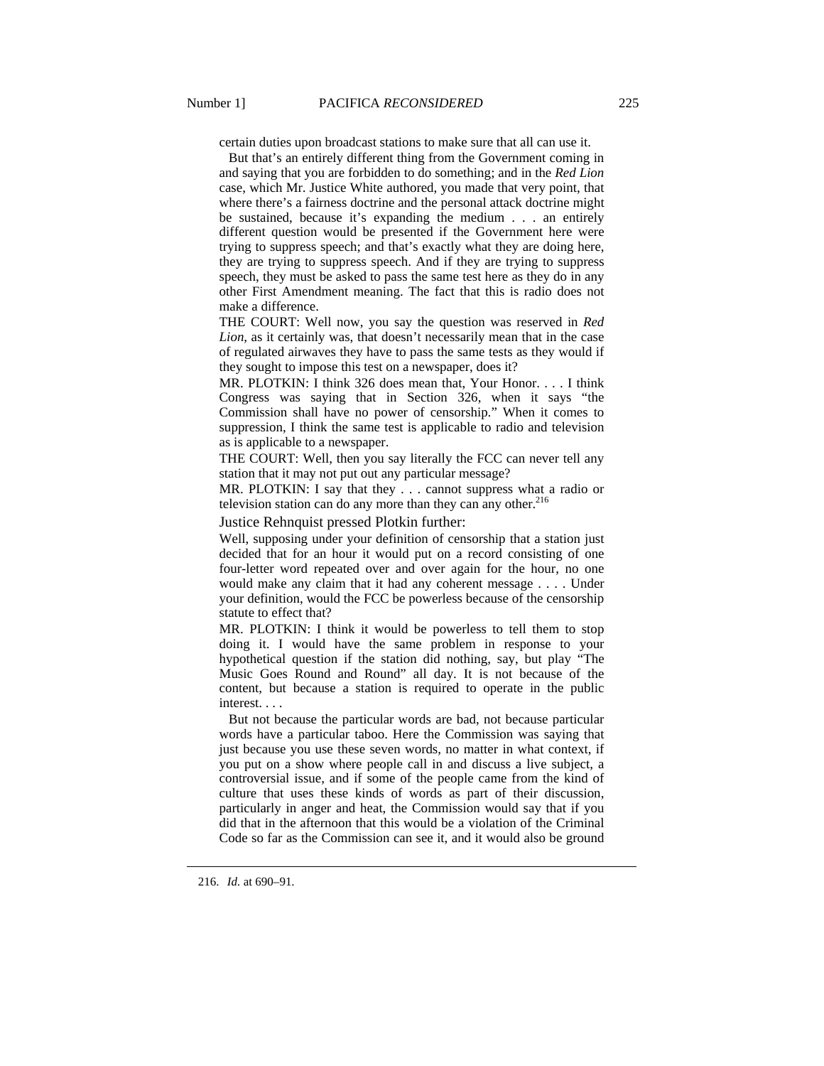certain duties upon broadcast stations to make sure that all can use it.

 But that's an entirely different thing from the Government coming in and saying that you are forbidden to do something; and in the *Red Lion*  case, which Mr. Justice White authored, you made that very point, that where there's a fairness doctrine and the personal attack doctrine might be sustained, because it's expanding the medium . . . an entirely different question would be presented if the Government here were trying to suppress speech; and that's exactly what they are doing here, they are trying to suppress speech. And if they are trying to suppress speech, they must be asked to pass the same test here as they do in any other First Amendment meaning. The fact that this is radio does not make a difference.

THE COURT: Well now, you say the question was reserved in *Red Lion*, as it certainly was, that doesn't necessarily mean that in the case of regulated airwaves they have to pass the same tests as they would if they sought to impose this test on a newspaper, does it?

MR. PLOTKIN: I think 326 does mean that, Your Honor. . . . I think Congress was saying that in Section 326, when it says "the Commission shall have no power of censorship." When it comes to suppression, I think the same test is applicable to radio and television as is applicable to a newspaper.

THE COURT: Well, then you say literally the FCC can never tell any station that it may not put out any particular message?

MR. PLOTKIN: I say that they . . . cannot suppress what a radio or television station can do any more than they can any other. $216$ 

Justice Rehnquist pressed Plotkin further:

Well, supposing under your definition of censorship that a station just decided that for an hour it would put on a record consisting of one four-letter word repeated over and over again for the hour, no one would make any claim that it had any coherent message . . . . Under your definition, would the FCC be powerless because of the censorship statute to effect that?

MR. PLOTKIN: I think it would be powerless to tell them to stop doing it. I would have the same problem in response to your hypothetical question if the station did nothing, say, but play "The Music Goes Round and Round" all day. It is not because of the content, but because a station is required to operate in the public interest. . . .

 But not because the particular words are bad, not because particular words have a particular taboo. Here the Commission was saying that just because you use these seven words, no matter in what context, if you put on a show where people call in and discuss a live subject, a controversial issue, and if some of the people came from the kind of culture that uses these kinds of words as part of their discussion, particularly in anger and heat, the Commission would say that if you did that in the afternoon that this would be a violation of the Criminal Code so far as the Commission can see it, and it would also be ground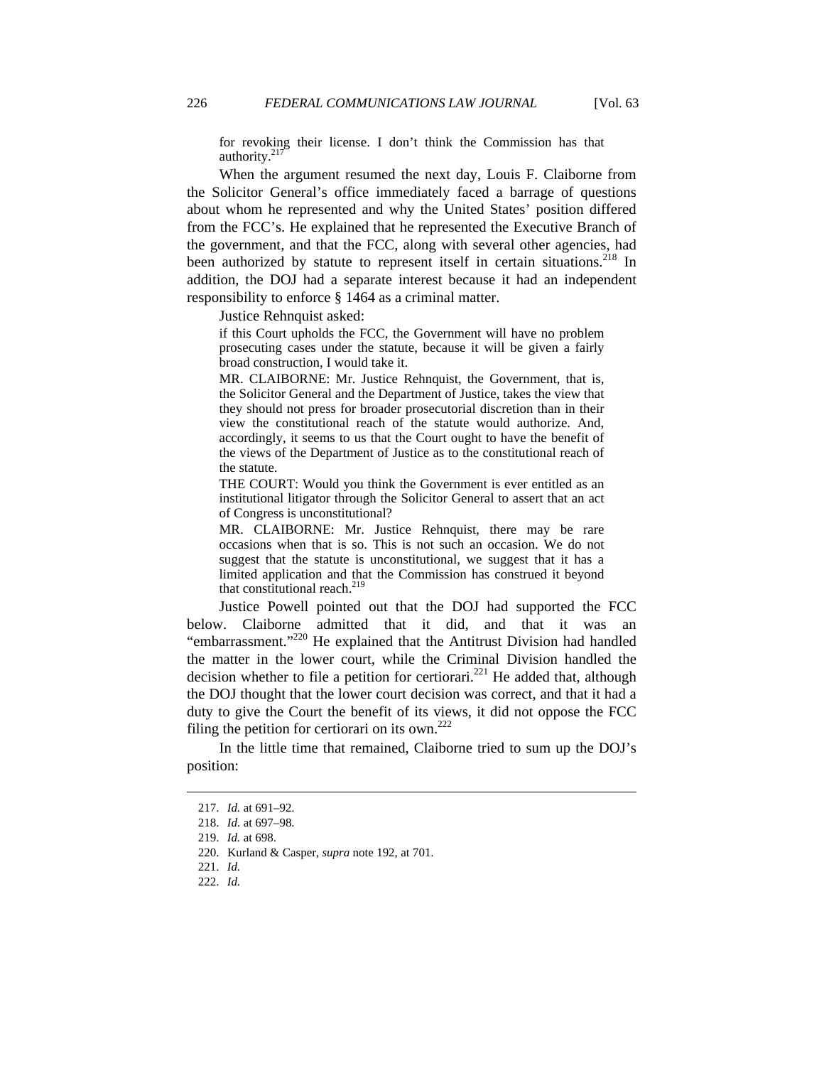for revoking their license. I don't think the Commission has that authority.<sup>217</sup>

When the argument resumed the next day, Louis F. Claiborne from the Solicitor General's office immediately faced a barrage of questions about whom he represented and why the United States' position differed from the FCC's. He explained that he represented the Executive Branch of the government, and that the FCC, along with several other agencies, had been authorized by statute to represent itself in certain situations.<sup>218</sup> In addition, the DOJ had a separate interest because it had an independent responsibility to enforce § 1464 as a criminal matter.

Justice Rehnquist asked:

if this Court upholds the FCC, the Government will have no problem prosecuting cases under the statute, because it will be given a fairly broad construction, I would take it.

MR. CLAIBORNE: Mr. Justice Rehnquist, the Government, that is, the Solicitor General and the Department of Justice, takes the view that they should not press for broader prosecutorial discretion than in their view the constitutional reach of the statute would authorize. And, accordingly, it seems to us that the Court ought to have the benefit of the views of the Department of Justice as to the constitutional reach of the statute.

THE COURT: Would you think the Government is ever entitled as an institutional litigator through the Solicitor General to assert that an act of Congress is unconstitutional?

MR. CLAIBORNE: Mr. Justice Rehnquist, there may be rare occasions when that is so. This is not such an occasion. We do not suggest that the statute is unconstitutional, we suggest that it has a limited application and that the Commission has construed it beyond that constitutional reach.<sup>219</sup>

Justice Powell pointed out that the DOJ had supported the FCC below. Claiborne admitted that it did, and that it was an "embarrassment."220 He explained that the Antitrust Division had handled the matter in the lower court, while the Criminal Division handled the decision whether to file a petition for certiorari.<sup>221</sup> He added that, although the DOJ thought that the lower court decision was correct, and that it had a duty to give the Court the benefit of its views, it did not oppose the FCC filing the petition for certiorari on its own. $^{222}$ 

In the little time that remained, Claiborne tried to sum up the DOJ's position:

 <sup>217.</sup> *Id.* at 691–92.

 <sup>218.</sup> *Id.* at 697–98.

 <sup>219.</sup> *Id.* at 698.

 <sup>220.</sup> Kurland & Casper, *supra* note 192, at 701.

 <sup>221.</sup> *Id.*

 <sup>222.</sup> *Id.*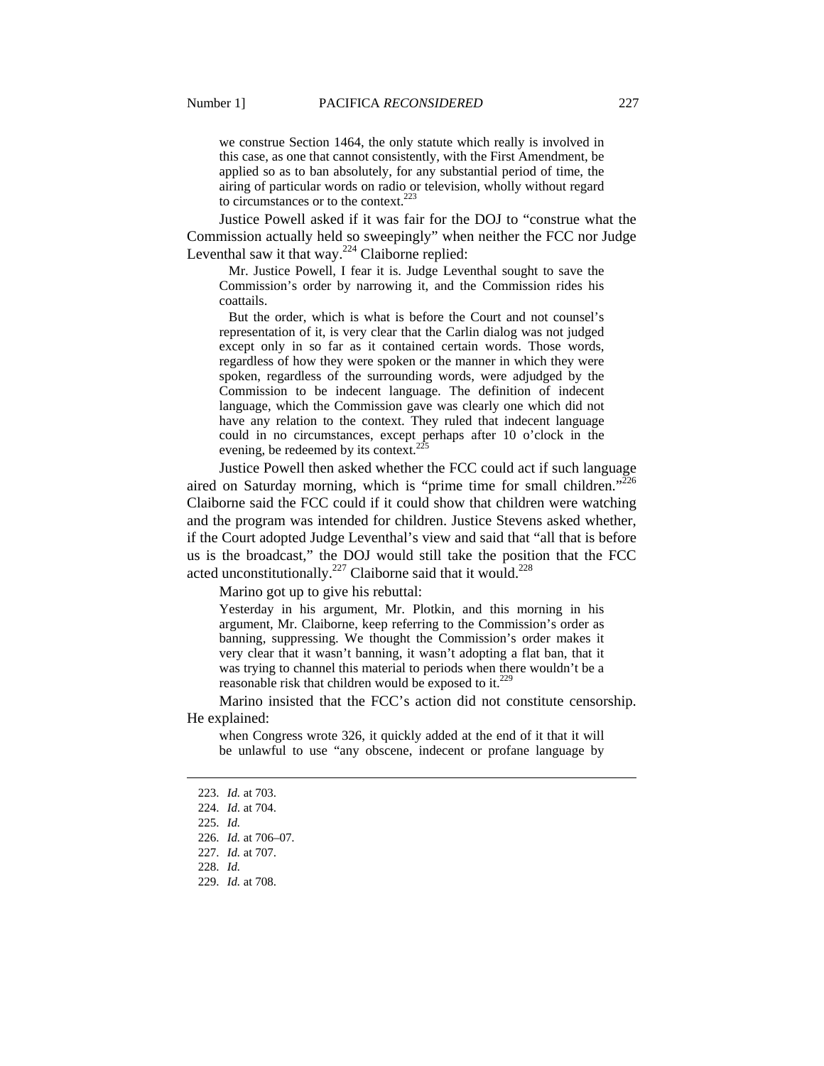we construe Section 1464, the only statute which really is involved in this case, as one that cannot consistently, with the First Amendment, be applied so as to ban absolutely, for any substantial period of time, the airing of particular words on radio or television, wholly without regard to circumstances or to the context. $223$ 

Justice Powell asked if it was fair for the DOJ to "construe what the Commission actually held so sweepingly" when neither the FCC nor Judge Leventhal saw it that way. $224$  Claiborne replied:

 Mr. Justice Powell, I fear it is. Judge Leventhal sought to save the Commission's order by narrowing it, and the Commission rides his coattails.

 But the order, which is what is before the Court and not counsel's representation of it, is very clear that the Carlin dialog was not judged except only in so far as it contained certain words. Those words, regardless of how they were spoken or the manner in which they were spoken, regardless of the surrounding words, were adjudged by the Commission to be indecent language. The definition of indecent language, which the Commission gave was clearly one which did not have any relation to the context. They ruled that indecent language could in no circumstances, except perhaps after 10 o'clock in the evening, be redeemed by its context.<sup>2</sup>

Justice Powell then asked whether the FCC could act if such language aired on Saturday morning, which is "prime time for small children."<sup>226</sup> Claiborne said the FCC could if it could show that children were watching and the program was intended for children. Justice Stevens asked whether, if the Court adopted Judge Leventhal's view and said that "all that is before us is the broadcast," the DOJ would still take the position that the FCC acted unconstitutionally.<sup>227</sup> Claiborne said that it would.<sup>228</sup>

Marino got up to give his rebuttal:

Yesterday in his argument, Mr. Plotkin, and this morning in his argument, Mr. Claiborne, keep referring to the Commission's order as banning, suppressing. We thought the Commission's order makes it very clear that it wasn't banning, it wasn't adopting a flat ban, that it was trying to channel this material to periods when there wouldn't be a reasonable risk that children would be exposed to it.<sup>229</sup>

Marino insisted that the FCC's action did not constitute censorship. He explained:

when Congress wrote 326, it quickly added at the end of it that it will be unlawful to use "any obscene, indecent or profane language by

 <sup>223.</sup> *Id.* at 703.

 <sup>224.</sup> *Id.* at 704.

 <sup>225.</sup> *Id.*

 <sup>226.</sup> *Id.* at 706–07.

 <sup>227.</sup> *Id.* at 707.

 <sup>228.</sup> *Id.*

 <sup>229.</sup> *Id.* at 708.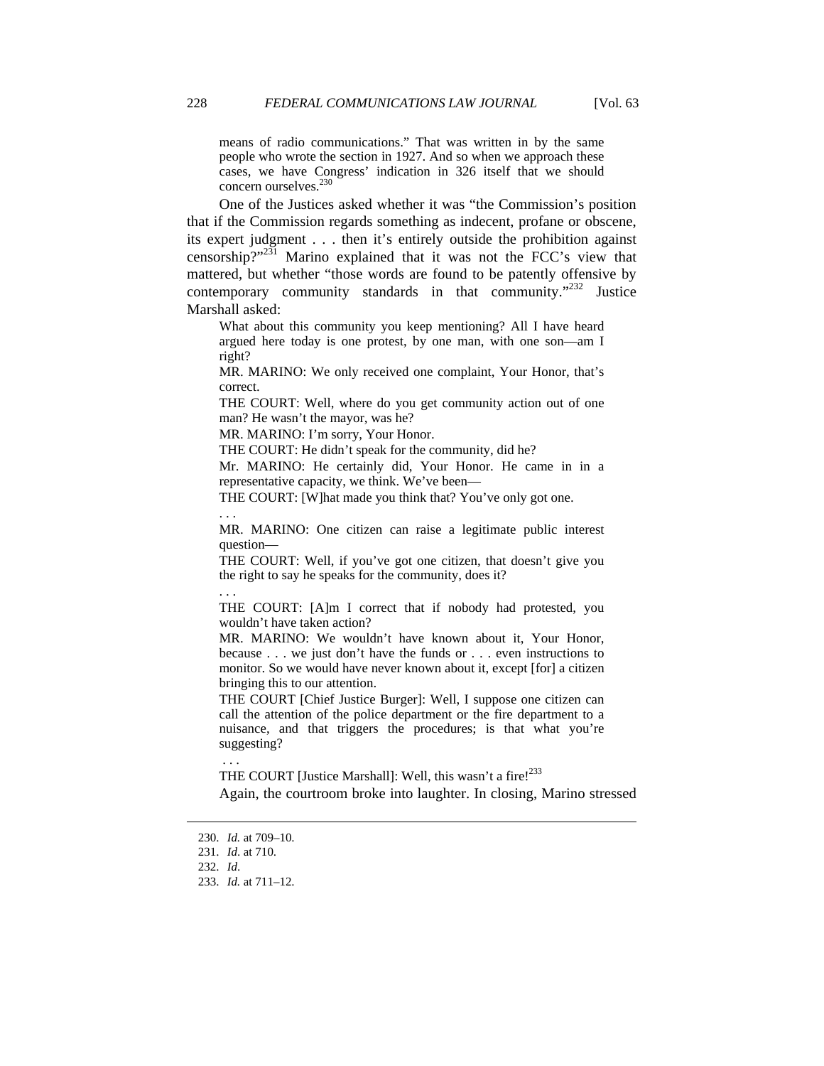means of radio communications." That was written in by the same people who wrote the section in 1927. And so when we approach these cases, we have Congress' indication in 326 itself that we should concern ourselves.<sup>230</sup>

One of the Justices asked whether it was "the Commission's position that if the Commission regards something as indecent, profane or obscene, its expert judgment . . . then it's entirely outside the prohibition against censorship?"231 Marino explained that it was not the FCC's view that mattered, but whether "those words are found to be patently offensive by contemporary community standards in that community."<sup>232</sup> Justice Marshall asked:

What about this community you keep mentioning? All I have heard argued here today is one protest, by one man, with one son—am I right?

MR. MARINO: We only received one complaint, Your Honor, that's correct.

THE COURT: Well, where do you get community action out of one man? He wasn't the mayor, was he?

MR. MARINO: I'm sorry, Your Honor.

THE COURT: He didn't speak for the community, did he?

Mr. MARINO: He certainly did, Your Honor. He came in in a representative capacity, we think. We've been—

THE COURT: [W]hat made you think that? You've only got one.

. . .

MR. MARINO: One citizen can raise a legitimate public interest question—

THE COURT: Well, if you've got one citizen, that doesn't give you the right to say he speaks for the community, does it?

. . .

THE COURT: [A]m I correct that if nobody had protested, you wouldn't have taken action?

MR. MARINO: We wouldn't have known about it, Your Honor, because . . . we just don't have the funds or . . . even instructions to monitor. So we would have never known about it, except [for] a citizen bringing this to our attention.

THE COURT [Chief Justice Burger]: Well, I suppose one citizen can call the attention of the police department or the fire department to a nuisance, and that triggers the procedures; is that what you're suggesting?

THE COURT [Justice Marshall]: Well, this wasn't a fire!<sup>233</sup>

Again, the courtroom broke into laughter. In closing, Marino stressed

 $\overline{a}$ 

. . .

 <sup>230.</sup> *Id.* at 709–10.

 <sup>231.</sup> *Id*. at 710.

 <sup>232.</sup> *Id*.

 <sup>233.</sup> *Id.* at 711–12.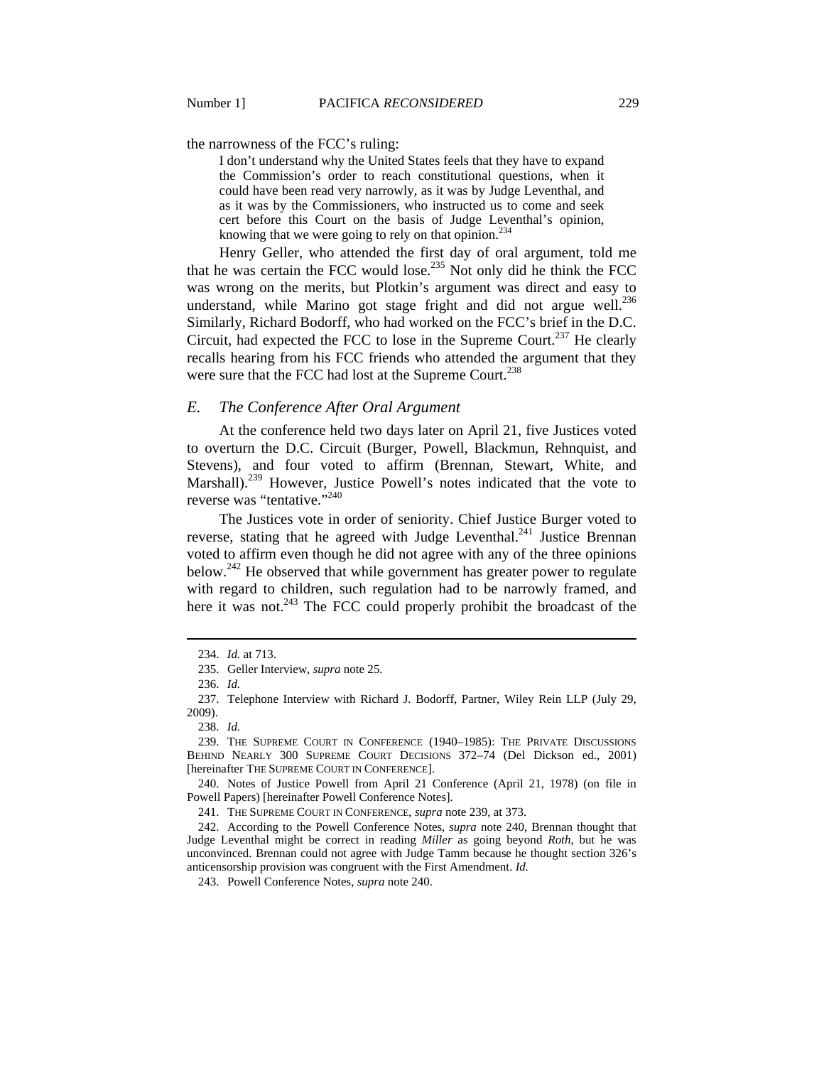the narrowness of the FCC's ruling:

I don't understand why the United States feels that they have to expand the Commission's order to reach constitutional questions, when it could have been read very narrowly, as it was by Judge Leventhal, and as it was by the Commissioners, who instructed us to come and seek cert before this Court on the basis of Judge Leventhal's opinion, knowing that we were going to rely on that opinion.<sup>234</sup>

Henry Geller, who attended the first day of oral argument, told me that he was certain the FCC would lose.235 Not only did he think the FCC was wrong on the merits, but Plotkin's argument was direct and easy to understand, while Marino got stage fright and did not argue well.<sup>236</sup> Similarly, Richard Bodorff, who had worked on the FCC's brief in the D.C. Circuit, had expected the FCC to lose in the Supreme Court.<sup>237</sup> He clearly recalls hearing from his FCC friends who attended the argument that they were sure that the FCC had lost at the Supreme Court.<sup>238</sup>

## *E. The Conference After Oral Argument*

At the conference held two days later on April 21, five Justices voted to overturn the D.C. Circuit (Burger, Powell, Blackmun, Rehnquist, and Stevens), and four voted to affirm (Brennan, Stewart, White, and Marshall).<sup>239</sup> However, Justice Powell's notes indicated that the vote to reverse was "tentative."240

The Justices vote in order of seniority. Chief Justice Burger voted to reverse, stating that he agreed with Judge Leventhal.<sup>241</sup> Justice Brennan voted to affirm even though he did not agree with any of the three opinions below.<sup>242</sup> He observed that while government has greater power to regulate with regard to children, such regulation had to be narrowly framed, and here it was not.<sup>243</sup> The FCC could properly prohibit the broadcast of the

 <sup>234.</sup> *Id.* at 713.

 <sup>235.</sup> Geller Interview, *supra* note 25.

 <sup>236.</sup> *Id.*

 <sup>237.</sup> Telephone Interview with Richard J. Bodorff, Partner, Wiley Rein LLP (July 29, 2009).

 <sup>238.</sup> *Id.*

 <sup>239.</sup> THE SUPREME COURT IN CONFERENCE (1940–1985): THE PRIVATE DISCUSSIONS BEHIND NEARLY 300 SUPREME COURT DECISIONS 372–74 (Del Dickson ed., 2001) [hereinafter THE SUPREME COURT IN CONFERENCE].

 <sup>240.</sup> Notes of Justice Powell from April 21 Conference (April 21, 1978) (on file in Powell Papers) [hereinafter Powell Conference Notes].

 <sup>241.</sup> THE SUPREME COURT IN CONFERENCE, *supra* note 239, at 373.

 <sup>242.</sup> According to the Powell Conference Notes, *supra* note 240, Brennan thought that Judge Leventhal might be correct in reading *Miller* as going beyond *Roth*, but he was unconvinced. Brennan could not agree with Judge Tamm because he thought section 326's anticensorship provision was congruent with the First Amendment. *Id.* 

 <sup>243.</sup> Powell Conference Notes, *supra* note 240.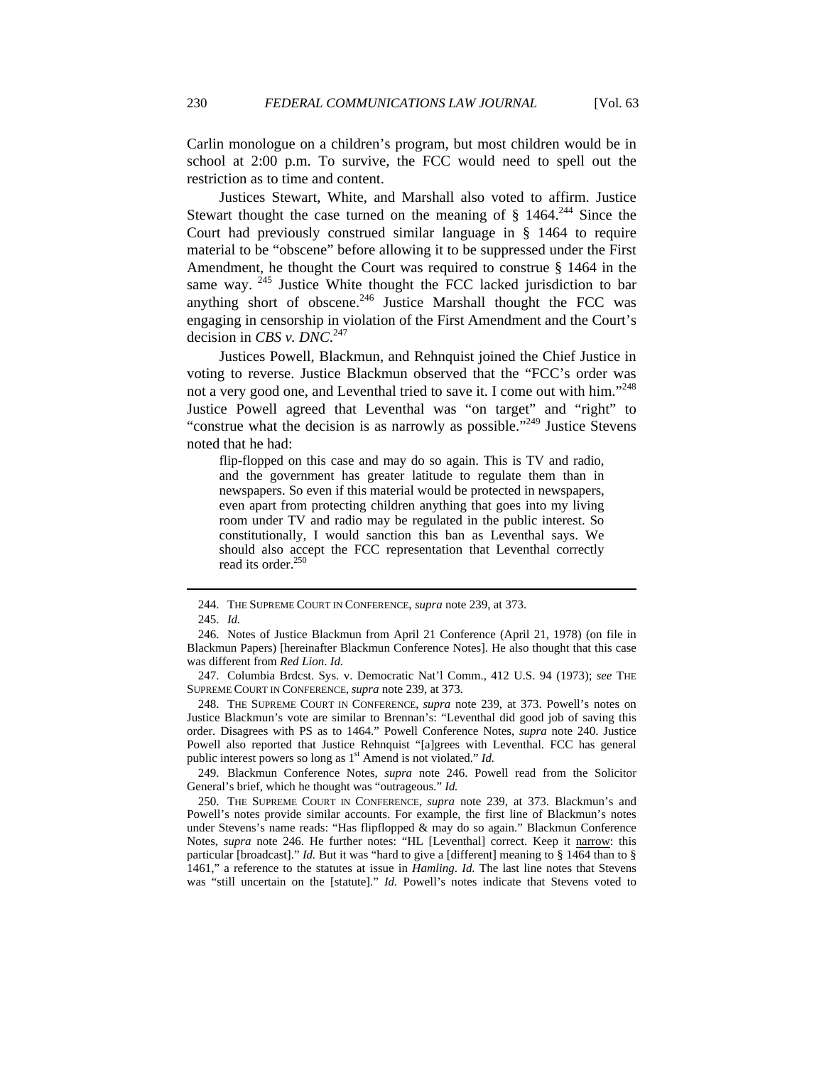Carlin monologue on a children's program, but most children would be in school at 2:00 p.m. To survive, the FCC would need to spell out the restriction as to time and content.

Justices Stewart, White, and Marshall also voted to affirm. Justice Stewart thought the case turned on the meaning of  $\S$  1464.<sup>244</sup> Since the Court had previously construed similar language in § 1464 to require material to be "obscene" before allowing it to be suppressed under the First Amendment, he thought the Court was required to construe § 1464 in the same way.  $245$  Justice White thought the FCC lacked jurisdiction to bar anything short of obscene. $246$  Justice Marshall thought the FCC was engaging in censorship in violation of the First Amendment and the Court's decision in *CBS v. DNC*. 247

Justices Powell, Blackmun, and Rehnquist joined the Chief Justice in voting to reverse. Justice Blackmun observed that the "FCC's order was not a very good one, and Leventhal tried to save it. I come out with him."<sup>248</sup> Justice Powell agreed that Leventhal was "on target" and "right" to "construe what the decision is as narrowly as possible."<sup>249</sup> Justice Stevens noted that he had:

flip-flopped on this case and may do so again. This is TV and radio, and the government has greater latitude to regulate them than in newspapers. So even if this material would be protected in newspapers, even apart from protecting children anything that goes into my living room under TV and radio may be regulated in the public interest. So constitutionally, I would sanction this ban as Leventhal says. We should also accept the FCC representation that Leventhal correctly read its order.<sup>250</sup>

 $\overline{a}$ 

 248. THE SUPREME COURT IN CONFERENCE, *supra* note 239, at 373. Powell's notes on Justice Blackmun's vote are similar to Brennan's: "Leventhal did good job of saving this order. Disagrees with PS as to 1464." Powell Conference Notes, *supra* note 240. Justice Powell also reported that Justice Rehnquist "[a]grees with Leventhal. FCC has general public interest powers so long as 1<sup>st</sup> Amend is not violated." *Id.* 

 249. Blackmun Conference Notes, *supra* note 246. Powell read from the Solicitor General's brief, which he thought was "outrageous." *Id.*

 250. THE SUPREME COURT IN CONFERENCE, *supra* note 239, at 373. Blackmun's and Powell's notes provide similar accounts. For example, the first line of Blackmun's notes under Stevens's name reads: "Has flipflopped & may do so again." Blackmun Conference Notes, *supra* note 246. He further notes: "HL [Leventhal] correct. Keep it narrow: this particular [broadcast]." *Id.* But it was "hard to give a [different] meaning to § 1464 than to § 1461," a reference to the statutes at issue in *Hamling*. *Id.* The last line notes that Stevens was "still uncertain on the [statute]." *Id.* Powell's notes indicate that Stevens voted to

 <sup>244.</sup> THE SUPREME COURT IN CONFERENCE, *supra* note 239, at 373.

 <sup>245.</sup> *Id.*

 <sup>246.</sup> Notes of Justice Blackmun from April 21 Conference (April 21, 1978) (on file in Blackmun Papers) [hereinafter Blackmun Conference Notes]. He also thought that this case was different from *Red Lion*. *Id*.

 <sup>247.</sup> Columbia Brdcst. Sys. v. Democratic Nat'l Comm., 412 U.S. 94 (1973); *see* THE SUPREME COURT IN CONFERENCE, *supra* note 239, at 373.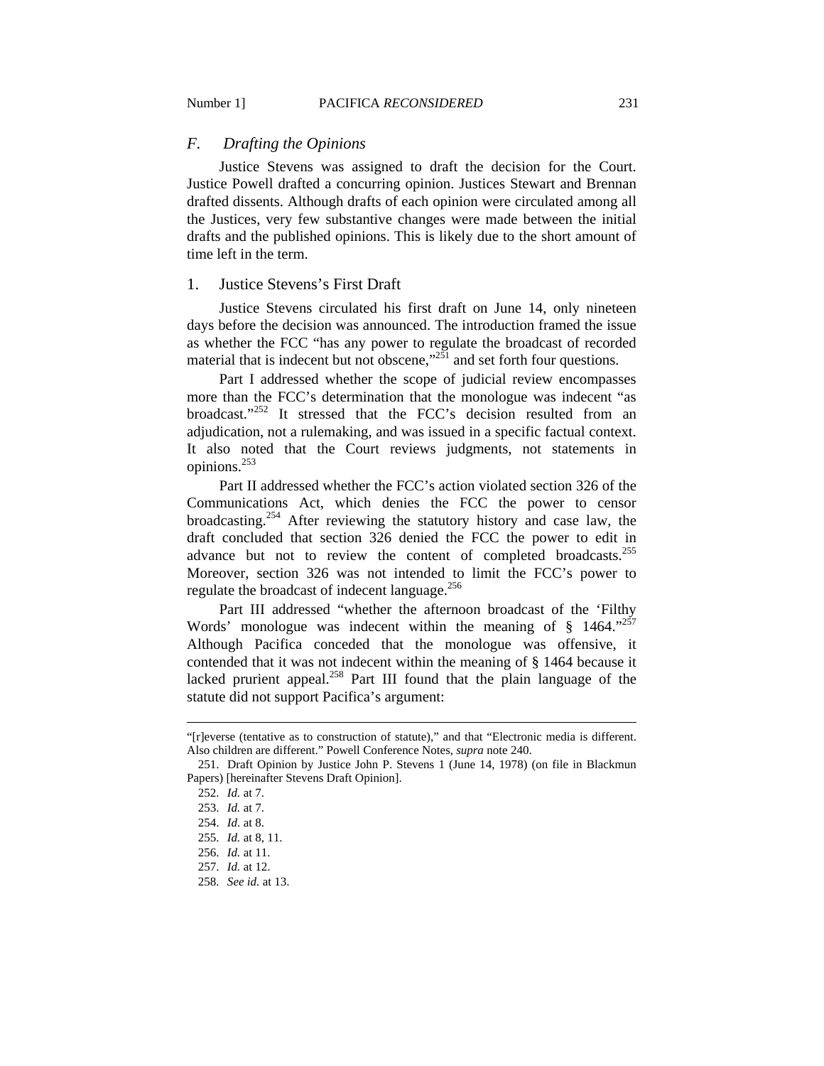## *F. Drafting the Opinions*

Justice Stevens was assigned to draft the decision for the Court. Justice Powell drafted a concurring opinion. Justices Stewart and Brennan drafted dissents. Although drafts of each opinion were circulated among all the Justices, very few substantive changes were made between the initial drafts and the published opinions. This is likely due to the short amount of time left in the term.

#### 1. Justice Stevens's First Draft

Justice Stevens circulated his first draft on June 14, only nineteen days before the decision was announced. The introduction framed the issue as whether the FCC "has any power to regulate the broadcast of recorded material that is indecent but not obscene,  $\frac{1}{251}$  and set forth four questions.

Part I addressed whether the scope of judicial review encompasses more than the FCC's determination that the monologue was indecent "as broadcast."<sup>252</sup> It stressed that the FCC's decision resulted from an adjudication, not a rulemaking, and was issued in a specific factual context. It also noted that the Court reviews judgments, not statements in opinions.253

Part II addressed whether the FCC's action violated section 326 of the Communications Act, which denies the FCC the power to censor broadcasting.<sup>254</sup> After reviewing the statutory history and case law, the draft concluded that section 326 denied the FCC the power to edit in advance but not to review the content of completed broadcasts.<sup>255</sup> Moreover, section 326 was not intended to limit the FCC's power to regulate the broadcast of indecent language.<sup>256</sup>

Part III addressed "whether the afternoon broadcast of the 'Filthy Words' monologue was indecent within the meaning of  $\S$  1464." Although Pacifica conceded that the monologue was offensive, it contended that it was not indecent within the meaning of § 1464 because it lacked prurient appeal.<sup>258</sup> Part III found that the plain language of the statute did not support Pacifica's argument:

<sup>&</sup>quot;[r]everse (tentative as to construction of statute)," and that "Electronic media is different. Also children are different." Powell Conference Notes, *supra* note 240.

 <sup>251.</sup> Draft Opinion by Justice John P. Stevens 1 (June 14, 1978) (on file in Blackmun Papers) [hereinafter Stevens Draft Opinion].

 <sup>252.</sup> *Id.* at 7.

 <sup>253.</sup> *Id.* at 7.

 <sup>254.</sup> *Id.* at 8.

 <sup>255.</sup> *Id.* at 8, 11.

 <sup>256.</sup> *Id.* at 11.

 <sup>257.</sup> *Id.* at 12.

 <sup>258.</sup> *See id.* at 13.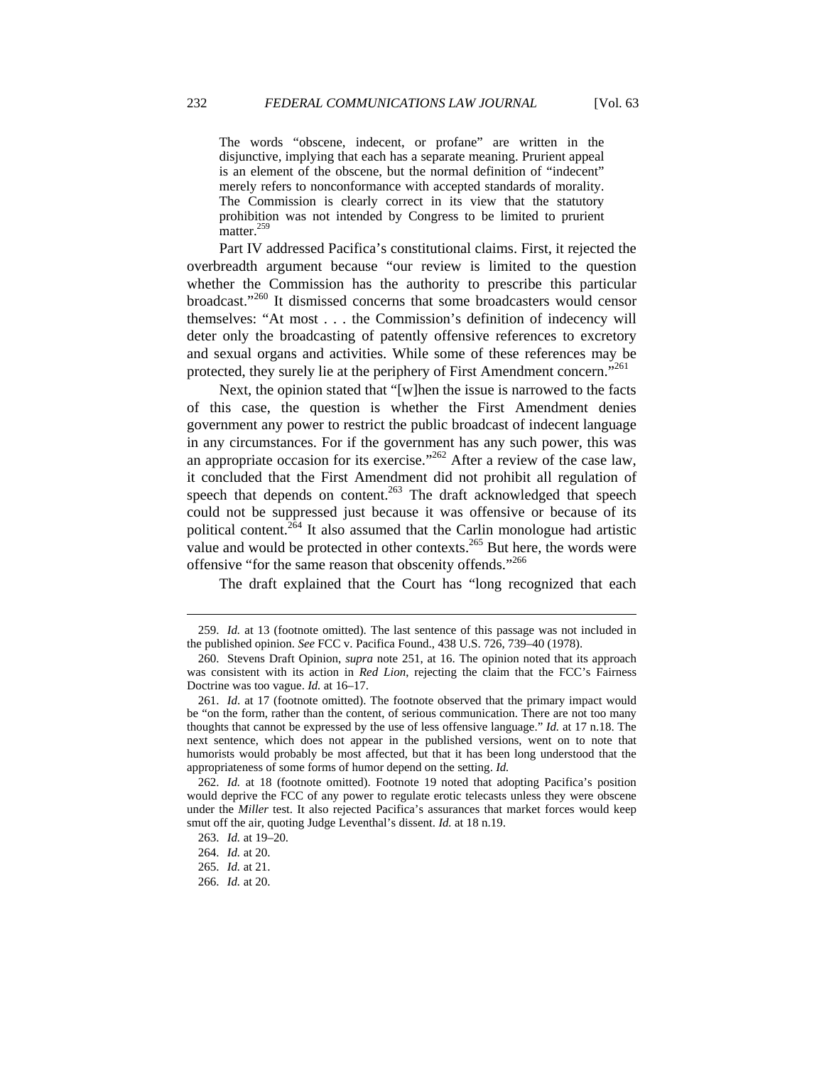The words "obscene, indecent, or profane" are written in the disjunctive, implying that each has a separate meaning. Prurient appeal is an element of the obscene, but the normal definition of "indecent" merely refers to nonconformance with accepted standards of morality. The Commission is clearly correct in its view that the statutory prohibition was not intended by Congress to be limited to prurient  $matter.<sup>259</sup>$ 

Part IV addressed Pacifica's constitutional claims. First, it rejected the overbreadth argument because "our review is limited to the question whether the Commission has the authority to prescribe this particular broadcast."260 It dismissed concerns that some broadcasters would censor themselves: "At most . . . the Commission's definition of indecency will deter only the broadcasting of patently offensive references to excretory and sexual organs and activities. While some of these references may be protected, they surely lie at the periphery of First Amendment concern."<sup>261</sup>

Next, the opinion stated that "[w]hen the issue is narrowed to the facts of this case, the question is whether the First Amendment denies government any power to restrict the public broadcast of indecent language in any circumstances. For if the government has any such power, this was an appropriate occasion for its exercise."<sup>262</sup> After a review of the case law, it concluded that the First Amendment did not prohibit all regulation of speech that depends on content.<sup>263</sup> The draft acknowledged that speech could not be suppressed just because it was offensive or because of its political content.<sup>264</sup> It also assumed that the Carlin monologue had artistic value and would be protected in other contexts.<sup>265</sup> But here, the words were offensive "for the same reason that obscenity offends."<sup>266</sup>

The draft explained that the Court has "long recognized that each

 <sup>259.</sup> *Id.* at 13 (footnote omitted). The last sentence of this passage was not included in the published opinion. *See* FCC v. Pacifica Found., 438 U.S. 726, 739–40 (1978).

 <sup>260.</sup> Stevens Draft Opinion, *supra* note 251, at 16. The opinion noted that its approach was consistent with its action in *Red Lion*, rejecting the claim that the FCC's Fairness Doctrine was too vague. *Id.* at 16–17.

 <sup>261.</sup> *Id*. at 17 (footnote omitted). The footnote observed that the primary impact would be "on the form, rather than the content, of serious communication. There are not too many thoughts that cannot be expressed by the use of less offensive language." *Id.* at 17 n.18. The next sentence, which does not appear in the published versions, went on to note that humorists would probably be most affected, but that it has been long understood that the appropriateness of some forms of humor depend on the setting. *Id.*

 <sup>262.</sup> *Id.* at 18 (footnote omitted). Footnote 19 noted that adopting Pacifica's position would deprive the FCC of any power to regulate erotic telecasts unless they were obscene under the *Miller* test. It also rejected Pacifica's assurances that market forces would keep smut off the air, quoting Judge Leventhal's dissent. *Id.* at 18 n.19.

 <sup>263.</sup> *Id.* at 19–20.

 <sup>264.</sup> *Id.* at 20.

 <sup>265.</sup> *Id.* at 21.

 <sup>266.</sup> *Id.* at 20.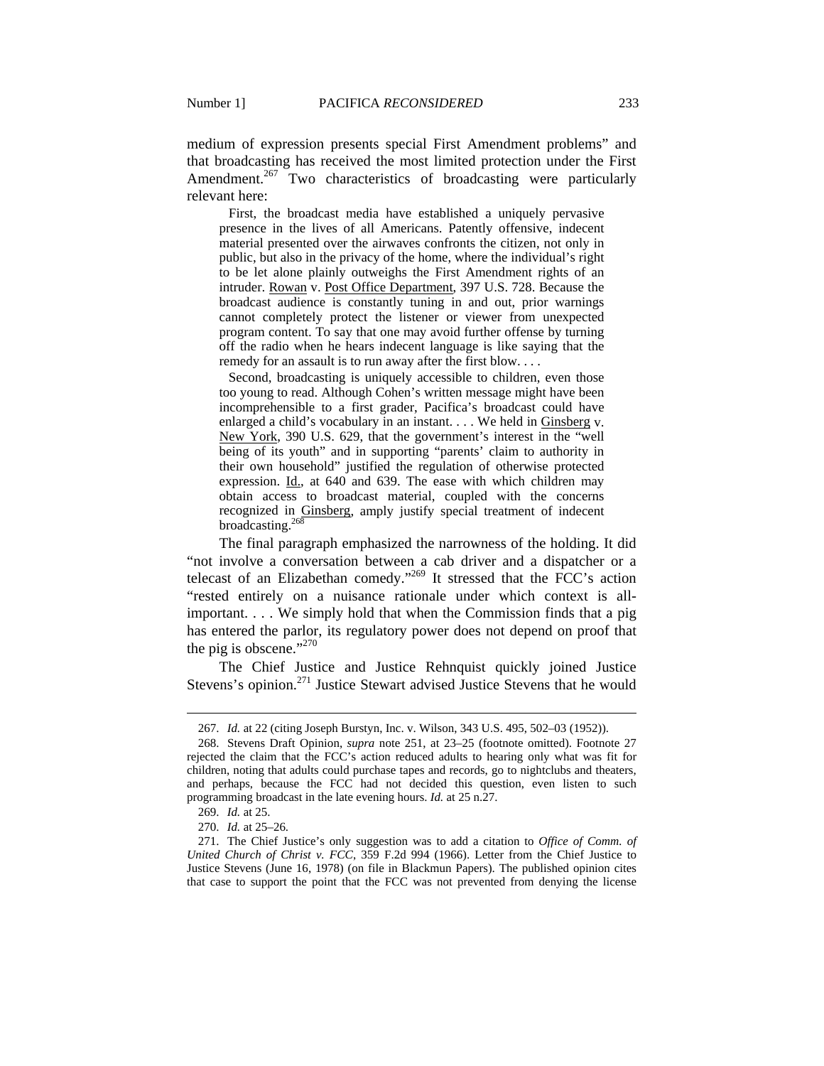medium of expression presents special First Amendment problems" and that broadcasting has received the most limited protection under the First Amendment.<sup>267</sup> Two characteristics of broadcasting were particularly relevant here:

 First, the broadcast media have established a uniquely pervasive presence in the lives of all Americans. Patently offensive, indecent material presented over the airwaves confronts the citizen, not only in public, but also in the privacy of the home, where the individual's right to be let alone plainly outweighs the First Amendment rights of an intruder. Rowan v. Post Office Department, 397 U.S. 728. Because the broadcast audience is constantly tuning in and out, prior warnings cannot completely protect the listener or viewer from unexpected program content. To say that one may avoid further offense by turning off the radio when he hears indecent language is like saying that the remedy for an assault is to run away after the first blow. . . .

 Second, broadcasting is uniquely accessible to children, even those too young to read. Although Cohen's written message might have been incomprehensible to a first grader, Pacifica's broadcast could have enlarged a child's vocabulary in an instant. . . . We held in Ginsberg v. New York, 390 U.S. 629, that the government's interest in the "well being of its youth" and in supporting "parents' claim to authority in their own household" justified the regulation of otherwise protected expression. Id., at 640 and 639. The ease with which children may obtain access to broadcast material, coupled with the concerns recognized in Ginsberg, amply justify special treatment of indecent broadcasting.<sup>268</sup>

The final paragraph emphasized the narrowness of the holding. It did "not involve a conversation between a cab driver and a dispatcher or a telecast of an Elizabethan comedy."269 It stressed that the FCC's action "rested entirely on a nuisance rationale under which context is allimportant. . . . We simply hold that when the Commission finds that a pig has entered the parlor, its regulatory power does not depend on proof that the pig is obscene."<sup>270</sup>

The Chief Justice and Justice Rehnquist quickly joined Justice Stevens's opinion.<sup>271</sup> Justice Stewart advised Justice Stevens that he would

 <sup>267.</sup> *Id.* at 22 (citing Joseph Burstyn, Inc. v. Wilson, 343 U.S. 495, 502–03 (1952)).

 <sup>268.</sup> Stevens Draft Opinion, *supra* note 251, at 23–25 (footnote omitted). Footnote 27 rejected the claim that the FCC's action reduced adults to hearing only what was fit for children, noting that adults could purchase tapes and records, go to nightclubs and theaters, and perhaps, because the FCC had not decided this question, even listen to such programming broadcast in the late evening hours. *Id.* at 25 n.27.

 <sup>269.</sup> *Id.* at 25.

 <sup>270.</sup> *Id.* at 25–26.

 <sup>271.</sup> The Chief Justice's only suggestion was to add a citation to *Office of Comm. of United Church of Christ v. FCC*, 359 F.2d 994 (1966). Letter from the Chief Justice to Justice Stevens (June 16, 1978) (on file in Blackmun Papers). The published opinion cites that case to support the point that the FCC was not prevented from denying the license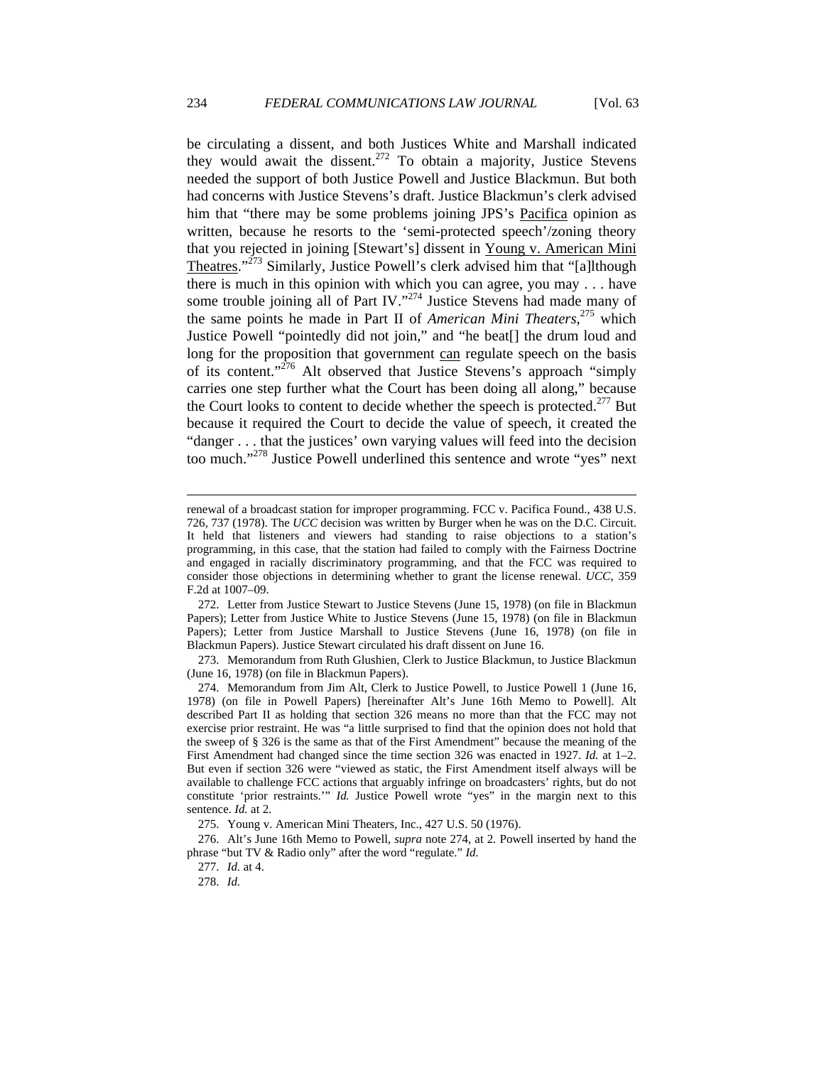be circulating a dissent, and both Justices White and Marshall indicated they would await the dissent.<sup>272</sup> To obtain a majority, Justice Stevens needed the support of both Justice Powell and Justice Blackmun. But both had concerns with Justice Stevens's draft. Justice Blackmun's clerk advised him that "there may be some problems joining JPS's Pacifica opinion as written, because he resorts to the 'semi-protected speech'/zoning theory that you rejected in joining [Stewart's] dissent in Young v. American Mini Theatres."<sup>273</sup> Similarly, Justice Powell's clerk advised him that "[a]lthough there is much in this opinion with which you can agree, you may . . . have some trouble joining all of Part IV."<sup>274</sup> Justice Stevens had made many of the same points he made in Part II of *American Mini Theaters*, 275 which Justice Powell "pointedly did not join," and "he beat[] the drum loud and long for the proposition that government can regulate speech on the basis of its content."276 Alt observed that Justice Stevens's approach "simply carries one step further what the Court has been doing all along," because the Court looks to content to decide whether the speech is protected.<sup>277</sup> But because it required the Court to decide the value of speech, it created the "danger . . . that the justices' own varying values will feed into the decision too much."278 Justice Powell underlined this sentence and wrote "yes" next

 273. Memorandum from Ruth Glushien, Clerk to Justice Blackmun, to Justice Blackmun (June 16, 1978) (on file in Blackmun Papers).

renewal of a broadcast station for improper programming. FCC v. Pacifica Found., 438 U.S. 726, 737 (1978). The *UCC* decision was written by Burger when he was on the D.C. Circuit. It held that listeners and viewers had standing to raise objections to a station's programming, in this case, that the station had failed to comply with the Fairness Doctrine and engaged in racially discriminatory programming, and that the FCC was required to consider those objections in determining whether to grant the license renewal. *UCC*, 359 F.2d at 1007–09.

 <sup>272.</sup> Letter from Justice Stewart to Justice Stevens (June 15, 1978) (on file in Blackmun Papers); Letter from Justice White to Justice Stevens (June 15, 1978) (on file in Blackmun Papers); Letter from Justice Marshall to Justice Stevens (June 16, 1978) (on file in Blackmun Papers). Justice Stewart circulated his draft dissent on June 16.

 <sup>274.</sup> Memorandum from Jim Alt, Clerk to Justice Powell, to Justice Powell 1 (June 16, 1978) (on file in Powell Papers) [hereinafter Alt's June 16th Memo to Powell]. Alt described Part II as holding that section 326 means no more than that the FCC may not exercise prior restraint. He was "a little surprised to find that the opinion does not hold that the sweep of § 326 is the same as that of the First Amendment" because the meaning of the First Amendment had changed since the time section 326 was enacted in 1927. *Id.* at 1–2. But even if section 326 were "viewed as static, the First Amendment itself always will be available to challenge FCC actions that arguably infringe on broadcasters' rights, but do not constitute 'prior restraints.'" *Id.* Justice Powell wrote "yes" in the margin next to this sentence. *Id.* at 2.

 <sup>275.</sup> Young v. American Mini Theaters, Inc., 427 U.S. 50 (1976).

 <sup>276.</sup> Alt's June 16th Memo to Powell, *supra* note 274, at 2*.* Powell inserted by hand the phrase "but TV & Radio only" after the word "regulate." *Id.*

 <sup>277.</sup> *Id.* at 4.

 <sup>278.</sup> *Id.*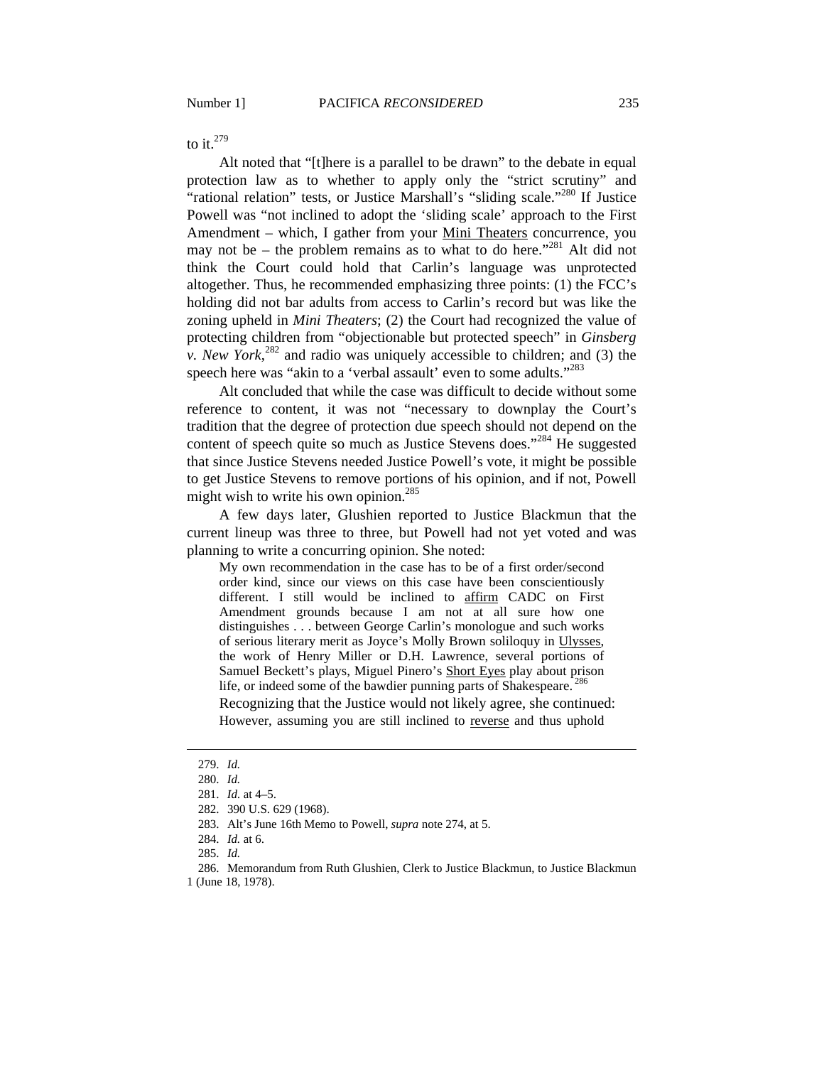to it. $279$ 

Alt noted that "[t]here is a parallel to be drawn" to the debate in equal protection law as to whether to apply only the "strict scrutiny" and "rational relation" tests, or Justice Marshall's "sliding scale."280 If Justice Powell was "not inclined to adopt the 'sliding scale' approach to the First Amendment – which, I gather from your Mini Theaters concurrence, you may not be – the problem remains as to what to do here."<sup>281</sup> Alt did not think the Court could hold that Carlin's language was unprotected altogether. Thus, he recommended emphasizing three points: (1) the FCC's holding did not bar adults from access to Carlin's record but was like the zoning upheld in *Mini Theaters*; (2) the Court had recognized the value of protecting children from "objectionable but protected speech" in *Ginsberg v. New York*,<sup>282</sup> and radio was uniquely accessible to children; and (3) the speech here was "akin to a 'verbal assault' even to some adults."<sup>283</sup>

Alt concluded that while the case was difficult to decide without some reference to content, it was not "necessary to downplay the Court's tradition that the degree of protection due speech should not depend on the content of speech quite so much as Justice Stevens does."<sup>284</sup> He suggested that since Justice Stevens needed Justice Powell's vote, it might be possible to get Justice Stevens to remove portions of his opinion, and if not, Powell might wish to write his own opinion.<sup>285</sup>

A few days later, Glushien reported to Justice Blackmun that the current lineup was three to three, but Powell had not yet voted and was planning to write a concurring opinion. She noted:

My own recommendation in the case has to be of a first order/second order kind, since our views on this case have been conscientiously different. I still would be inclined to affirm CADC on First Amendment grounds because I am not at all sure how one distinguishes . . . between George Carlin's monologue and such works of serious literary merit as Joyce's Molly Brown soliloquy in Ulysses, the work of Henry Miller or D.H. Lawrence, several portions of Samuel Beckett's plays, Miguel Pinero's Short Eyes play about prison life, or indeed some of the bawdier punning parts of Shakespeare.<sup>286</sup>

Recognizing that the Justice would not likely agree, she continued: However, assuming you are still inclined to reverse and thus uphold

 <sup>279.</sup> *Id.*

 <sup>280.</sup> *Id.*

 <sup>281.</sup> *Id.* at 4–5.

 <sup>282. 390</sup> U.S. 629 (1968).

 <sup>283.</sup> Alt's June 16th Memo to Powell, *supra* note 274, at 5.

 <sup>284.</sup> *Id.* at 6.

 <sup>285.</sup> *Id.*

 <sup>286.</sup> Memorandum from Ruth Glushien, Clerk to Justice Blackmun, to Justice Blackmun 1 (June 18, 1978).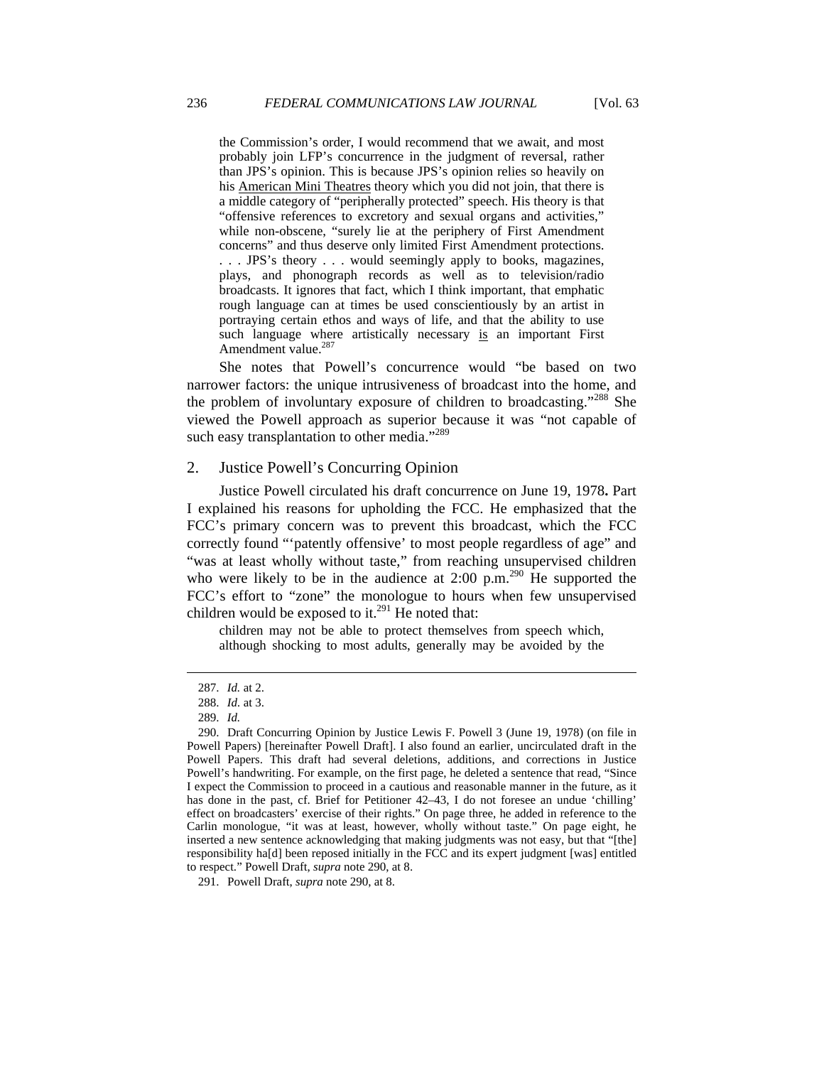the Commission's order, I would recommend that we await, and most probably join LFP's concurrence in the judgment of reversal, rather than JPS's opinion. This is because JPS's opinion relies so heavily on his American Mini Theatres theory which you did not join, that there is a middle category of "peripherally protected" speech. His theory is that "offensive references to excretory and sexual organs and activities," while non-obscene, "surely lie at the periphery of First Amendment concerns" and thus deserve only limited First Amendment protections. . . . JPS's theory . . . would seemingly apply to books, magazines, plays, and phonograph records as well as to television/radio broadcasts. It ignores that fact, which I think important, that emphatic rough language can at times be used conscientiously by an artist in portraying certain ethos and ways of life, and that the ability to use such language where artistically necessary is an important First Amendment value.<sup>287</sup>

She notes that Powell's concurrence would "be based on two narrower factors: the unique intrusiveness of broadcast into the home, and the problem of involuntary exposure of children to broadcasting."<sup>288</sup> She viewed the Powell approach as superior because it was "not capable of such easy transplantation to other media."<sup>289</sup>

#### 2. Justice Powell's Concurring Opinion

Justice Powell circulated his draft concurrence on June 19, 1978**.** Part I explained his reasons for upholding the FCC. He emphasized that the FCC's primary concern was to prevent this broadcast, which the FCC correctly found "'patently offensive' to most people regardless of age" and "was at least wholly without taste," from reaching unsupervised children who were likely to be in the audience at  $2:00$  p.m.<sup>290</sup> He supported the FCC's effort to "zone" the monologue to hours when few unsupervised children would be exposed to it.<sup>291</sup> He noted that:

children may not be able to protect themselves from speech which, although shocking to most adults, generally may be avoided by the

 <sup>287.</sup> *Id.* at 2.

 <sup>288.</sup> *Id.* at 3.

 <sup>289.</sup> *Id.*

 <sup>290.</sup> Draft Concurring Opinion by Justice Lewis F. Powell 3 (June 19, 1978) (on file in Powell Papers) [hereinafter Powell Draft]. I also found an earlier, uncirculated draft in the Powell Papers. This draft had several deletions, additions, and corrections in Justice Powell's handwriting. For example, on the first page, he deleted a sentence that read, "Since I expect the Commission to proceed in a cautious and reasonable manner in the future, as it has done in the past, cf. Brief for Petitioner 42–43, I do not foresee an undue 'chilling' effect on broadcasters' exercise of their rights." On page three, he added in reference to the Carlin monologue, "it was at least, however, wholly without taste." On page eight, he inserted a new sentence acknowledging that making judgments was not easy, but that "[the] responsibility ha[d] been reposed initially in the FCC and its expert judgment [was] entitled to respect." Powell Draft, *supra* note 290, at 8.

 <sup>291.</sup> Powell Draft, *supra* note 290, at 8.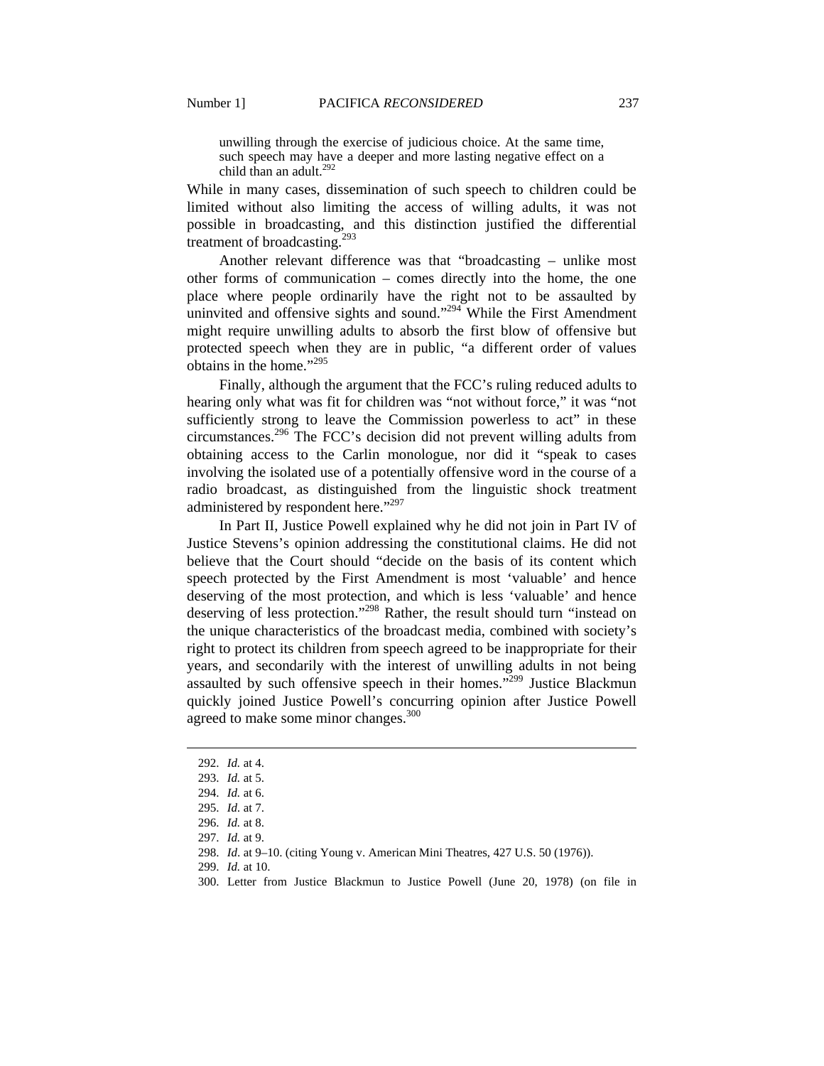unwilling through the exercise of judicious choice. At the same time, such speech may have a deeper and more lasting negative effect on a child than an adult. $292$ 

While in many cases, dissemination of such speech to children could be limited without also limiting the access of willing adults, it was not possible in broadcasting, and this distinction justified the differential treatment of broadcasting.<sup>293</sup>

Another relevant difference was that "broadcasting – unlike most other forms of communication – comes directly into the home, the one place where people ordinarily have the right not to be assaulted by uninvited and offensive sights and sound."<sup>294</sup> While the First Amendment might require unwilling adults to absorb the first blow of offensive but protected speech when they are in public, "a different order of values obtains in the home."295

Finally, although the argument that the FCC's ruling reduced adults to hearing only what was fit for children was "not without force," it was "not sufficiently strong to leave the Commission powerless to act" in these circumstances.<sup>296</sup> The FCC's decision did not prevent willing adults from obtaining access to the Carlin monologue, nor did it "speak to cases involving the isolated use of a potentially offensive word in the course of a radio broadcast, as distinguished from the linguistic shock treatment administered by respondent here."<sup>297</sup>

In Part II, Justice Powell explained why he did not join in Part IV of Justice Stevens's opinion addressing the constitutional claims. He did not believe that the Court should "decide on the basis of its content which speech protected by the First Amendment is most 'valuable' and hence deserving of the most protection, and which is less 'valuable' and hence deserving of less protection."<sup>298</sup> Rather, the result should turn "instead on the unique characteristics of the broadcast media, combined with society's right to protect its children from speech agreed to be inappropriate for their years, and secondarily with the interest of unwilling adults in not being assaulted by such offensive speech in their homes."<sup>299</sup> Justice Blackmun quickly joined Justice Powell's concurring opinion after Justice Powell agreed to make some minor changes.<sup>300</sup>

 <sup>292.</sup> *Id.* at 4.

 <sup>293.</sup> *Id.* at 5.

 <sup>294.</sup> *Id.* at 6.

 <sup>295.</sup> *Id.* at 7.

 <sup>296.</sup> *Id.* at 8.

 <sup>297.</sup> *Id.* at 9.

 <sup>298.</sup> *Id*. at 9–10. (citing Young v. American Mini Theatres, 427 U.S. 50 (1976)).

 <sup>299.</sup> *Id.* at 10.

 <sup>300.</sup> Letter from Justice Blackmun to Justice Powell (June 20, 1978) (on file in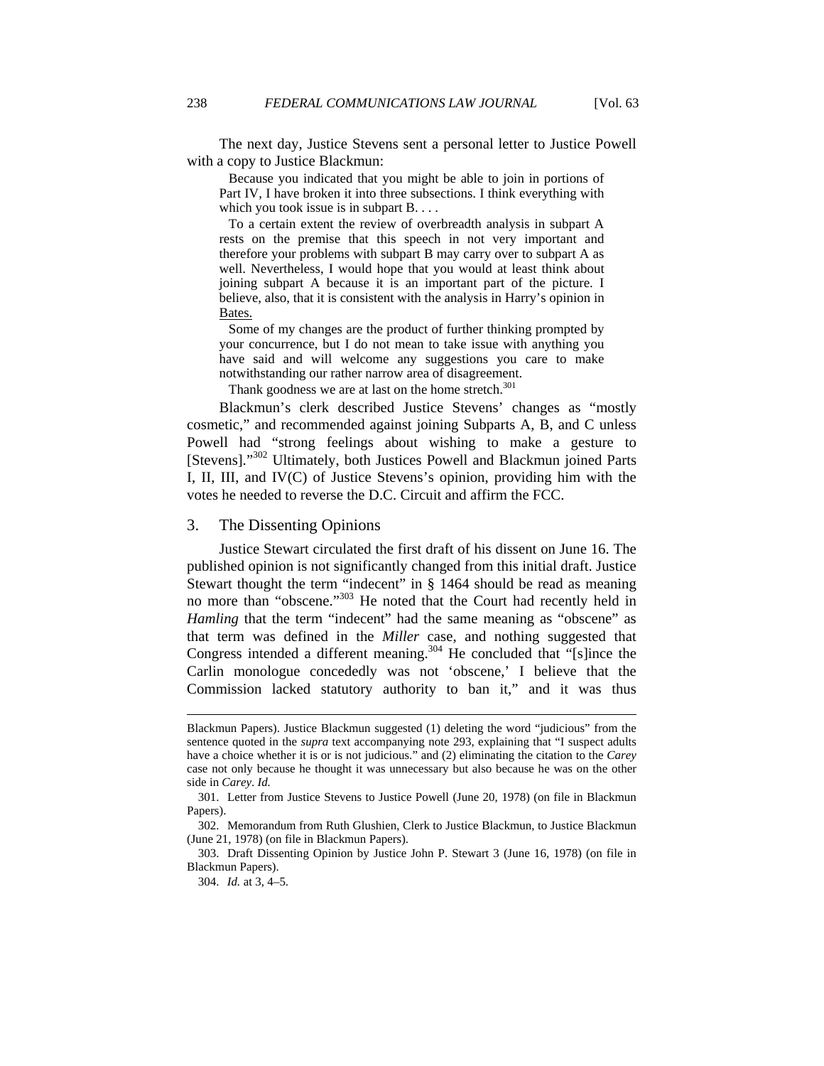The next day, Justice Stevens sent a personal letter to Justice Powell with a copy to Justice Blackmun:

 Because you indicated that you might be able to join in portions of Part IV, I have broken it into three subsections. I think everything with which you took issue is in subpart B....

 To a certain extent the review of overbreadth analysis in subpart A rests on the premise that this speech in not very important and therefore your problems with subpart B may carry over to subpart A as well. Nevertheless, I would hope that you would at least think about joining subpart A because it is an important part of the picture. I believe, also, that it is consistent with the analysis in Harry's opinion in Bates.

 Some of my changes are the product of further thinking prompted by your concurrence, but I do not mean to take issue with anything you have said and will welcome any suggestions you care to make notwithstanding our rather narrow area of disagreement.

Thank goodness we are at last on the home stretch. $301$ 

Blackmun's clerk described Justice Stevens' changes as "mostly cosmetic," and recommended against joining Subparts A, B, and C unless Powell had "strong feelings about wishing to make a gesture to [Stevens]."<sup>302</sup> Ultimately, both Justices Powell and Blackmun joined Parts I, II, III, and IV(C) of Justice Stevens's opinion, providing him with the votes he needed to reverse the D.C. Circuit and affirm the FCC.

## 3. The Dissenting Opinions

Justice Stewart circulated the first draft of his dissent on June 16. The published opinion is not significantly changed from this initial draft. Justice Stewart thought the term "indecent" in § 1464 should be read as meaning no more than "obscene."<sup>303</sup> He noted that the Court had recently held in *Hamling* that the term "indecent" had the same meaning as "obscene" as that term was defined in the *Miller* case, and nothing suggested that Congress intended a different meaning.<sup>304</sup> He concluded that "[s]ince the Carlin monologue concededly was not 'obscene,' I believe that the Commission lacked statutory authority to ban it," and it was thus

Blackmun Papers). Justice Blackmun suggested (1) deleting the word "judicious" from the sentence quoted in the *supra* text accompanying note 293, explaining that "I suspect adults have a choice whether it is or is not judicious." and (2) eliminating the citation to the *Carey* case not only because he thought it was unnecessary but also because he was on the other side in *Carey*. *Id.* 

 <sup>301.</sup> Letter from Justice Stevens to Justice Powell (June 20, 1978) (on file in Blackmun Papers).

 <sup>302.</sup> Memorandum from Ruth Glushien, Clerk to Justice Blackmun, to Justice Blackmun (June 21, 1978) (on file in Blackmun Papers).

 <sup>303.</sup> Draft Dissenting Opinion by Justice John P. Stewart 3 (June 16, 1978) (on file in Blackmun Papers).

 <sup>304.</sup> *Id.* at 3, 4–5.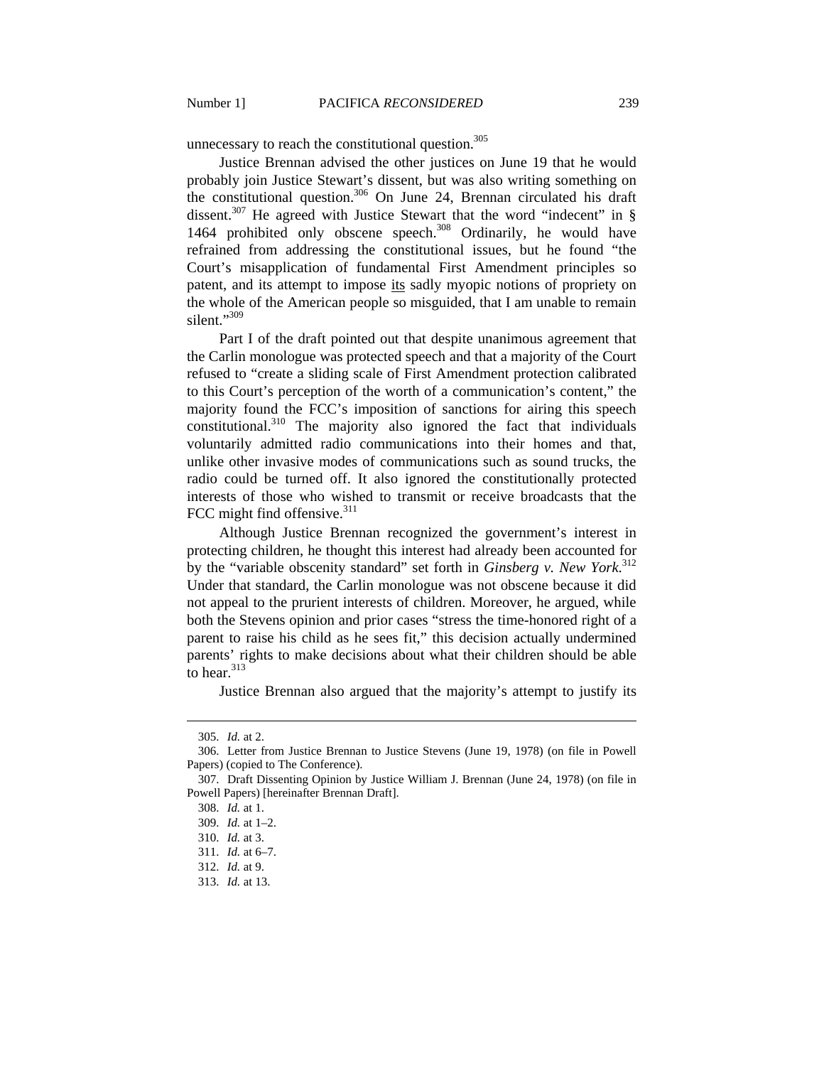unnecessary to reach the constitutional question.<sup>305</sup>

Justice Brennan advised the other justices on June 19 that he would probably join Justice Stewart's dissent, but was also writing something on the constitutional question.<sup>306</sup> On June 24, Brennan circulated his draft dissent.<sup>307</sup> He agreed with Justice Stewart that the word "indecent" in § 1464 prohibited only obscene speech.<sup>308</sup> Ordinarily, he would have refrained from addressing the constitutional issues, but he found "the Court's misapplication of fundamental First Amendment principles so patent, and its attempt to impose its sadly myopic notions of propriety on the whole of the American people so misguided, that I am unable to remain silent."<sup>309</sup>

Part I of the draft pointed out that despite unanimous agreement that the Carlin monologue was protected speech and that a majority of the Court refused to "create a sliding scale of First Amendment protection calibrated to this Court's perception of the worth of a communication's content," the majority found the FCC's imposition of sanctions for airing this speech constitutional.<sup>310</sup> The majority also ignored the fact that individuals voluntarily admitted radio communications into their homes and that, unlike other invasive modes of communications such as sound trucks, the radio could be turned off. It also ignored the constitutionally protected interests of those who wished to transmit or receive broadcasts that the FCC might find offensive. $311$ 

Although Justice Brennan recognized the government's interest in protecting children, he thought this interest had already been accounted for by the "variable obscenity standard" set forth in *Ginsberg v. New York*. 312 Under that standard, the Carlin monologue was not obscene because it did not appeal to the prurient interests of children. Moreover, he argued, while both the Stevens opinion and prior cases "stress the time-honored right of a parent to raise his child as he sees fit," this decision actually undermined parents' rights to make decisions about what their children should be able to hear. $313$ 

Justice Brennan also argued that the majority's attempt to justify its

 <sup>305.</sup> *Id.* at 2.

 <sup>306.</sup> Letter from Justice Brennan to Justice Stevens (June 19, 1978) (on file in Powell Papers) (copied to The Conference).

 <sup>307.</sup> Draft Dissenting Opinion by Justice William J. Brennan (June 24, 1978) (on file in Powell Papers) [hereinafter Brennan Draft].

 <sup>308.</sup> *Id.* at 1.

 <sup>309.</sup> *Id.* at 1–2.

 <sup>310.</sup> *Id.* at 3.

 <sup>311.</sup> *Id.* at 6–7.

 <sup>312.</sup> *Id.* at 9.

 <sup>313.</sup> *Id.* at 13.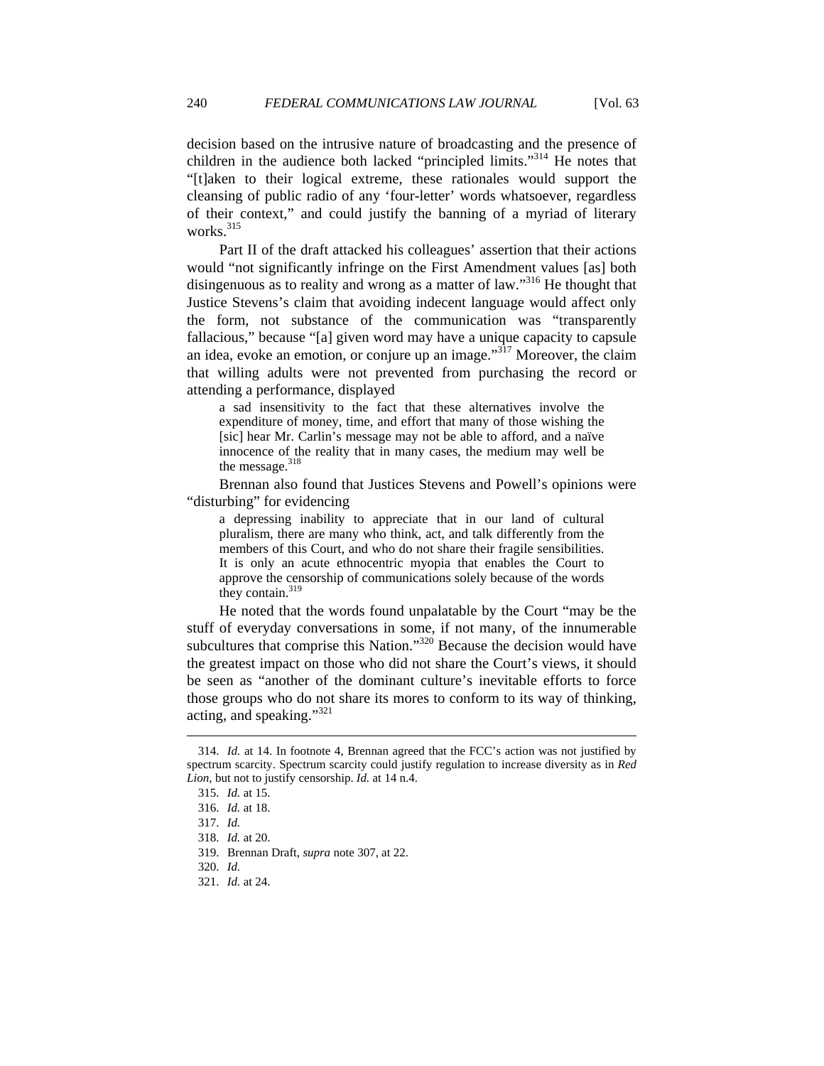decision based on the intrusive nature of broadcasting and the presence of children in the audience both lacked "principled limits."<sup>314</sup> He notes that "[t]aken to their logical extreme, these rationales would support the cleansing of public radio of any 'four-letter' words whatsoever, regardless of their context," and could justify the banning of a myriad of literary works.<sup>315</sup>

Part II of the draft attacked his colleagues' assertion that their actions would "not significantly infringe on the First Amendment values [as] both disingenuous as to reality and wrong as a matter of law."316 He thought that Justice Stevens's claim that avoiding indecent language would affect only the form, not substance of the communication was "transparently fallacious," because "[a] given word may have a unique capacity to capsule an idea, evoke an emotion, or conjure up an image.<sup> $3\overline{17}$ </sup> Moreover, the claim that willing adults were not prevented from purchasing the record or attending a performance, displayed

a sad insensitivity to the fact that these alternatives involve the expenditure of money, time, and effort that many of those wishing the [sic] hear Mr. Carlin's message may not be able to afford, and a naïve innocence of the reality that in many cases, the medium may well be the message. $318$ 

Brennan also found that Justices Stevens and Powell's opinions were "disturbing" for evidencing

a depressing inability to appreciate that in our land of cultural pluralism, there are many who think, act, and talk differently from the members of this Court, and who do not share their fragile sensibilities. It is only an acute ethnocentric myopia that enables the Court to approve the censorship of communications solely because of the words they contain. $319$ 

He noted that the words found unpalatable by the Court "may be the stuff of everyday conversations in some, if not many, of the innumerable subcultures that comprise this Nation."<sup>320</sup> Because the decision would have the greatest impact on those who did not share the Court's views, it should be seen as "another of the dominant culture's inevitable efforts to force those groups who do not share its mores to conform to its way of thinking, acting, and speaking."<sup>321</sup>

 <sup>314.</sup> *Id.* at 14. In footnote 4, Brennan agreed that the FCC's action was not justified by spectrum scarcity. Spectrum scarcity could justify regulation to increase diversity as in *Red Lion*, but not to justify censorship. *Id.* at 14 n.4.

 <sup>315.</sup> *Id.* at 15.

 <sup>316.</sup> *Id.* at 18.

 <sup>317.</sup> *Id.*

 <sup>318.</sup> *Id.* at 20.

 <sup>319.</sup> Brennan Draft, *supra* note 307, at 22.

 <sup>320.</sup> *Id.*

 <sup>321.</sup> *Id.* at 24.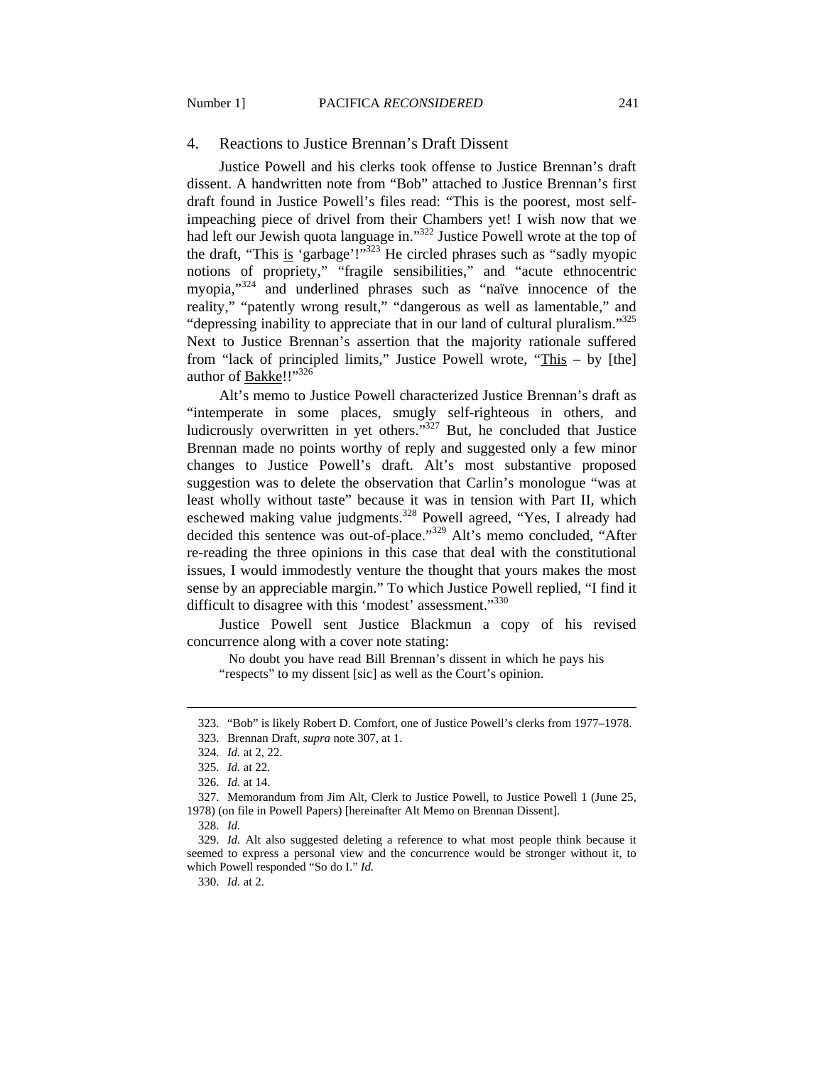#### 4. Reactions to Justice Brennan's Draft Dissent

Justice Powell and his clerks took offense to Justice Brennan's draft dissent. A handwritten note from "Bob" attached to Justice Brennan's first draft found in Justice Powell's files read: "This is the poorest, most selfimpeaching piece of drivel from their Chambers yet! I wish now that we had left our Jewish quota language in."322 Justice Powell wrote at the top of the draft, "This is 'garbage'!"323 He circled phrases such as "sadly myopic notions of propriety," "fragile sensibilities," and "acute ethnocentric myopia,"<sup>324</sup> and underlined phrases such as "naïve innocence of the reality," "patently wrong result," "dangerous as well as lamentable," and "depressing inability to appreciate that in our land of cultural pluralism."<sup>325</sup> Next to Justice Brennan's assertion that the majority rationale suffered from "lack of principled limits," Justice Powell wrote, "This – by [the] author of Bakke!!"<sup>326</sup>

Alt's memo to Justice Powell characterized Justice Brennan's draft as "intemperate in some places, smugly self-righteous in others, and ludicrously overwritten in yet others. $1327$  But, he concluded that Justice Brennan made no points worthy of reply and suggested only a few minor changes to Justice Powell's draft. Alt's most substantive proposed suggestion was to delete the observation that Carlin's monologue "was at least wholly without taste" because it was in tension with Part II, which eschewed making value judgments.<sup>328</sup> Powell agreed, "Yes, I already had decided this sentence was out-of-place."329 Alt's memo concluded, "After re-reading the three opinions in this case that deal with the constitutional issues, I would immodestly venture the thought that yours makes the most sense by an appreciable margin." To which Justice Powell replied, "I find it difficult to disagree with this 'modest' assessment."<sup>330</sup>

Justice Powell sent Justice Blackmun a copy of his revised concurrence along with a cover note stating:

 No doubt you have read Bill Brennan's dissent in which he pays his "respects" to my dissent [sic] as well as the Court's opinion.

 $\overline{a}$ 

330. *Id.* at 2.

 <sup>323. &</sup>quot;Bob" is likely Robert D. Comfort, one of Justice Powell's clerks from 1977–1978.

 <sup>323.</sup> Brennan Draft*, supra* note 307, at 1.

 <sup>324.</sup> *Id.* at 2, 22.

 <sup>325.</sup> *Id.* at 22.

 <sup>326.</sup> *Id.* at 14.

 <sup>327.</sup> Memorandum from Jim Alt, Clerk to Justice Powell, to Justice Powell 1 (June 25, 1978) (on file in Powell Papers) [hereinafter Alt Memo on Brennan Dissent].

 <sup>328.</sup> *Id.* 

 <sup>329.</sup> *Id.* Alt also suggested deleting a reference to what most people think because it seemed to express a personal view and the concurrence would be stronger without it, to which Powell responded "So do I." *Id.*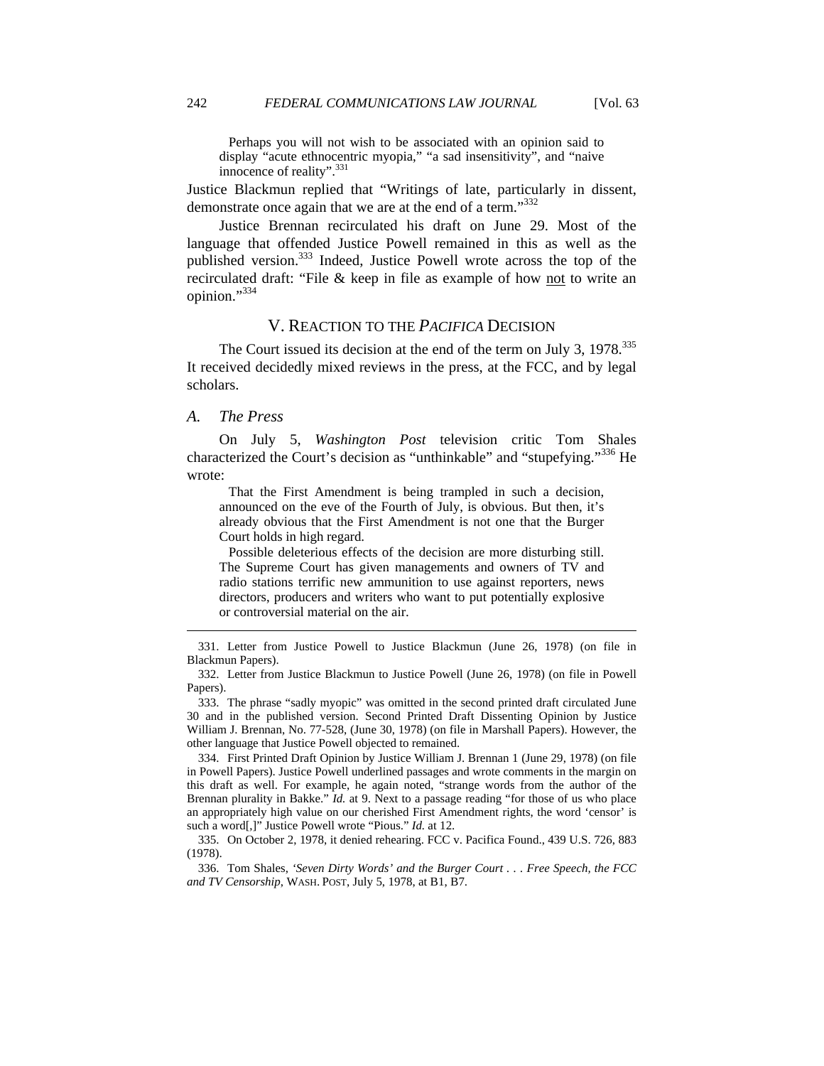Perhaps you will not wish to be associated with an opinion said to display "acute ethnocentric myopia," "a sad insensitivity", and "naive innocence of reality".<sup>331</sup>

Justice Blackmun replied that "Writings of late, particularly in dissent, demonstrate once again that we are at the end of a term."<sup>332</sup>

Justice Brennan recirculated his draft on June 29. Most of the language that offended Justice Powell remained in this as well as the published version.<sup>333</sup> Indeed, Justice Powell wrote across the top of the recirculated draft: "File & keep in file as example of how not to write an opinion."334

# V. REACTION TO THE *PACIFICA* DECISION

The Court issued its decision at the end of the term on July 3, 1978.<sup>335</sup> It received decidedly mixed reviews in the press, at the FCC, and by legal scholars.

## *A. The Press*

 $\overline{a}$ 

On July 5, *Washington Post* television critic Tom Shales characterized the Court's decision as "unthinkable" and "stupefying."<sup>336</sup> He wrote:

 That the First Amendment is being trampled in such a decision, announced on the eve of the Fourth of July, is obvious. But then, it's already obvious that the First Amendment is not one that the Burger Court holds in high regard.

 Possible deleterious effects of the decision are more disturbing still. The Supreme Court has given managements and owners of TV and radio stations terrific new ammunition to use against reporters, news directors, producers and writers who want to put potentially explosive or controversial material on the air.

 333. The phrase "sadly myopic" was omitted in the second printed draft circulated June 30 and in the published version. Second Printed Draft Dissenting Opinion by Justice William J. Brennan, No. 77-528, (June 30, 1978) (on file in Marshall Papers). However, the other language that Justice Powell objected to remained.

 334. First Printed Draft Opinion by Justice William J. Brennan 1 (June 29, 1978) (on file in Powell Papers). Justice Powell underlined passages and wrote comments in the margin on this draft as well. For example, he again noted, "strange words from the author of the Brennan plurality in Bakke." *Id.* at 9. Next to a passage reading "for those of us who place an appropriately high value on our cherished First Amendment rights, the word 'censor' is such a word[,]" Justice Powell wrote "Pious." *Id.* at 12.

 335. On October 2, 1978, it denied rehearing. FCC v. Pacifica Found., 439 U.S. 726, 883 (1978).

 336. Tom Shales, *'Seven Dirty Words' and the Burger Court . . . Free Speech, the FCC and TV Censorship*, WASH. POST, July 5, 1978, at B1, B7.

 <sup>331.</sup> Letter from Justice Powell to Justice Blackmun (June 26, 1978) (on file in Blackmun Papers).

 <sup>332.</sup> Letter from Justice Blackmun to Justice Powell (June 26, 1978) (on file in Powell Papers).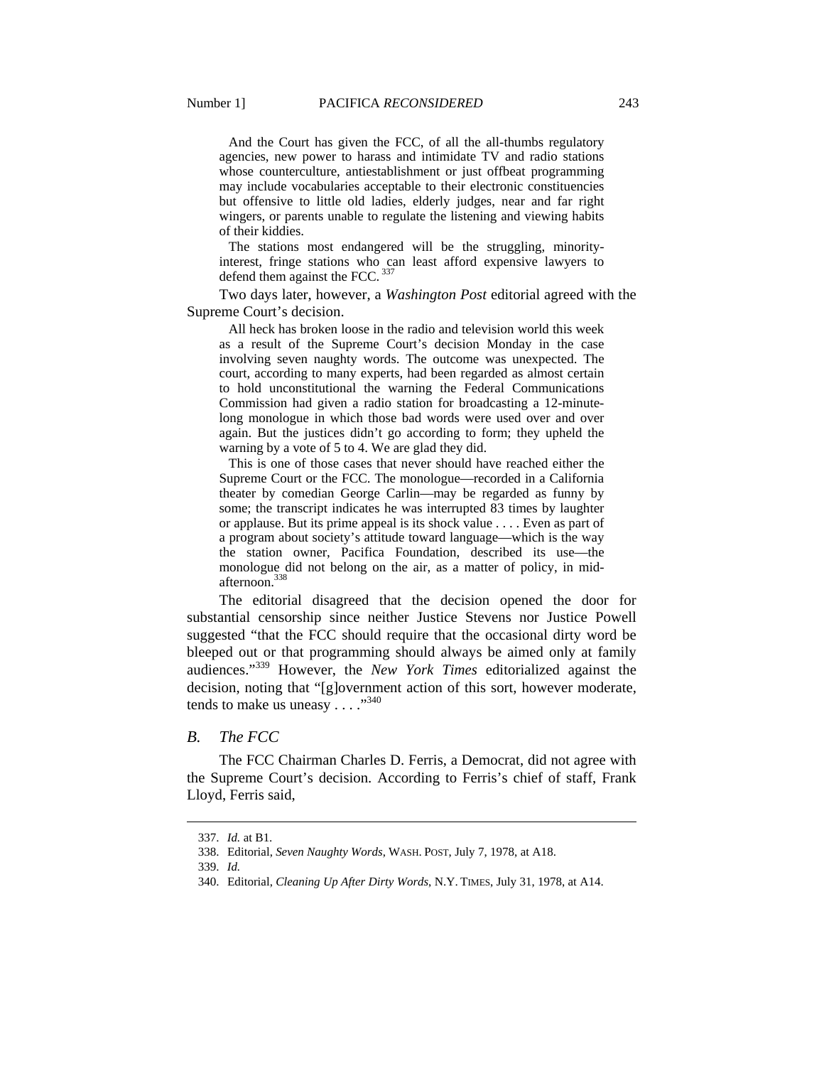And the Court has given the FCC, of all the all-thumbs regulatory agencies, new power to harass and intimidate TV and radio stations whose counterculture, antiestablishment or just offbeat programming may include vocabularies acceptable to their electronic constituencies but offensive to little old ladies, elderly judges, near and far right wingers, or parents unable to regulate the listening and viewing habits of their kiddies.

 The stations most endangered will be the struggling, minorityinterest, fringe stations who can least afford expensive lawyers to defend them against the FCC.  $337$ 

Two days later, however, a *Washington Post* editorial agreed with the Supreme Court's decision.

 All heck has broken loose in the radio and television world this week as a result of the Supreme Court's decision Monday in the case involving seven naughty words. The outcome was unexpected. The court, according to many experts, had been regarded as almost certain to hold unconstitutional the warning the Federal Communications Commission had given a radio station for broadcasting a 12-minutelong monologue in which those bad words were used over and over again. But the justices didn't go according to form; they upheld the warning by a vote of 5 to 4. We are glad they did.

 This is one of those cases that never should have reached either the Supreme Court or the FCC. The monologue—recorded in a California theater by comedian George Carlin—may be regarded as funny by some; the transcript indicates he was interrupted 83 times by laughter or applause. But its prime appeal is its shock value . . . . Even as part of a program about society's attitude toward language—which is the way the station owner, Pacifica Foundation, described its use—the monologue did not belong on the air, as a matter of policy, in midafternoon.<sup>338</sup>

The editorial disagreed that the decision opened the door for substantial censorship since neither Justice Stevens nor Justice Powell suggested "that the FCC should require that the occasional dirty word be bleeped out or that programming should always be aimed only at family audiences."339 However, the *New York Times* editorialized against the decision, noting that "[g]overnment action of this sort, however moderate, tends to make us uneasy  $\dots$ ."<sup>340</sup>

#### *B. The FCC*

The FCC Chairman Charles D. Ferris, a Democrat, did not agree with the Supreme Court's decision. According to Ferris's chief of staff, Frank Lloyd, Ferris said,

 <sup>337.</sup> *Id.* at B1.

 <sup>338.</sup> Editorial, *Seven Naughty Words*, WASH. POST, July 7, 1978, at A18.

 <sup>339.</sup> *Id.* 

 <sup>340.</sup> Editorial, *Cleaning Up After Dirty Words*, N.Y. TIMES, July 31, 1978, at A14.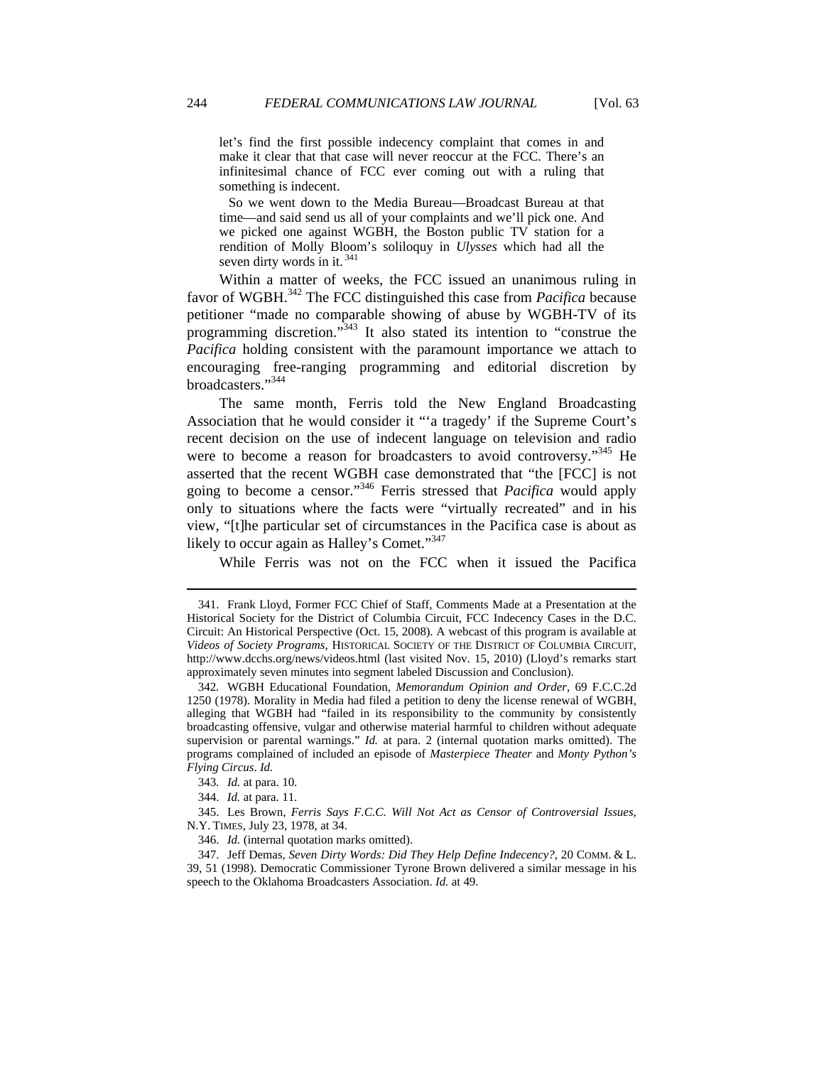let's find the first possible indecency complaint that comes in and make it clear that that case will never reoccur at the FCC. There's an infinitesimal chance of FCC ever coming out with a ruling that something is indecent.

 So we went down to the Media Bureau—Broadcast Bureau at that time—and said send us all of your complaints and we'll pick one. And we picked one against WGBH, the Boston public TV station for a rendition of Molly Bloom's soliloquy in *Ulysses* which had all the seven dirty words in it.<sup>341</sup>

Within a matter of weeks, the FCC issued an unanimous ruling in favor of WGBH.342 The FCC distinguished this case from *Pacifica* because petitioner "made no comparable showing of abuse by WGBH-TV of its programming discretion."<sup>343</sup> It also stated its intention to "construe the *Pacifica* holding consistent with the paramount importance we attach to encouraging free-ranging programming and editorial discretion by broadcasters."<sup>344</sup>

The same month, Ferris told the New England Broadcasting Association that he would consider it "'a tragedy' if the Supreme Court's recent decision on the use of indecent language on television and radio were to become a reason for broadcasters to avoid controversy."<sup>345</sup> He asserted that the recent WGBH case demonstrated that "the [FCC] is not going to become a censor."346 Ferris stressed that *Pacifica* would apply only to situations where the facts were "virtually recreated" and in his view, "[t]he particular set of circumstances in the Pacifica case is about as likely to occur again as Halley's Comet."<sup>347</sup>

While Ferris was not on the FCC when it issued the Pacifica

 <sup>341.</sup> Frank Lloyd, Former FCC Chief of Staff, Comments Made at a Presentation at the Historical Society for the District of Columbia Circuit, FCC Indecency Cases in the D.C. Circuit: An Historical Perspective (Oct. 15, 2008). A webcast of this program is available at *Videos of Society Programs*, HISTORICAL SOCIETY OF THE DISTRICT OF COLUMBIA CIRCUIT, http://www.dcchs.org/news/videos.html (last visited Nov. 15, 2010) (Lloyd's remarks start approximately seven minutes into segment labeled Discussion and Conclusion).

<sup>342</sup>*.* WGBH Educational Foundation, *Memorandum Opinion and Order*, 69 F.C.C.2d 1250 (1978). Morality in Media had filed a petition to deny the license renewal of WGBH, alleging that WGBH had "failed in its responsibility to the community by consistently broadcasting offensive, vulgar and otherwise material harmful to children without adequate supervision or parental warnings." *Id.* at para. 2 (internal quotation marks omitted). The programs complained of included an episode of *Masterpiece Theater* and *Monty Python's Flying Circus*. *Id.*

<sup>343</sup>*. Id.* at para. 10.

 <sup>344.</sup> *Id.* at para. 11.

 <sup>345.</sup> Les Brown, *Ferris Says F.C.C. Will Not Act as Censor of Controversial Issues*, N.Y. TIMES, July 23, 1978, at 34.

 <sup>346.</sup> *Id.* (internal quotation marks omitted).

 <sup>347.</sup> Jeff Demas, *Seven Dirty Words: Did They Help Define Indecency?*, 20 COMM. & L. 39, 51 (1998). Democratic Commissioner Tyrone Brown delivered a similar message in his speech to the Oklahoma Broadcasters Association. *Id.* at 49.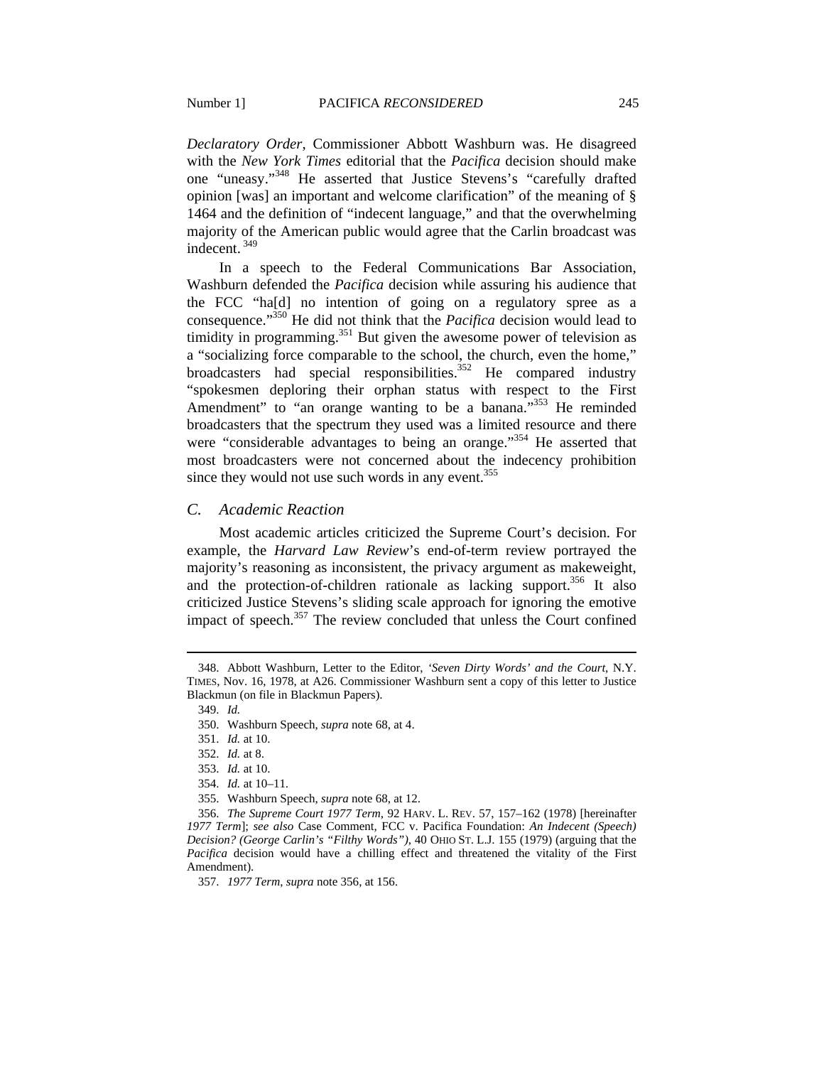*Declaratory Order*, Commissioner Abbott Washburn was. He disagreed with the *New York Times* editorial that the *Pacifica* decision should make one "uneasy."348 He asserted that Justice Stevens's "carefully drafted opinion [was] an important and welcome clarification" of the meaning of § 1464 and the definition of "indecent language," and that the overwhelming majority of the American public would agree that the Carlin broadcast was indecent. 349

In a speech to the Federal Communications Bar Association, Washburn defended the *Pacifica* decision while assuring his audience that the FCC "ha[d] no intention of going on a regulatory spree as a consequence."350 He did not think that the *Pacifica* decision would lead to timidity in programming.<sup>351</sup> But given the awesome power of television as a "socializing force comparable to the school, the church, even the home," broadcasters had special responsibilities.<sup>352</sup> He compared industry "spokesmen deploring their orphan status with respect to the First Amendment" to "an orange wanting to be a banana."<sup>353</sup> He reminded broadcasters that the spectrum they used was a limited resource and there were "considerable advantages to being an orange."<sup>354</sup> He asserted that most broadcasters were not concerned about the indecency prohibition since they would not use such words in any event. $355$ 

## *C. Academic Reaction*

Most academic articles criticized the Supreme Court's decision. For example, the *Harvard Law Review*'s end-of-term review portrayed the majority's reasoning as inconsistent, the privacy argument as makeweight, and the protection-of-children rationale as lacking support.<sup>356</sup> It also criticized Justice Stevens's sliding scale approach for ignoring the emotive impact of speech.<sup>357</sup> The review concluded that unless the Court confined

 <sup>348.</sup> Abbott Washburn, Letter to the Editor, *'Seven Dirty Words' and the Court*, N.Y. TIMES, Nov. 16, 1978, at A26. Commissioner Washburn sent a copy of this letter to Justice Blackmun (on file in Blackmun Papers).

 <sup>349.</sup> *Id.*

 <sup>350.</sup> Washburn Speech, *supra* note 68, at 4.

 <sup>351.</sup> *Id.* at 10.

 <sup>352.</sup> *Id.* at 8.

 <sup>353.</sup> *Id.* at 10.

 <sup>354.</sup> *Id.* at 10–11.

 <sup>355.</sup> Washburn Speech, *supra* note 68, at 12.

 <sup>356.</sup> *The Supreme Court 1977 Term*, 92 HARV. L. REV. 57, 157–162 (1978) [hereinafter *1977 Term*]; *see also* Case Comment*,* FCC v. Pacifica Foundation: *An Indecent (Speech) Decision? (George Carlin's "Filthy Words")*, 40 OHIO ST. L.J. 155 (1979) (arguing that the *Pacifica* decision would have a chilling effect and threatened the vitality of the First Amendment).

 <sup>357.</sup> *1977 Term*, *supra* note 356, at 156.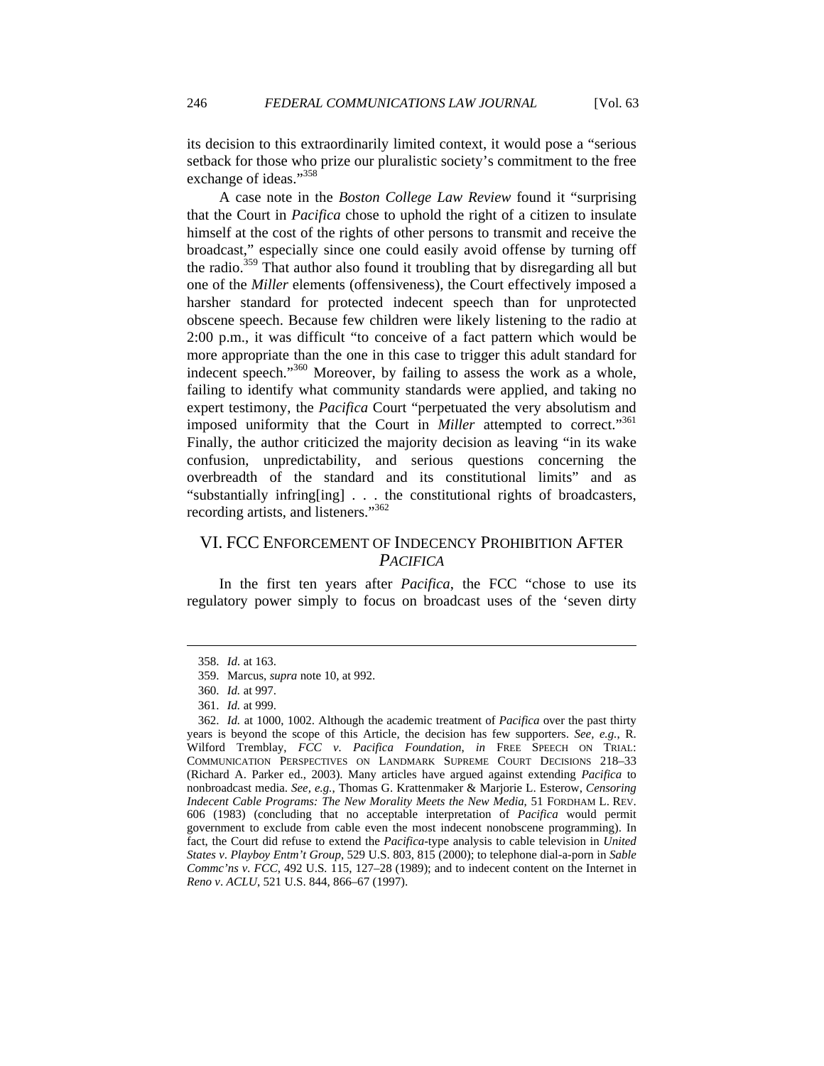its decision to this extraordinarily limited context, it would pose a "serious setback for those who prize our pluralistic society's commitment to the free exchange of ideas."<sup>358</sup>

A case note in the *Boston College Law Review* found it "surprising that the Court in *Pacifica* chose to uphold the right of a citizen to insulate himself at the cost of the rights of other persons to transmit and receive the broadcast," especially since one could easily avoid offense by turning off the radio.359 That author also found it troubling that by disregarding all but one of the *Miller* elements (offensiveness), the Court effectively imposed a harsher standard for protected indecent speech than for unprotected obscene speech. Because few children were likely listening to the radio at 2:00 p.m., it was difficult "to conceive of a fact pattern which would be more appropriate than the one in this case to trigger this adult standard for indecent speech."<sup>360</sup> Moreover, by failing to assess the work as a whole, failing to identify what community standards were applied, and taking no expert testimony, the *Pacifica* Court "perpetuated the very absolutism and imposed uniformity that the Court in *Miller* attempted to correct."<sup>361</sup> Finally, the author criticized the majority decision as leaving "in its wake confusion, unpredictability, and serious questions concerning the overbreadth of the standard and its constitutional limits" and as "substantially infring[ing] . . . the constitutional rights of broadcasters, recording artists, and listeners."<sup>362</sup>

# VI. FCC ENFORCEMENT OF INDECENCY PROHIBITION AFTER *PACIFICA*

In the first ten years after *Pacifica*, the FCC "chose to use its regulatory power simply to focus on broadcast uses of the 'seven dirty

 <sup>358.</sup> *Id.* at 163.

 <sup>359.</sup> Marcus, *supra* note 10, at 992.

 <sup>360.</sup> *Id.* at 997.

 <sup>361.</sup> *Id.* at 999.

 <sup>362.</sup> *Id.* at 1000, 1002. Although the academic treatment of *Pacifica* over the past thirty years is beyond the scope of this Article, the decision has few supporters. *See, e.g.*, R. Wilford Tremblay, *FCC v. Pacifica Foundation*, *in* FREE SPEECH ON TRIAL: COMMUNICATION PERSPECTIVES ON LANDMARK SUPREME COURT DECISIONS 218–33 (Richard A. Parker ed., 2003). Many articles have argued against extending *Pacifica* to nonbroadcast media. *See, e.g.*, Thomas G. Krattenmaker & Marjorie L. Esterow, *Censoring Indecent Cable Programs: The New Morality Meets the New Media*, 51 FORDHAM L. REV. 606 (1983) (concluding that no acceptable interpretation of *Pacifica* would permit government to exclude from cable even the most indecent nonobscene programming). In fact, the Court did refuse to extend the *Pacifica*-type analysis to cable television in *United States v*. *Playboy Entm't Group*, 529 U.S. 803, 815 (2000); to telephone dial-a-porn in *Sable Commc'ns v. FCC*, 492 U.S*.* 115, 127–28 (1989); and to indecent content on the Internet in *Reno v*. *ACLU*, 521 U.S. 844, 866–67 (1997).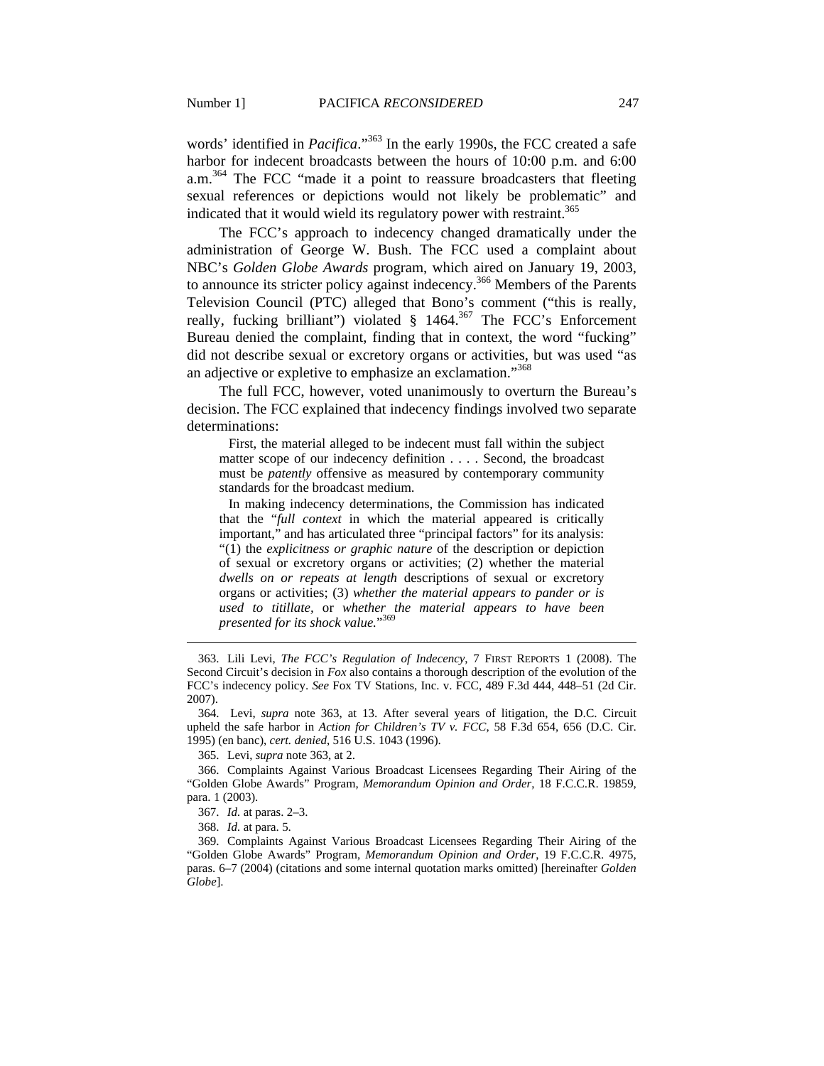words' identified in *Pacifica*."363 In the early 1990s, the FCC created a safe harbor for indecent broadcasts between the hours of 10:00 p.m. and 6:00 a.m.364 The FCC "made it a point to reassure broadcasters that fleeting sexual references or depictions would not likely be problematic" and indicated that it would wield its regulatory power with restraint.<sup>365</sup>

The FCC's approach to indecency changed dramatically under the administration of George W. Bush. The FCC used a complaint about NBC's *Golden Globe Awards* program, which aired on January 19, 2003, to announce its stricter policy against indecency.<sup>366</sup> Members of the Parents Television Council (PTC) alleged that Bono's comment ("this is really, really, fucking brilliant") violated § 1464.<sup>367</sup> The FCC's Enforcement Bureau denied the complaint, finding that in context, the word "fucking" did not describe sexual or excretory organs or activities, but was used "as an adjective or expletive to emphasize an exclamation."<sup>368</sup>

The full FCC, however, voted unanimously to overturn the Bureau's decision. The FCC explained that indecency findings involved two separate determinations:

 First, the material alleged to be indecent must fall within the subject matter scope of our indecency definition . . . . Second, the broadcast must be *patently* offensive as measured by contemporary community standards for the broadcast medium.

 In making indecency determinations, the Commission has indicated that the "*full context* in which the material appeared is critically important," and has articulated three "principal factors" for its analysis: "(1) the *explicitness or graphic nature* of the description or depiction of sexual or excretory organs or activities; (2) whether the material *dwells on or repeats at length* descriptions of sexual or excretory organs or activities; (3) *whether the material appears to pander or is used to titillate,* or *whether the material appears to have been presented for its shock value.*" 369

 364. Levi, *supra* note 363, at 13. After several years of litigation, the D.C. Circuit upheld the safe harbor in *Action for Children's TV v. FCC*, 58 F.3d 654, 656 (D.C. Cir. 1995) (en banc), *cert. denied*, 516 U.S. 1043 (1996).

365. Levi, *supra* note 363, at 2.

 366. Complaints Against Various Broadcast Licensees Regarding Their Airing of the "Golden Globe Awards" Program, *Memorandum Opinion and Order*, 18 F.C.C.R. 19859, para. 1 (2003).

367. *Id.* at paras. 2–3.

368. *Id.* at para. 5.

 $\overline{a}$ 

 369. Complaints Against Various Broadcast Licensees Regarding Their Airing of the "Golden Globe Awards" Program, *Memorandum Opinion and Order*, 19 F.C.C.R. 4975, paras. 6–7 (2004) (citations and some internal quotation marks omitted) [hereinafter *Golden Globe*].

 <sup>363.</sup> Lili Levi, *The FCC's Regulation of Indecency*, 7 FIRST REPORTS 1 (2008). The Second Circuit's decision in *Fox* also contains a thorough description of the evolution of the FCC's indecency policy. *See* Fox TV Stations, Inc. v. FCC, 489 F.3d 444, 448–51 (2d Cir. 2007).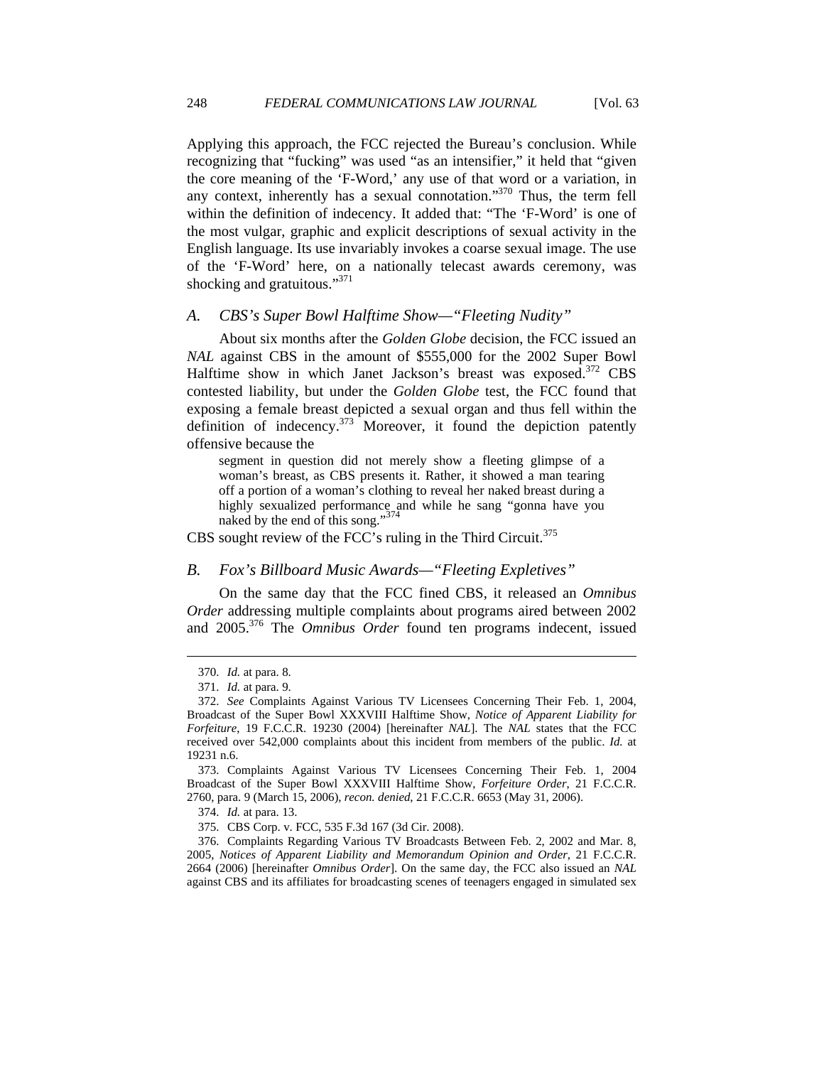Applying this approach, the FCC rejected the Bureau's conclusion. While recognizing that "fucking" was used "as an intensifier," it held that "given the core meaning of the 'F-Word,' any use of that word or a variation, in any context, inherently has a sexual connotation."370 Thus, the term fell within the definition of indecency. It added that: "The 'F-Word' is one of the most vulgar, graphic and explicit descriptions of sexual activity in the English language. Its use invariably invokes a coarse sexual image. The use of the 'F-Word' here, on a nationally telecast awards ceremony, was shocking and gratuitous."<sup>371</sup>

# *A. CBS's Super Bowl Halftime Show—"Fleeting Nudity"*

About six months after the *Golden Globe* decision, the FCC issued an *NAL* against CBS in the amount of \$555,000 for the 2002 Super Bowl Halftime show in which Janet Jackson's breast was exposed.<sup>372</sup> CBS contested liability, but under the *Golden Globe* test, the FCC found that exposing a female breast depicted a sexual organ and thus fell within the definition of indecency. $373$  Moreover, it found the depiction patently offensive because the

segment in question did not merely show a fleeting glimpse of a woman's breast, as CBS presents it. Rather, it showed a man tearing off a portion of a woman's clothing to reveal her naked breast during a highly sexualized performance and while he sang "gonna have you naked by the end of this song."<sup>374</sup>

CBS sought review of the FCC's ruling in the Third Circuit.<sup>375</sup>

#### *B. Fox's Billboard Music Awards—"Fleeting Expletives"*

On the same day that the FCC fined CBS, it released an *Omnibus Order* addressing multiple complaints about programs aired between 2002 and 2005.376 The *Omnibus Order* found ten programs indecent, issued

 <sup>370.</sup> *Id.* at para. 8.

 <sup>371.</sup> *Id.* at para. 9.

 <sup>372.</sup> *See* Complaints Against Various TV Licensees Concerning Their Feb. 1, 2004, Broadcast of the Super Bowl XXXVIII Halftime Show, *Notice of Apparent Liability for Forfeiture*, 19 F.C.C.R. 19230 (2004) [hereinafter *NAL*]. The *NAL* states that the FCC received over 542,000 complaints about this incident from members of the public. *Id.* at 19231 n.6.

 <sup>373.</sup> Complaints Against Various TV Licensees Concerning Their Feb. 1, 2004 Broadcast of the Super Bowl XXXVIII Halftime Show, *Forfeiture Order*, 21 F.C.C.R. 2760, para. 9 (March 15, 2006), *recon. denied*, 21 F.C.C.R. 6653 (May 31, 2006).

 <sup>374.</sup> *Id.* at para. 13.

 <sup>375.</sup> CBS Corp. v. FCC, 535 F.3d 167 (3d Cir. 2008).

 <sup>376.</sup> Complaints Regarding Various TV Broadcasts Between Feb. 2, 2002 and Mar. 8, 2005, *Notices of Apparent Liability and Memorandum Opinion and Order*, 21 F.C.C.R. 2664 (2006) [hereinafter *Omnibus Order*]. On the same day, the FCC also issued an *NAL* against CBS and its affiliates for broadcasting scenes of teenagers engaged in simulated sex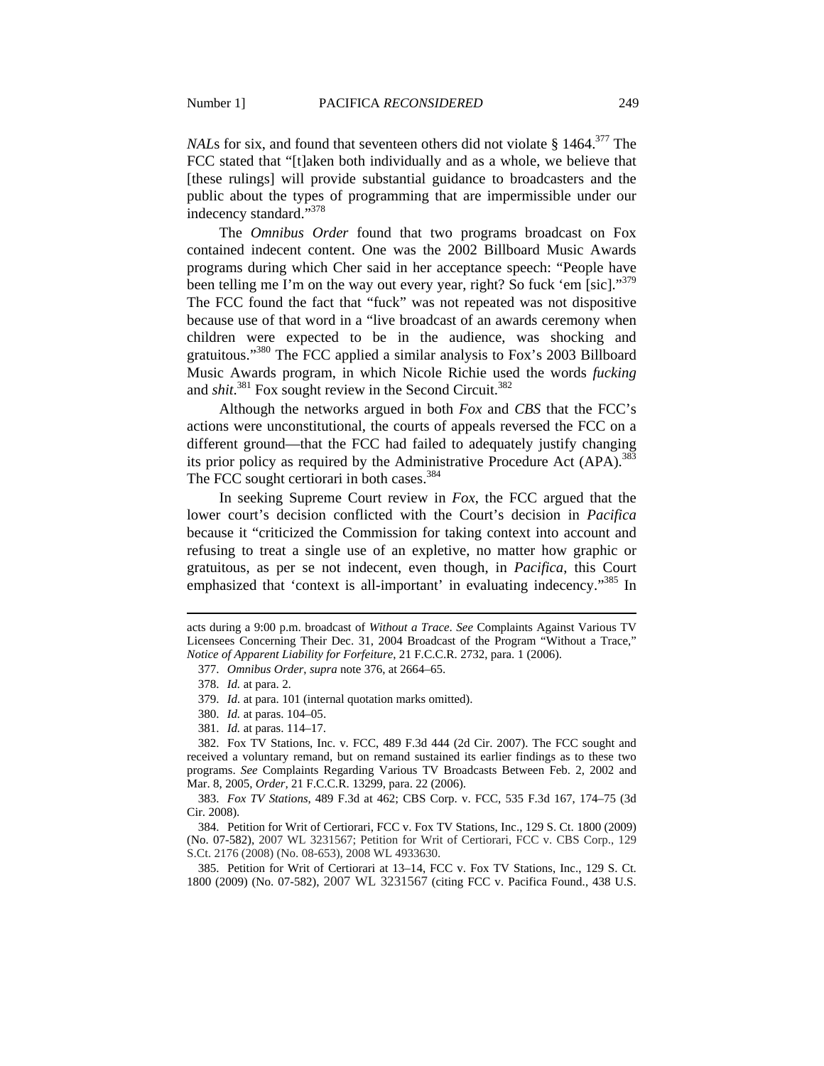*NALs* for six, and found that seventeen others did not violate § 1464.<sup>377</sup> The FCC stated that "[t]aken both individually and as a whole, we believe that [these rulings] will provide substantial guidance to broadcasters and the public about the types of programming that are impermissible under our indecency standard."378

The *Omnibus Order* found that two programs broadcast on Fox contained indecent content. One was the 2002 Billboard Music Awards programs during which Cher said in her acceptance speech: "People have been telling me I'm on the way out every year, right? So fuck 'em [sic]."<sup>379</sup> The FCC found the fact that "fuck" was not repeated was not dispositive because use of that word in a "live broadcast of an awards ceremony when children were expected to be in the audience, was shocking and gratuitous."380 The FCC applied a similar analysis to Fox's 2003 Billboard Music Awards program, in which Nicole Richie used the words *fucking* and *shit*.<sup>381</sup> Fox sought review in the Second Circuit.<sup>382</sup>

Although the networks argued in both *Fox* and *CBS* that the FCC's actions were unconstitutional, the courts of appeals reversed the FCC on a different ground—that the FCC had failed to adequately justify changing its prior policy as required by the Administrative Procedure Act  $(APA)$ .<sup>383</sup> The FCC sought certiorari in both cases.<sup>384</sup>

In seeking Supreme Court review in *Fox*, the FCC argued that the lower court's decision conflicted with the Court's decision in *Pacifica*  because it "criticized the Commission for taking context into account and refusing to treat a single use of an expletive, no matter how graphic or gratuitous, as per se not indecent, even though, in *Pacifica*, this Court emphasized that 'context is all-important' in evaluating indecency."<sup>385</sup> In

 $\overline{a}$ 

381. *Id.* at paras. 114–17.

 385. Petition for Writ of Certiorari at 13–14, FCC v. Fox TV Stations, Inc., 129 S. Ct. 1800 (2009) (No. 07-582), 2007 WL 3231567 (citing FCC v. Pacifica Found., 438 U.S.

acts during a 9:00 p.m. broadcast of *Without a Trace*. *See* Complaints Against Various TV Licensees Concerning Their Dec. 31, 2004 Broadcast of the Program "Without a Trace," *Notice of Apparent Liability for Forfeiture*, 21 F.C.C.R. 2732, para. 1 (2006).

 <sup>377.</sup> *Omnibus Order*, *supra* note 376, at 2664–65.

 <sup>378.</sup> *Id.* at para. 2.

 <sup>379.</sup> *Id.* at para. 101 (internal quotation marks omitted).

 <sup>380.</sup> *Id.* at paras. 104–05.

 <sup>382.</sup> Fox TV Stations, Inc. v. FCC, 489 F.3d 444 (2d Cir. 2007). The FCC sought and received a voluntary remand, but on remand sustained its earlier findings as to these two programs. *See* Complaints Regarding Various TV Broadcasts Between Feb. 2, 2002 and Mar. 8, 2005, *Order,* 21 F.C.C.R. 13299, para. 22 (2006).

 <sup>383.</sup> *Fox TV Stations*, 489 F.3d at 462; CBS Corp. v. FCC, 535 F.3d 167, 174–75 (3d Cir. 2008).

 <sup>384.</sup> Petition for Writ of Certiorari, FCC v. Fox TV Stations, Inc., 129 S. Ct. 1800 (2009) (No. 07-582), 2007 WL 3231567; Petition for Writ of Certiorari, FCC v. CBS Corp., 129 S.Ct. 2176 (2008) (No. 08-653), 2008 WL 4933630.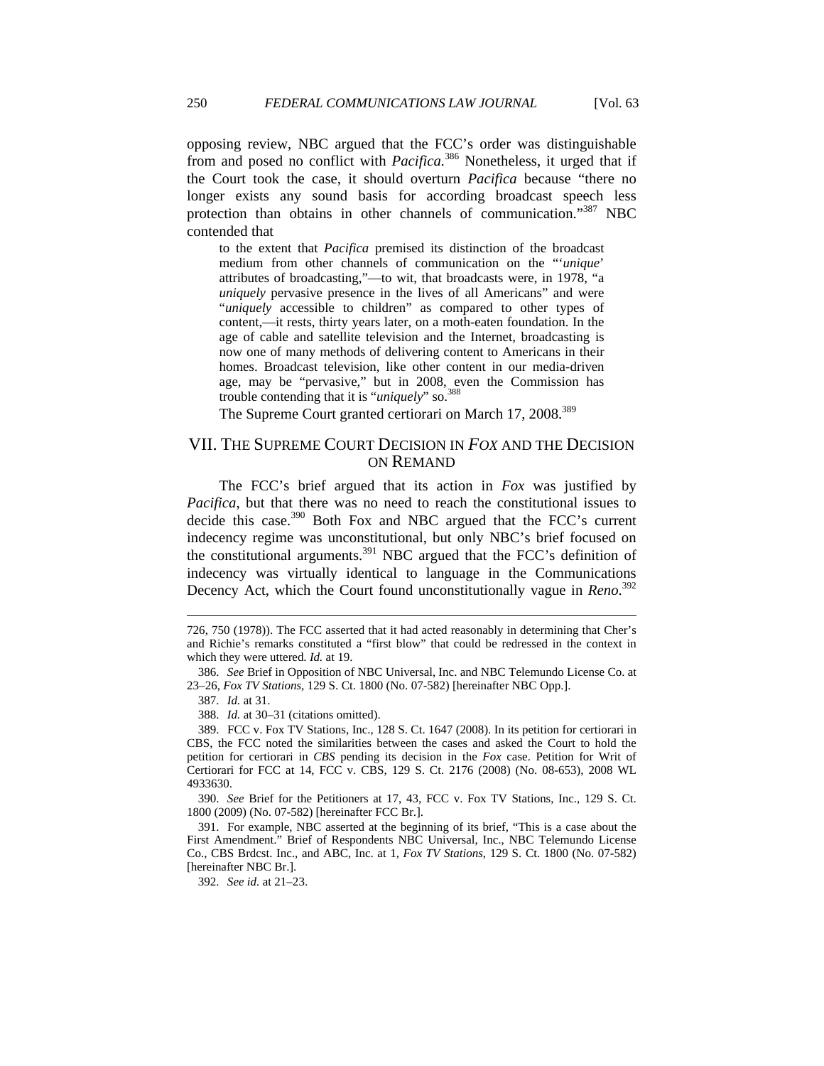opposing review, NBC argued that the FCC's order was distinguishable from and posed no conflict with *Pacifica.*386 Nonetheless, it urged that if the Court took the case, it should overturn *Pacifica* because "there no longer exists any sound basis for according broadcast speech less protection than obtains in other channels of communication."387 NBC contended that

to the extent that *Pacifica* premised its distinction of the broadcast medium from other channels of communication on the "'*unique*' attributes of broadcasting,"—to wit, that broadcasts were, in 1978, "a *uniquely* pervasive presence in the lives of all Americans" and were "*uniquely* accessible to children" as compared to other types of content,—it rests, thirty years later, on a moth-eaten foundation. In the age of cable and satellite television and the Internet, broadcasting is now one of many methods of delivering content to Americans in their homes. Broadcast television, like other content in our media-driven age, may be "pervasive," but in 2008, even the Commission has trouble contending that it is "*uniquely*" so.388

The Supreme Court granted certiorari on March 17, 2008.<sup>389</sup>

# VII. THE SUPREME COURT DECISION IN *FOX* AND THE DECISION ON REMAND

The FCC's brief argued that its action in *Fox* was justified by *Pacifica*, but that there was no need to reach the constitutional issues to decide this case.<sup>390</sup> Both Fox and NBC argued that the FCC's current indecency regime was unconstitutional, but only NBC's brief focused on the constitutional arguments.<sup>391</sup> NBC argued that the FCC's definition of indecency was virtually identical to language in the Communications Decency Act, which the Court found unconstitutionally vague in *Reno*. 392

387. *Id.* at 31.

 $\overline{a}$ 

388. *Id.* at 30–31 (citations omitted).

 389. FCC v. Fox TV Stations, Inc., 128 S. Ct. 1647 (2008). In its petition for certiorari in CBS, the FCC noted the similarities between the cases and asked the Court to hold the petition for certiorari in *CBS* pending its decision in the *Fox* case. Petition for Writ of Certiorari for FCC at 14, FCC v. CBS, 129 S. Ct. 2176 (2008) (No. 08-653), 2008 WL 4933630.

 390. *See* Brief for the Petitioners at 17, 43, FCC v. Fox TV Stations, Inc., 129 S. Ct. 1800 (2009) (No. 07-582) [hereinafter FCC Br.].

 391. For example, NBC asserted at the beginning of its brief, "This is a case about the First Amendment." Brief of Respondents NBC Universal, Inc., NBC Telemundo License Co., CBS Brdcst. Inc., and ABC, Inc. at 1, *Fox TV Stations*, 129 S. Ct. 1800 (No. 07-582) [hereinafter NBC Br.].

392. *See id.* at 21–23.

<sup>726, 750 (1978)).</sup> The FCC asserted that it had acted reasonably in determining that Cher's and Richie's remarks constituted a "first blow" that could be redressed in the context in which they were uttered. *Id.* at 19.

 <sup>386.</sup> *See* Brief in Opposition of NBC Universal, Inc. and NBC Telemundo License Co. at 23–26, *Fox TV Stations*, 129 S. Ct. 1800 (No. 07-582) [hereinafter NBC Opp.].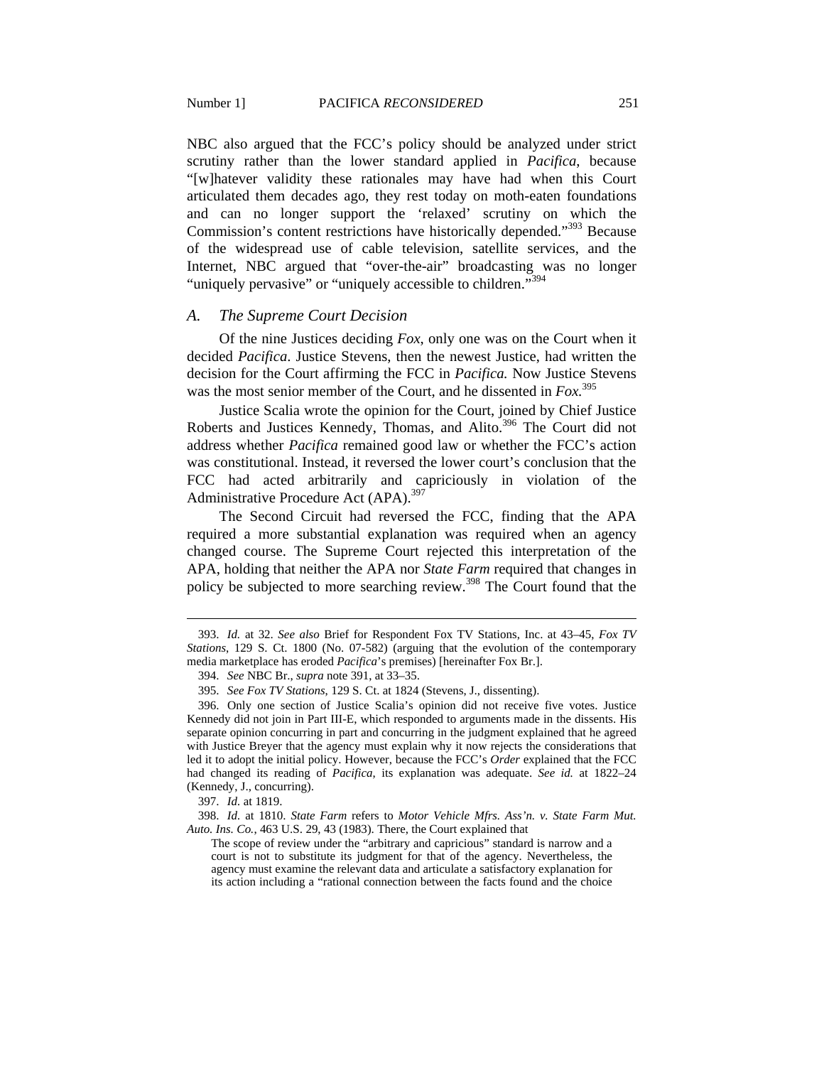NBC also argued that the FCC's policy should be analyzed under strict scrutiny rather than the lower standard applied in *Pacifica*, because "[w]hatever validity these rationales may have had when this Court

articulated them decades ago, they rest today on moth-eaten foundations and can no longer support the 'relaxed' scrutiny on which the Commission's content restrictions have historically depended."<sup>393</sup> Because of the widespread use of cable television, satellite services, and the Internet, NBC argued that "over-the-air" broadcasting was no longer "uniquely pervasive" or "uniquely accessible to children."<sup>394</sup>

#### *A. The Supreme Court Decision*

Of the nine Justices deciding *Fox*, only one was on the Court when it decided *Pacifica*. Justice Stevens, then the newest Justice, had written the decision for the Court affirming the FCC in *Pacifica.* Now Justice Stevens was the most senior member of the Court, and he dissented in *Fox.*<sup>395</sup>

Justice Scalia wrote the opinion for the Court, joined by Chief Justice Roberts and Justices Kennedy, Thomas, and Alito.<sup>396</sup> The Court did not address whether *Pacifica* remained good law or whether the FCC's action was constitutional. Instead, it reversed the lower court's conclusion that the FCC had acted arbitrarily and capriciously in violation of the Administrative Procedure Act  $(APA)$ .<sup>397</sup>

The Second Circuit had reversed the FCC, finding that the APA required a more substantial explanation was required when an agency changed course. The Supreme Court rejected this interpretation of the APA, holding that neither the APA nor *State Farm* required that changes in policy be subjected to more searching review.<sup>398</sup> The Court found that the

 <sup>393.</sup> *Id.* at 32. *See also* Brief for Respondent Fox TV Stations, Inc. at 43–45, *Fox TV Stations*, 129 S. Ct. 1800 (No. 07-582) (arguing that the evolution of the contemporary media marketplace has eroded *Pacifica*'s premises) [hereinafter Fox Br.].

 <sup>394.</sup> *See* NBC Br., *supra* note 391, at 33–35.

 <sup>395.</sup> *See Fox TV Stations*, 129 S. Ct. at 1824 (Stevens, J., dissenting).

 <sup>396.</sup> Only one section of Justice Scalia's opinion did not receive five votes. Justice Kennedy did not join in Part III-E, which responded to arguments made in the dissents. His separate opinion concurring in part and concurring in the judgment explained that he agreed with Justice Breyer that the agency must explain why it now rejects the considerations that led it to adopt the initial policy. However, because the FCC's *Order* explained that the FCC had changed its reading of *Pacifica*, its explanation was adequate. *See id.* at 1822–24 (Kennedy, J., concurring).

 <sup>397.</sup> *Id.* at 1819.

 <sup>398.</sup> *Id.* at 1810. *State Farm* refers to *Motor Vehicle Mfrs. Ass'n. v. State Farm Mut. Auto. Ins. Co.*, 463 U.S. 29, 43 (1983). There, the Court explained that

The scope of review under the "arbitrary and capricious" standard is narrow and a court is not to substitute its judgment for that of the agency. Nevertheless, the agency must examine the relevant data and articulate a satisfactory explanation for its action including a "rational connection between the facts found and the choice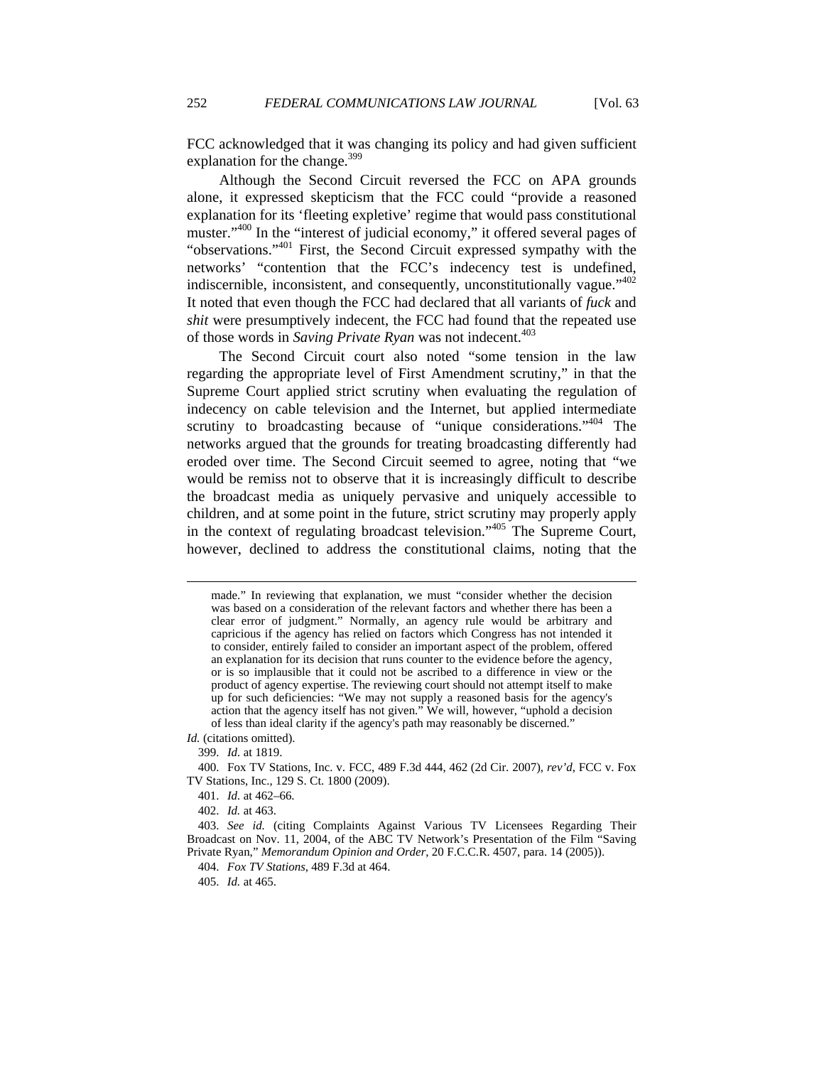FCC acknowledged that it was changing its policy and had given sufficient explanation for the change. $399$ 

Although the Second Circuit reversed the FCC on APA grounds alone, it expressed skepticism that the FCC could "provide a reasoned explanation for its 'fleeting expletive' regime that would pass constitutional muster."<sup>400</sup> In the "interest of judicial economy," it offered several pages of "observations."401 First, the Second Circuit expressed sympathy with the networks' "contention that the FCC's indecency test is undefined, indiscernible, inconsistent, and consequently, unconstitutionally vague."<sup>402</sup> It noted that even though the FCC had declared that all variants of *fuck* and *shit* were presumptively indecent, the FCC had found that the repeated use of those words in *Saving Private Ryan* was not indecent.<sup>403</sup>

The Second Circuit court also noted "some tension in the law regarding the appropriate level of First Amendment scrutiny," in that the Supreme Court applied strict scrutiny when evaluating the regulation of indecency on cable television and the Internet, but applied intermediate scrutiny to broadcasting because of "unique considerations."<sup>404</sup> The networks argued that the grounds for treating broadcasting differently had eroded over time. The Second Circuit seemed to agree, noting that "we would be remiss not to observe that it is increasingly difficult to describe the broadcast media as uniquely pervasive and uniquely accessible to children, and at some point in the future, strict scrutiny may properly apply in the context of regulating broadcast television."405 The Supreme Court, however, declined to address the constitutional claims, noting that the

*Id.* (citations omitted).

399. *Id.* at 1819.

made." In reviewing that explanation, we must "consider whether the decision was based on a consideration of the relevant factors and whether there has been a clear error of judgment." Normally, an agency rule would be arbitrary and capricious if the agency has relied on factors which Congress has not intended it to consider, entirely failed to consider an important aspect of the problem, offered an explanation for its decision that runs counter to the evidence before the agency, or is so implausible that it could not be ascribed to a difference in view or the product of agency expertise. The reviewing court should not attempt itself to make up for such deficiencies: "We may not supply a reasoned basis for the agency's action that the agency itself has not given." We will, however, "uphold a decision of less than ideal clarity if the agency's path may reasonably be discerned."

 <sup>400.</sup> Fox TV Stations, Inc. v. FCC, 489 F.3d 444, 462 (2d Cir. 2007), *rev'd*, FCC v. Fox TV Stations, Inc., 129 S. Ct. 1800 (2009).

 <sup>401.</sup> *Id.* at 462–66.

 <sup>402.</sup> *Id.* at 463.

 <sup>403.</sup> *See id.* (citing Complaints Against Various TV Licensees Regarding Their Broadcast on Nov. 11, 2004, of the ABC TV Network's Presentation of the Film "Saving Private Ryan," *Memorandum Opinion and Order*, 20 F.C.C.R. 4507, para. 14 (2005)).

 <sup>404.</sup> *Fox TV Stations*, 489 F.3d at 464.

 <sup>405.</sup> *Id.* at 465.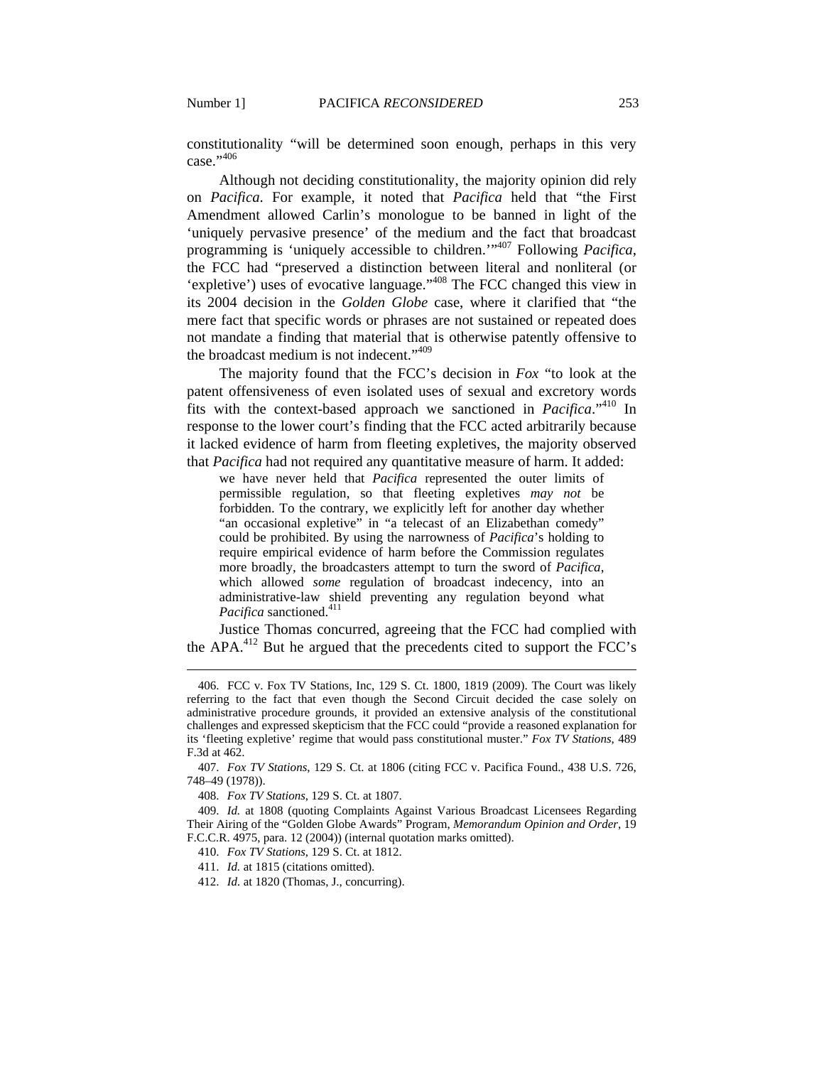constitutionality "will be determined soon enough, perhaps in this very case $^{.,406}$ 

Although not deciding constitutionality, the majority opinion did rely on *Pacifica*. For example, it noted that *Pacifica* held that "the First Amendment allowed Carlin's monologue to be banned in light of the 'uniquely pervasive presence' of the medium and the fact that broadcast programming is 'uniquely accessible to children.'"407 Following *Pacifica*, the FCC had "preserved a distinction between literal and nonliteral (or 'expletive') uses of evocative language."408 The FCC changed this view in its 2004 decision in the *Golden Globe* case, where it clarified that "the mere fact that specific words or phrases are not sustained or repeated does not mandate a finding that material that is otherwise patently offensive to the broadcast medium is not indecent."<sup>409</sup>

The majority found that the FCC's decision in *Fox* "to look at the patent offensiveness of even isolated uses of sexual and excretory words fits with the context-based approach we sanctioned in *Pacifica*."410 In response to the lower court's finding that the FCC acted arbitrarily because it lacked evidence of harm from fleeting expletives, the majority observed that *Pacifica* had not required any quantitative measure of harm. It added:

we have never held that *Pacifica* represented the outer limits of permissible regulation, so that fleeting expletives *may not* be forbidden. To the contrary, we explicitly left for another day whether "an occasional expletive" in "a telecast of an Elizabethan comedy" could be prohibited. By using the narrowness of *Pacifica*'s holding to require empirical evidence of harm before the Commission regulates more broadly, the broadcasters attempt to turn the sword of *Pacifica*, which allowed *some* regulation of broadcast indecency, into an administrative-law shield preventing any regulation beyond what *Pacifica* sanctioned.<sup>411</sup>

Justice Thomas concurred, agreeing that the FCC had complied with the APA.<sup>412</sup> But he argued that the precedents cited to support the FCC's

 <sup>406.</sup> FCC v. Fox TV Stations, Inc, 129 S. Ct. 1800, 1819 (2009). The Court was likely referring to the fact that even though the Second Circuit decided the case solely on administrative procedure grounds, it provided an extensive analysis of the constitutional challenges and expressed skepticism that the FCC could "provide a reasoned explanation for its 'fleeting expletive' regime that would pass constitutional muster." *Fox TV Stations*, 489 F.3d at 462.

 <sup>407.</sup> *Fox TV Stations*, 129 S. Ct. at 1806 (citing FCC v. Pacifica Found., 438 U.S. 726, 748–49 (1978)).

 <sup>408.</sup> *Fox TV Stations*, 129 S. Ct. at 1807.

 <sup>409.</sup> *Id.* at 1808 (quoting Complaints Against Various Broadcast Licensees Regarding Their Airing of the "Golden Globe Awards" Program, *Memorandum Opinion and Order*, 19 F.C.C.R. 4975, para. 12 (2004)) (internal quotation marks omitted).

 <sup>410.</sup> *Fox TV Stations*, 129 S. Ct. at 1812.

 <sup>411.</sup> *Id.* at 1815 (citations omitted).

 <sup>412.</sup> *Id.* at 1820 (Thomas, J., concurring).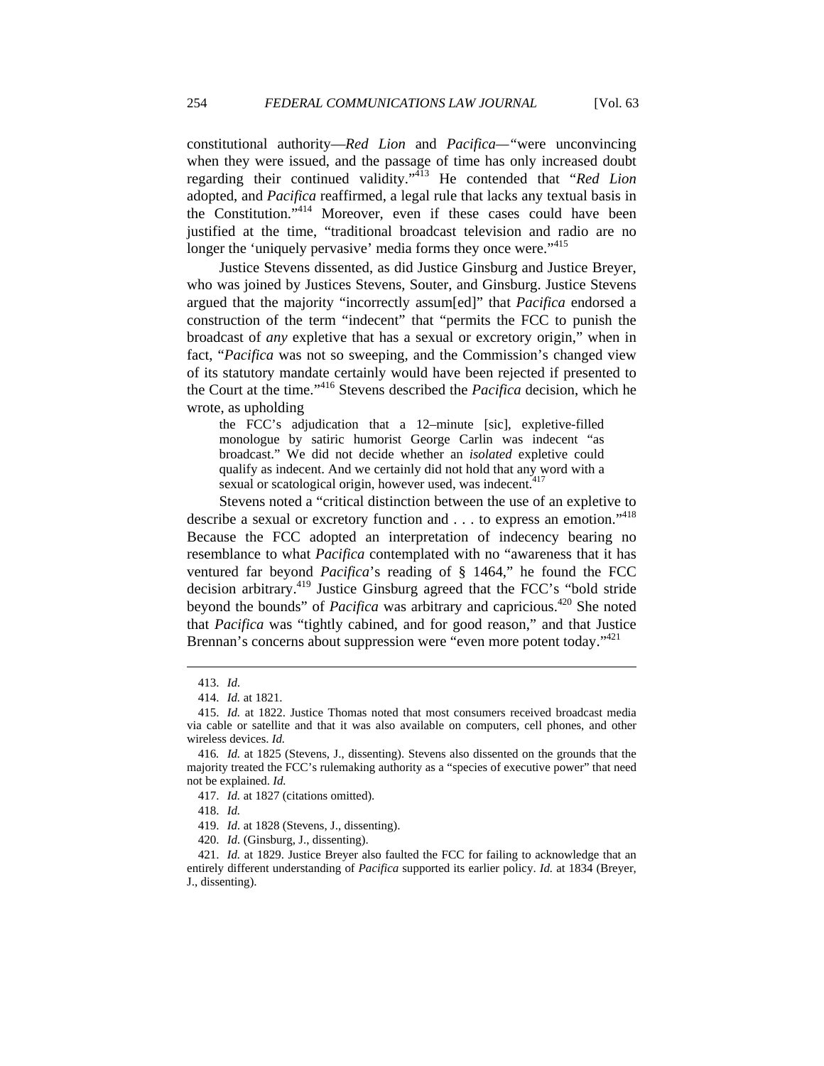constitutional authority—*Red Lion* and *Pacifica—"*were unconvincing when they were issued, and the passage of time has only increased doubt regarding their continued validity."413 He contended that "*Red Lion* adopted, and *Pacifica* reaffirmed, a legal rule that lacks any textual basis in the Constitution."414 Moreover, even if these cases could have been justified at the time, "traditional broadcast television and radio are no longer the 'uniquely pervasive' media forms they once were."<sup>415</sup>

Justice Stevens dissented, as did Justice Ginsburg and Justice Breyer, who was joined by Justices Stevens, Souter, and Ginsburg. Justice Stevens argued that the majority "incorrectly assum[ed]" that *Pacifica* endorsed a construction of the term "indecent" that "permits the FCC to punish the broadcast of *any* expletive that has a sexual or excretory origin," when in fact, "*Pacifica* was not so sweeping, and the Commission's changed view of its statutory mandate certainly would have been rejected if presented to the Court at the time."416 Stevens described the *Pacifica* decision, which he wrote, as upholding

the FCC's adjudication that a 12–minute [sic], expletive-filled monologue by satiric humorist George Carlin was indecent "as broadcast." We did not decide whether an *isolated* expletive could qualify as indecent. And we certainly did not hold that any word with a sexual or scatological origin, however used, was indecent.<sup>417</sup>

Stevens noted a "critical distinction between the use of an expletive to describe a sexual or excretory function and . . . to express an emotion."<sup>418</sup> Because the FCC adopted an interpretation of indecency bearing no resemblance to what *Pacifica* contemplated with no "awareness that it has ventured far beyond *Pacifica*'s reading of § 1464," he found the FCC decision arbitrary.<sup>419</sup> Justice Ginsburg agreed that the FCC's "bold stride beyond the bounds" of *Pacifica* was arbitrary and capricious.<sup>420</sup> She noted that *Pacifica* was "tightly cabined, and for good reason," and that Justice Brennan's concerns about suppression were "even more potent today."<sup>421</sup>

 <sup>413.</sup> *Id.* 

 <sup>414.</sup> *Id.* at 1821.

 <sup>415.</sup> *Id.* at 1822. Justice Thomas noted that most consumers received broadcast media via cable or satellite and that it was also available on computers, cell phones, and other wireless devices. *Id.*

<sup>416</sup>*. Id.* at 1825 (Stevens, J., dissenting). Stevens also dissented on the grounds that the majority treated the FCC's rulemaking authority as a "species of executive power" that need not be explained. *Id.*

 <sup>417.</sup> *Id.* at 1827 (citations omitted).

 <sup>418.</sup> *Id.*

 <sup>419.</sup> *Id.* at 1828 (Stevens, J., dissenting).

 <sup>420.</sup> *Id.* (Ginsburg, J., dissenting).

 <sup>421.</sup> *Id.* at 1829. Justice Breyer also faulted the FCC for failing to acknowledge that an entirely different understanding of *Pacifica* supported its earlier policy. *Id.* at 1834 (Breyer, J., dissenting).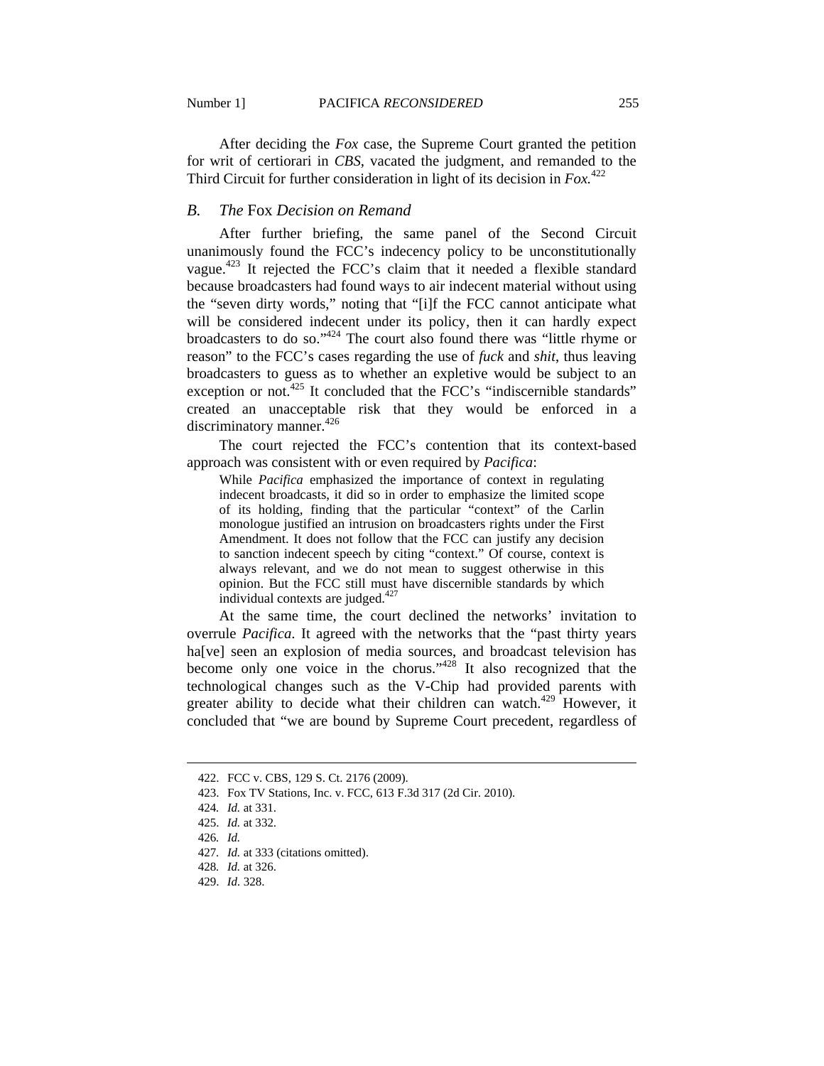After deciding the *Fox* case, the Supreme Court granted the petition for writ of certiorari in *CBS*, vacated the judgment, and remanded to the Third Circuit for further consideration in light of its decision in *Fox.*<sup>422</sup>

## *B. The* Fox *Decision on Remand*

After further briefing, the same panel of the Second Circuit unanimously found the FCC's indecency policy to be unconstitutionally vague.423 It rejected the FCC's claim that it needed a flexible standard because broadcasters had found ways to air indecent material without using the "seven dirty words," noting that "[i]f the FCC cannot anticipate what will be considered indecent under its policy, then it can hardly expect broadcasters to do so."424 The court also found there was "little rhyme or reason" to the FCC's cases regarding the use of *fuck* and *shit*, thus leaving broadcasters to guess as to whether an expletive would be subject to an exception or not.<sup>425</sup> It concluded that the FCC's "indiscernible standards" created an unacceptable risk that they would be enforced in a discriminatory manner.<sup>426</sup>

The court rejected the FCC's contention that its context-based approach was consistent with or even required by *Pacifica*:

While *Pacifica* emphasized the importance of context in regulating indecent broadcasts, it did so in order to emphasize the limited scope of its holding, finding that the particular "context" of the Carlin monologue justified an intrusion on broadcasters rights under the First Amendment. It does not follow that the FCC can justify any decision to sanction indecent speech by citing "context." Of course, context is always relevant, and we do not mean to suggest otherwise in this opinion. But the FCC still must have discernible standards by which individual contexts are judged.<sup>427</sup>

At the same time, the court declined the networks' invitation to overrule *Pacifica*. It agreed with the networks that the "past thirty years ha[ve] seen an explosion of media sources, and broadcast television has become only one voice in the chorus."<sup>428</sup> It also recognized that the technological changes such as the V-Chip had provided parents with greater ability to decide what their children can watch.<sup>429</sup> However, it concluded that "we are bound by Supreme Court precedent, regardless of

 <sup>422.</sup> FCC v. CBS, 129 S. Ct. 2176 (2009).

 <sup>423.</sup> Fox TV Stations, Inc. v. FCC, 613 F.3d 317 (2d Cir. 2010).

<sup>424</sup>*. Id.* at 331.

 <sup>425.</sup> *Id.* at 332.

<sup>426</sup>*. Id.*

<sup>427</sup>*. Id.* at 333 (citations omitted).

<sup>428</sup>*. Id.* at 326.

 <sup>429.</sup> *Id.* 328.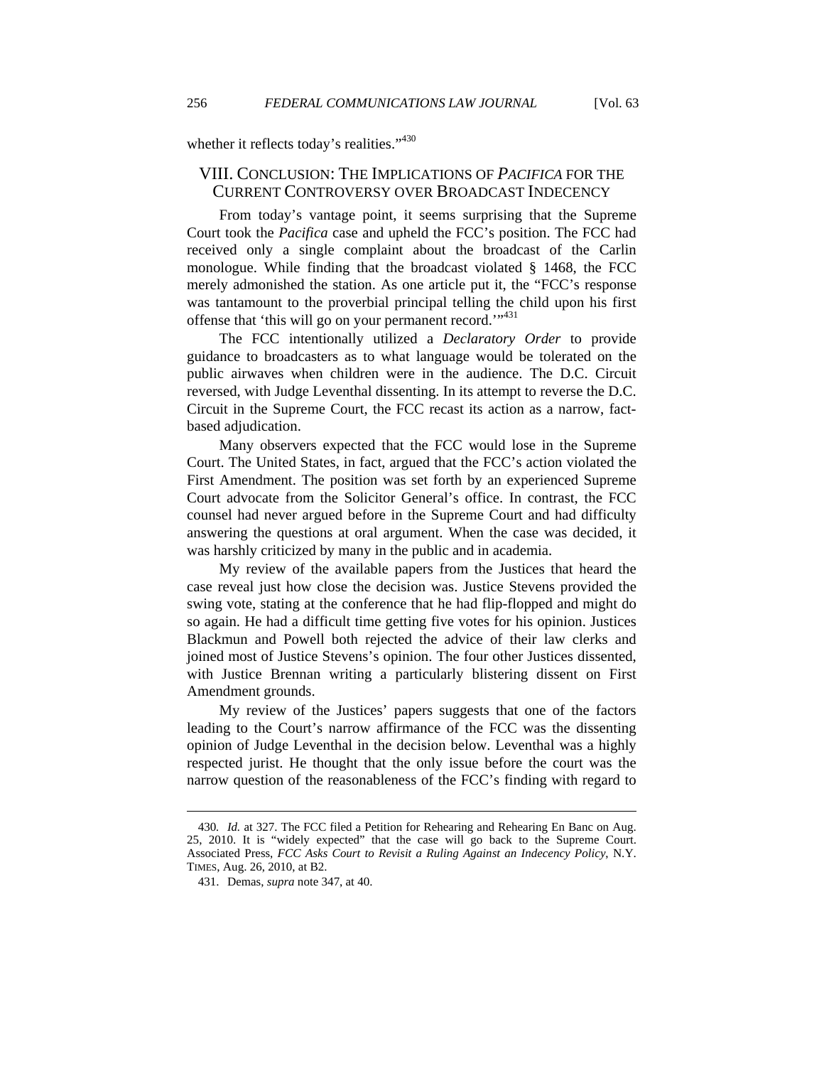whether it reflects today's realities."<sup>430</sup>

## VIII. CONCLUSION: THE IMPLICATIONS OF *PACIFICA* FOR THE CURRENT CONTROVERSY OVER BROADCAST INDECENCY

From today's vantage point, it seems surprising that the Supreme Court took the *Pacifica* case and upheld the FCC's position. The FCC had received only a single complaint about the broadcast of the Carlin monologue. While finding that the broadcast violated § 1468, the FCC merely admonished the station. As one article put it, the "FCC's response was tantamount to the proverbial principal telling the child upon his first offense that 'this will go on your permanent record.'"<sup>431</sup>

The FCC intentionally utilized a *Declaratory Order* to provide guidance to broadcasters as to what language would be tolerated on the public airwaves when children were in the audience. The D.C. Circuit reversed, with Judge Leventhal dissenting. In its attempt to reverse the D.C. Circuit in the Supreme Court, the FCC recast its action as a narrow, factbased adjudication.

Many observers expected that the FCC would lose in the Supreme Court. The United States, in fact, argued that the FCC's action violated the First Amendment. The position was set forth by an experienced Supreme Court advocate from the Solicitor General's office. In contrast, the FCC counsel had never argued before in the Supreme Court and had difficulty answering the questions at oral argument. When the case was decided, it was harshly criticized by many in the public and in academia.

My review of the available papers from the Justices that heard the case reveal just how close the decision was. Justice Stevens provided the swing vote, stating at the conference that he had flip-flopped and might do so again. He had a difficult time getting five votes for his opinion. Justices Blackmun and Powell both rejected the advice of their law clerks and joined most of Justice Stevens's opinion. The four other Justices dissented, with Justice Brennan writing a particularly blistering dissent on First Amendment grounds.

My review of the Justices' papers suggests that one of the factors leading to the Court's narrow affirmance of the FCC was the dissenting opinion of Judge Leventhal in the decision below. Leventhal was a highly respected jurist. He thought that the only issue before the court was the narrow question of the reasonableness of the FCC's finding with regard to

<sup>430</sup>*. Id.* at 327. The FCC filed a Petition for Rehearing and Rehearing En Banc on Aug. 25, 2010. It is "widely expected" that the case will go back to the Supreme Court. Associated Press, *FCC Asks Court to Revisit a Ruling Against an Indecency Policy*, N.Y. TIMES, Aug. 26, 2010, at B2.

 <sup>431.</sup> Demas, *supra* note 347, at 40.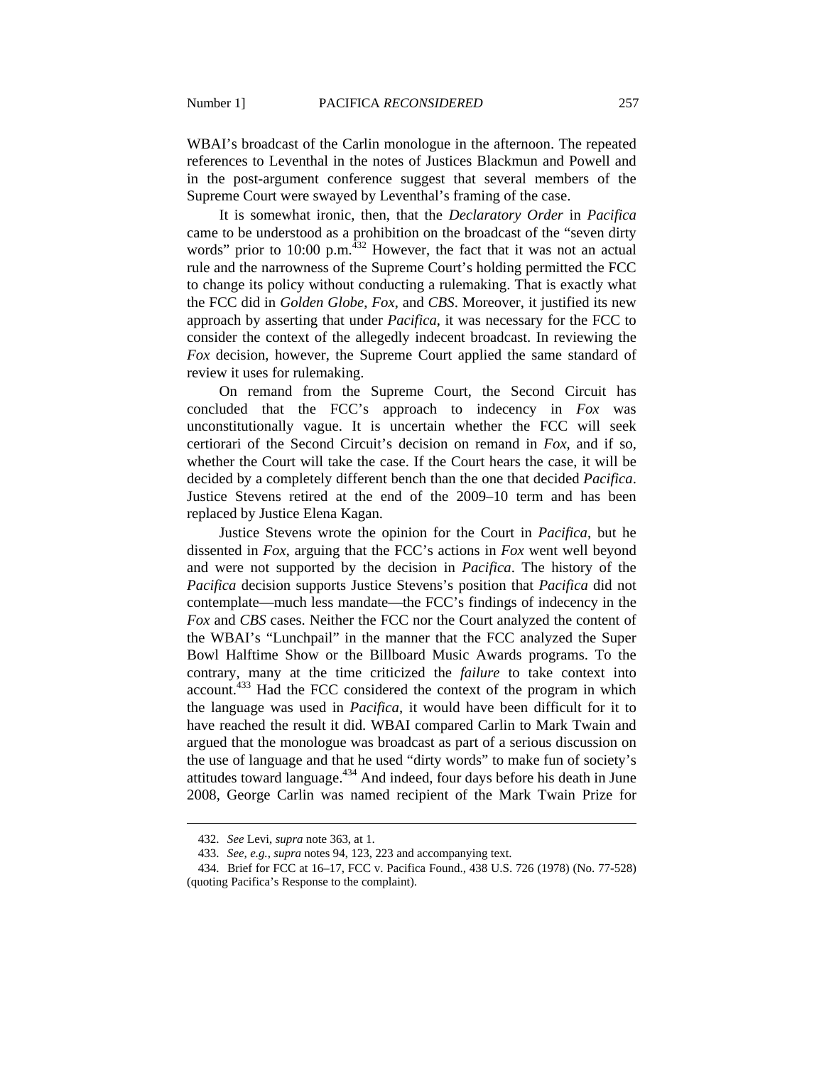WBAI's broadcast of the Carlin monologue in the afternoon. The repeated references to Leventhal in the notes of Justices Blackmun and Powell and in the post-argument conference suggest that several members of the Supreme Court were swayed by Leventhal's framing of the case.

It is somewhat ironic, then, that the *Declaratory Order* in *Pacifica* came to be understood as a prohibition on the broadcast of the "seven dirty words" prior to 10:00 p.m. $432$  However, the fact that it was not an actual rule and the narrowness of the Supreme Court's holding permitted the FCC to change its policy without conducting a rulemaking. That is exactly what the FCC did in *Golden Globe*, *Fox*, and *CBS*. Moreover, it justified its new approach by asserting that under *Pacifica*, it was necessary for the FCC to consider the context of the allegedly indecent broadcast. In reviewing the *Fox* decision, however, the Supreme Court applied the same standard of review it uses for rulemaking.

On remand from the Supreme Court, the Second Circuit has concluded that the FCC's approach to indecency in *Fox* was unconstitutionally vague. It is uncertain whether the FCC will seek certiorari of the Second Circuit's decision on remand in *Fox*, and if so, whether the Court will take the case. If the Court hears the case, it will be decided by a completely different bench than the one that decided *Pacifica*. Justice Stevens retired at the end of the 2009–10 term and has been replaced by Justice Elena Kagan.

Justice Stevens wrote the opinion for the Court in *Pacifica*, but he dissented in *Fox*, arguing that the FCC's actions in *Fox* went well beyond and were not supported by the decision in *Pacifica*. The history of the *Pacifica* decision supports Justice Stevens's position that *Pacifica* did not contemplate—much less mandate—the FCC's findings of indecency in the *Fox* and *CBS* cases. Neither the FCC nor the Court analyzed the content of the WBAI's "Lunchpail" in the manner that the FCC analyzed the Super Bowl Halftime Show or the Billboard Music Awards programs. To the contrary, many at the time criticized the *failure* to take context into account.433 Had the FCC considered the context of the program in which the language was used in *Pacifica*, it would have been difficult for it to have reached the result it did. WBAI compared Carlin to Mark Twain and argued that the monologue was broadcast as part of a serious discussion on the use of language and that he used "dirty words" to make fun of society's attitudes toward language. $434$  And indeed, four days before his death in June 2008, George Carlin was named recipient of the Mark Twain Prize for

 <sup>432.</sup> *See* Levi, *supra* note 363, at 1.

 <sup>433.</sup> *See, e.g.*, *supra* notes 94, 123, 223 and accompanying text.

 <sup>434.</sup> Brief for FCC at 16–17, FCC v. Pacifica Found.*,* 438 U.S. 726 (1978) (No. 77-528) (quoting Pacifica's Response to the complaint).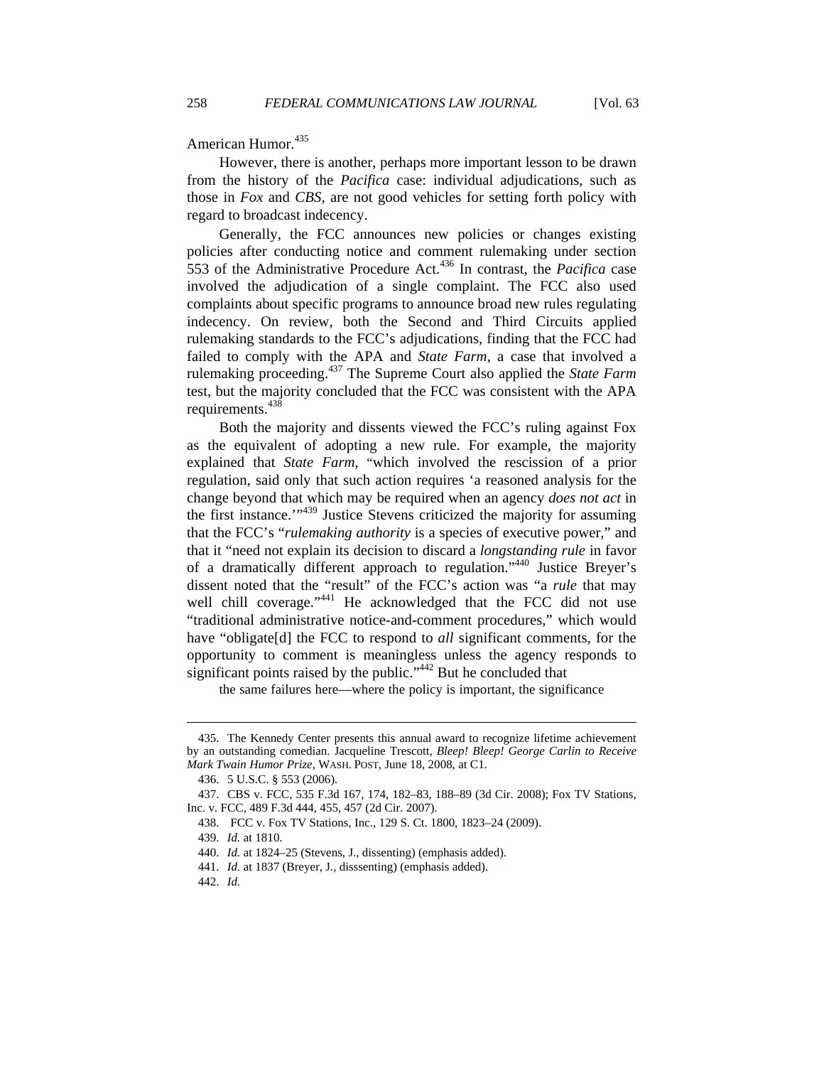American Humor.<sup>435</sup>

However, there is another, perhaps more important lesson to be drawn from the history of the *Pacifica* case: individual adjudications, such as those in *Fox* and *CBS*, are not good vehicles for setting forth policy with regard to broadcast indecency.

Generally, the FCC announces new policies or changes existing policies after conducting notice and comment rulemaking under section 553 of the Administrative Procedure Act.436 In contrast, the *Pacifica* case involved the adjudication of a single complaint. The FCC also used complaints about specific programs to announce broad new rules regulating indecency. On review, both the Second and Third Circuits applied rulemaking standards to the FCC's adjudications, finding that the FCC had failed to comply with the APA and *State Farm*, a case that involved a rulemaking proceeding.437 The Supreme Court also applied the *State Farm* test, but the majority concluded that the FCC was consistent with the APA requirements.<sup>438</sup>

Both the majority and dissents viewed the FCC's ruling against Fox as the equivalent of adopting a new rule. For example, the majority explained that *State Farm*, "which involved the rescission of a prior regulation, said only that such action requires 'a reasoned analysis for the change beyond that which may be required when an agency *does not act* in the first instance.'"439 Justice Stevens criticized the majority for assuming that the FCC's "*rulemaking authority* is a species of executive power," and that it "need not explain its decision to discard a *longstanding rule* in favor of a dramatically different approach to regulation."440 Justice Breyer's dissent noted that the "result" of the FCC's action was "a *rule* that may well chill coverage."<sup>441</sup> He acknowledged that the FCC did not use "traditional administrative notice-and-comment procedures," which would have "obligate[d] the FCC to respond to *all* significant comments, for the opportunity to comment is meaningless unless the agency responds to significant points raised by the public."<sup>442</sup> But he concluded that

the same failures here—where the policy is important, the significance

 <sup>435.</sup> The Kennedy Center presents this annual award to recognize lifetime achievement by an outstanding comedian. Jacqueline Trescott, *Bleep! Bleep! George Carlin to Receive Mark Twain Humor Prize*, WASH. POST, June 18, 2008, at C1.

 <sup>436. 5</sup> U.S.C. § 553 (2006).

 <sup>437.</sup> CBS v. FCC, 535 F.3d 167, 174, 182–83, 188–89 (3d Cir. 2008); Fox TV Stations, Inc. v. FCC, 489 F.3d 444, 455, 457 (2d Cir. 2007).

 <sup>438.</sup> FCC v. Fox TV Stations, Inc., 129 S. Ct. 1800, 1823–24 (2009).

 <sup>439.</sup> *Id.* at 1810.

 <sup>440.</sup> *Id.* at 1824–25 (Stevens, J., dissenting) (emphasis added).

 <sup>441.</sup> *Id.* at 1837 (Breyer, J., disssenting) (emphasis added).

 <sup>442.</sup> *Id.*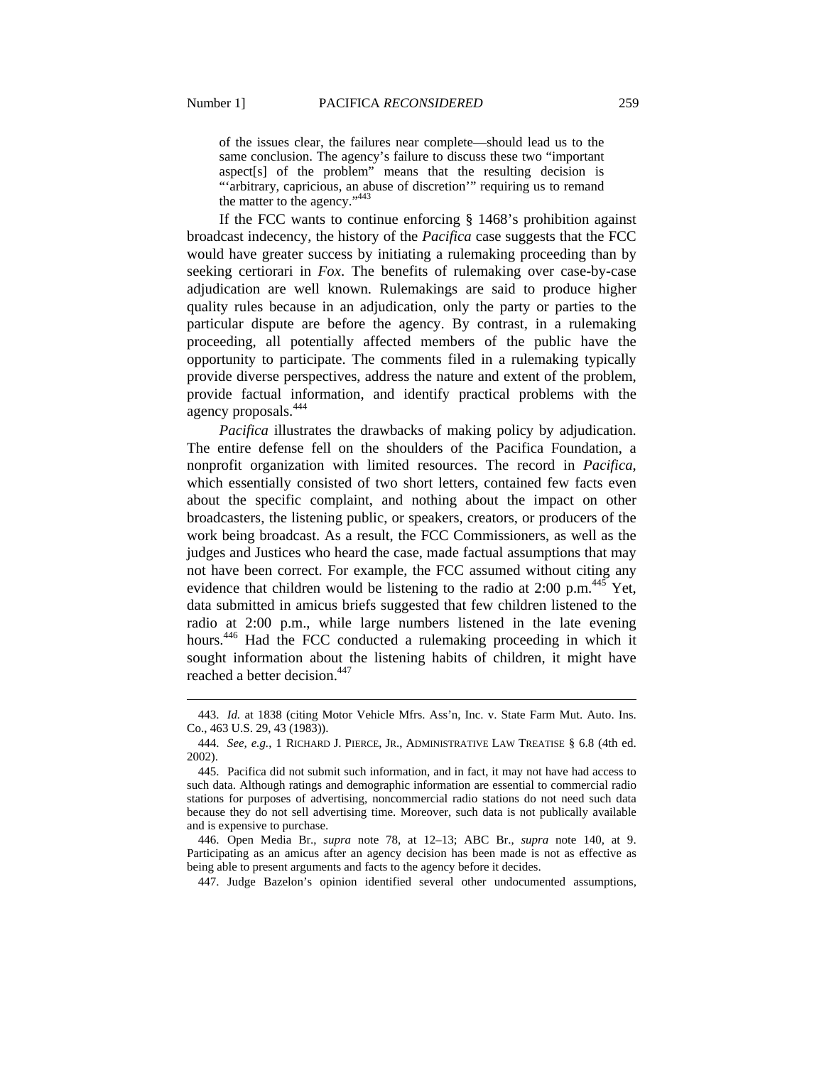$\overline{a}$ 

of the issues clear, the failures near complete—should lead us to the same conclusion. The agency's failure to discuss these two "important aspect[s] of the problem" means that the resulting decision is "arbitrary, capricious, an abuse of discretion" requiring us to remand the matter to the agency."<sup>443</sup>

If the FCC wants to continue enforcing § 1468's prohibition against broadcast indecency, the history of the *Pacifica* case suggests that the FCC would have greater success by initiating a rulemaking proceeding than by seeking certiorari in *Fox*. The benefits of rulemaking over case-by-case adjudication are well known. Rulemakings are said to produce higher quality rules because in an adjudication, only the party or parties to the particular dispute are before the agency. By contrast, in a rulemaking proceeding, all potentially affected members of the public have the opportunity to participate. The comments filed in a rulemaking typically provide diverse perspectives, address the nature and extent of the problem, provide factual information, and identify practical problems with the agency proposals.444

*Pacifica* illustrates the drawbacks of making policy by adjudication. The entire defense fell on the shoulders of the Pacifica Foundation, a nonprofit organization with limited resources. The record in *Pacifica*, which essentially consisted of two short letters, contained few facts even about the specific complaint, and nothing about the impact on other broadcasters, the listening public, or speakers, creators, or producers of the work being broadcast. As a result, the FCC Commissioners, as well as the judges and Justices who heard the case, made factual assumptions that may not have been correct. For example, the FCC assumed without citing any evidence that children would be listening to the radio at 2:00 p.m.<sup>445</sup> Yet, data submitted in amicus briefs suggested that few children listened to the radio at 2:00 p.m., while large numbers listened in the late evening hours.<sup>446</sup> Had the FCC conducted a rulemaking proceeding in which it sought information about the listening habits of children, it might have reached a better decision.<sup>447</sup>

 446. Open Media Br., *supra* note 78, at 12–13; ABC Br., *supra* note 140, at 9. Participating as an amicus after an agency decision has been made is not as effective as being able to present arguments and facts to the agency before it decides.

447. Judge Bazelon's opinion identified several other undocumented assumptions,

 <sup>443.</sup> *Id.* at 1838 (citing Motor Vehicle Mfrs. Ass'n, Inc. v. State Farm Mut. Auto. Ins. Co., 463 U.S. 29, 43 (1983)).

 <sup>444.</sup> *See, e.g.*, 1 RICHARD J. PIERCE, JR., ADMINISTRATIVE LAW TREATISE § 6.8 (4th ed. 2002).

 <sup>445.</sup> Pacifica did not submit such information, and in fact, it may not have had access to such data. Although ratings and demographic information are essential to commercial radio stations for purposes of advertising, noncommercial radio stations do not need such data because they do not sell advertising time. Moreover, such data is not publically available and is expensive to purchase.